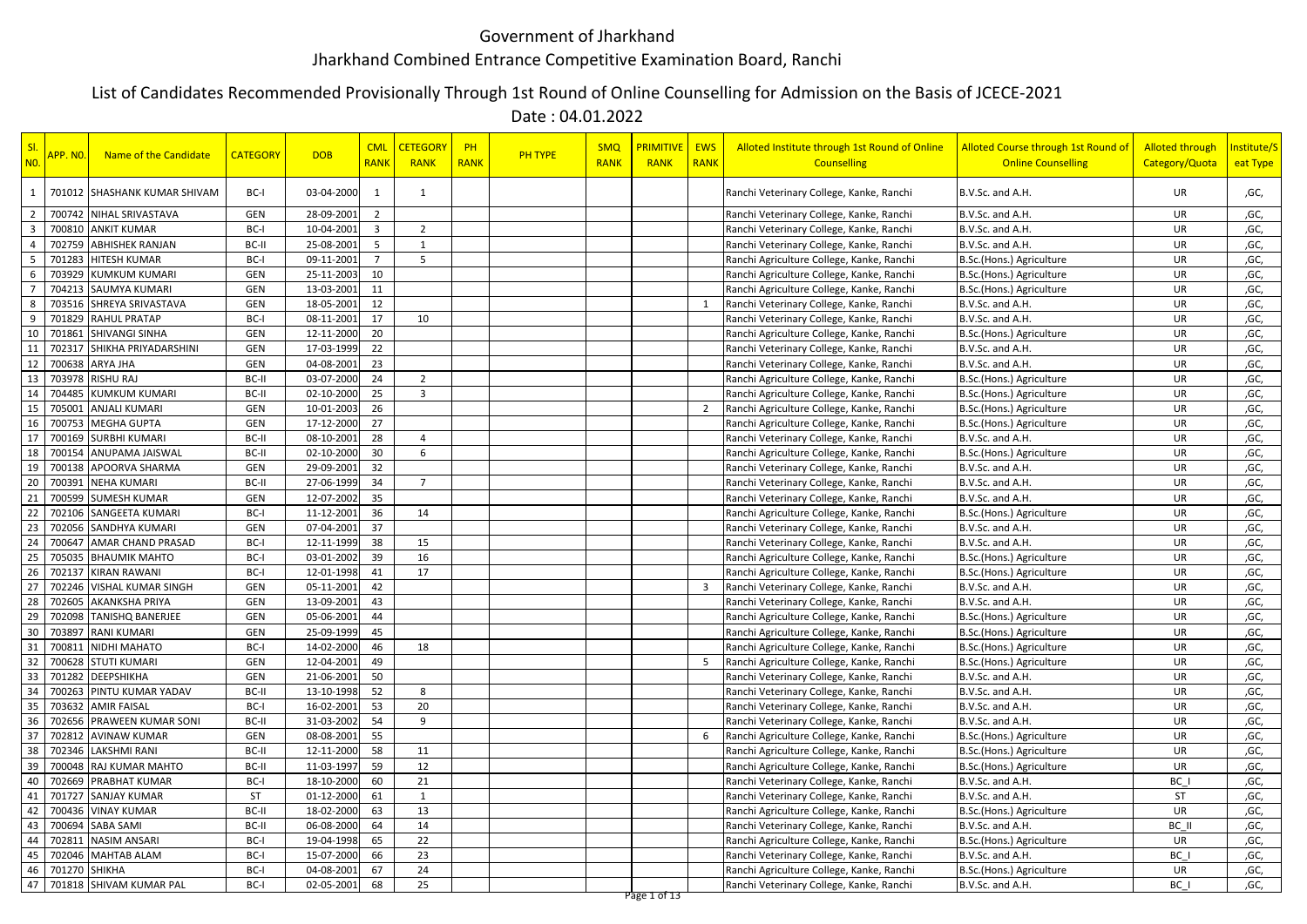## Government of Jharkhand Jharkhand Combined Entrance Competitive Examination Board, Ranchi

## List of Candidates Recommended Provisionally Through 1st Round of Online Counselling for Admission on the Basis of JCECE-2021

Date : 04.01.2022

| 1<br>$\overline{2}$     |               | 701012 SHASHANK KUMAR SHIVAM |            |            |                         |                | <b>RANK</b> | <b>RANK</b> | RANK         | <b>RANK</b>    | <b>Counselling</b>                        | <b>Online Counselling</b> | Category/Quota | eat Type |
|-------------------------|---------------|------------------------------|------------|------------|-------------------------|----------------|-------------|-------------|--------------|----------------|-------------------------------------------|---------------------------|----------------|----------|
|                         |               |                              | BC-I       | 03-04-2000 | 1                       | 1              |             |             |              |                | Ranchi Veterinary College, Kanke, Ranchi  | B.V.Sc. and A.H.          | UR             | ,GC,     |
|                         |               | 700742 NIHAL SRIVASTAVA      | GEN        | 28-09-2001 | $\overline{2}$          |                |             |             |              |                | Ranchi Veterinary College, Kanke, Ranchi  | B.V.Sc. and A.H.          | UR             | ,GC,     |
| $\overline{\mathbf{3}}$ |               | 700810 ANKIT KUMAR           | BC-I       | 10-04-2001 | $\overline{\mathbf{3}}$ | $\overline{2}$ |             |             |              |                | Ranchi Veterinary College, Kanke, Ranchi  | B.V.Sc. and A.H.          | UR             | ,GC,     |
| $\overline{4}$          |               | 702759 ABHISHEK RANJAN       | BC-II      | 25-08-2001 | 5 <sup>5</sup>          | $\mathbf{1}$   |             |             |              |                | Ranchi Veterinary College, Kanke, Ranchi  | B.V.Sc. and A.H.          | UR             | ,GC,     |
| 5                       |               | 701283 HITESH KUMAR          | BC-I       | 09-11-2001 | $\overline{7}$          | 5              |             |             |              |                | Ranchi Agriculture College, Kanke, Ranchi | B.Sc.(Hons.) Agriculture  | UR             | ,GC,     |
| 6                       |               | 703929 KUMKUM KUMARI         | GEN        | 25-11-2003 | 10                      |                |             |             |              |                | Ranchi Agriculture College, Kanke, Ranchi | B.Sc.(Hons.) Agriculture  | UR             | ,GC,     |
| $\overline{7}$          |               | 704213 SAUMYA KUMARI         | GEN        | 13-03-2001 | 11                      |                |             |             |              |                | Ranchi Agriculture College, Kanke, Ranchi | B.Sc.(Hons.) Agriculture  | UR             | ,GC,     |
| 8                       |               | 703516 SHREYA SRIVASTAVA     | GEN        | 18-05-2001 | 12                      |                |             |             |              | 1              | Ranchi Veterinary College, Kanke, Ranchi  | B.V.Sc. and A.H.          | UR             | ,GC,     |
| 9                       |               | 701829 RAHUL PRATAP          | BC-I       | 08-11-2001 | 17                      | 10             |             |             |              |                | Ranchi Veterinary College, Kanke, Ranchi  | B.V.Sc. and A.H.          | UR             | ,GC,     |
| 10                      |               | 701861 SHIVANGI SINHA        | GEN        | 12-11-2000 | 20                      |                |             |             |              |                | Ranchi Agriculture College, Kanke, Ranchi | B.Sc.(Hons.) Agriculture  | UR             | ,GC,     |
| 11                      |               | 702317 SHIKHA PRIYADARSHINI  | GEN        | 17-03-1999 | 22                      |                |             |             |              |                | Ranchi Veterinary College, Kanke, Ranchi  | B.V.Sc. and A.H.          | UR             | ,GC,     |
| 12                      |               | 700638 ARYA JHA              | <b>GEN</b> | 04-08-2001 | 23                      |                |             |             |              |                | Ranchi Veterinary College, Kanke, Ranchi  | B.V.Sc. and A.H.          | <b>UR</b>      | ,GC,     |
| 13                      |               | 703978 RISHU RAJ             | BC-II      | 03-07-2000 | 24                      | $\overline{2}$ |             |             |              |                | Ranchi Agriculture College, Kanke, Ranchi | B.Sc.(Hons.) Agriculture  | <b>UR</b>      | ,GC,     |
| 14                      | 704485        | <b>KUMKUM KUMARI</b>         | BC-II      | 02-10-2000 | 25                      | $\overline{3}$ |             |             |              |                | Ranchi Agriculture College, Kanke, Ranchi | B.Sc.(Hons.) Agriculture  | UR             | ,GC,     |
| 15                      | 705001        | <b>ANJALI KUMARI</b>         | GEN        | 10-01-2003 | 26                      |                |             |             |              | $\overline{2}$ | Ranchi Agriculture College, Kanke, Ranchi | B.Sc.(Hons.) Agriculture  | UR             | ,GC,     |
| 16                      | 700753        | <b>MEGHA GUPTA</b>           | <b>GEN</b> | 17-12-2000 | 27                      |                |             |             |              |                | Ranchi Agriculture College, Kanke, Ranchi | B.Sc.(Hons.) Agriculture  | UR             | ,GC,     |
| 17                      | 700169        | <b>SURBHI KUMARI</b>         | BC-II      | 08-10-2001 | 28                      | $\overline{4}$ |             |             |              |                | Ranchi Veterinary College, Kanke, Ranchi  | B.V.Sc. and A.H.          | UR             | ,GC,     |
| 18                      |               | 700154 ANUPAMA JAISWAL       | BC-II      | 02-10-2000 | 30                      | 6              |             |             |              |                | Ranchi Agriculture College, Kanke, Ranchi | B.Sc.(Hons.) Agriculture  | UR             | ,GC,     |
| 19                      |               | 700138 APOORVA SHARMA        | GEN        | 29-09-2001 | 32                      |                |             |             |              |                | Ranchi Veterinary College, Kanke, Ranchi  | B.V.Sc. and A.H.          | UR             | ,GC,     |
| 20                      |               | 700391 NEHA KUMARI           | BC-II      | 27-06-1999 | 34                      | $\overline{7}$ |             |             |              |                | Ranchi Veterinary College, Kanke, Ranchi  | B.V.Sc. and A.H.          | UR             | ,GC,     |
| 21                      |               | 700599 SUMESH KUMAR          | GEN        | 12-07-2002 | 35                      |                |             |             |              |                | Ranchi Veterinary College, Kanke, Ranchi  | B.V.Sc. and A.H.          | <b>UR</b>      | ,GC,     |
| 22                      |               | 702106 SANGEETA KUMARI       | BC-I       | 11-12-2001 | 36                      | 14             |             |             |              |                | Ranchi Agriculture College, Kanke, Ranchi | B.Sc.(Hons.) Agriculture  | <b>UR</b>      | ,GC,     |
| 23                      |               | 702056 SANDHYA KUMARI        | GEN        | 07-04-2001 | 37                      |                |             |             |              |                | Ranchi Veterinary College, Kanke, Ranchi  | B.V.Sc. and A.H.          | UR             | ,GC,     |
| 24                      |               | 700647 AMAR CHAND PRASAD     | BC-I       | 12-11-1999 | 38                      | 15             |             |             |              |                | Ranchi Veterinary College, Kanke, Ranchi  | B.V.Sc. and A.H.          | <b>UR</b>      | ,GC,     |
| 25                      | 705035        | <b>BHAUMIK MAHTO</b>         | BC-I       | 03-01-2002 | 39                      | 16             |             |             |              |                | Ranchi Agriculture College, Kanke, Ranchi | B.Sc.(Hons.) Agriculture  | UR             | ,GC,     |
| 26                      |               | 702137 KIRAN RAWANI          | BC-I       | 12-01-1998 | 41                      | 17             |             |             |              |                | Ranchi Agriculture College, Kanke, Ranchi | B.Sc.(Hons.) Agriculture  | UR             | ,GC,     |
| 27                      |               | 702246 VISHAL KUMAR SINGH    | GEN        | 05-11-2001 | 42                      |                |             |             |              | 3              | Ranchi Veterinary College, Kanke, Ranchi  | B.V.Sc. and A.H.          | UR             | ,GC,     |
| 28                      | 702605        | <b>AKANKSHA PRIYA</b>        | GEN        | 13-09-2001 | 43                      |                |             |             |              |                | Ranchi Veterinary College, Kanke, Ranchi  | B.V.Sc. and A.H.          | UR             | ,GC,     |
| 29                      |               | 702098 TANISHQ BANERJEE      | GEN        | 05-06-2001 | 44                      |                |             |             |              |                | Ranchi Agriculture College, Kanke, Ranchi | B.Sc.(Hons.) Agriculture  | UR             | ,GC,     |
| 30                      |               | 703897 RANI KUMARI           | GEN        | 25-09-1999 | 45                      |                |             |             |              |                | Ranchi Agriculture College, Kanke, Ranchi | B.Sc.(Hons.) Agriculture  | UR             | ,GC,     |
| 31                      |               | 700811 NIDHI MAHATO          | BC-I       | 14-02-2000 | 46                      | 18             |             |             |              |                | Ranchi Agriculture College, Kanke, Ranchi | B.Sc.(Hons.) Agriculture  | <b>UR</b>      | ,GC,     |
| 32                      |               | 700628 STUTI KUMARI          | GEN        | 12-04-2001 | 49                      |                |             |             |              | 5              | Ranchi Agriculture College, Kanke, Ranchi | B.Sc.(Hons.) Agriculture  | UR             | ,GC,     |
| 33                      |               | 701282 DEEPSHIKHA            | GEN        | 21-06-2001 | 50                      |                |             |             |              |                | Ranchi Veterinary College, Kanke, Ranchi  | B.V.Sc. and A.H.          | UR             | ,GC,     |
| 34                      |               | 700263 PINTU KUMAR YADAV     | BC-II      | 13-10-1998 | 52                      | 8              |             |             |              |                | Ranchi Veterinary College, Kanke, Ranchi  | B.V.Sc. and A.H.          | <b>UR</b>      | ,GC,     |
| 35                      | 703632        | <b>AMIR FAISAL</b>           | BC-I       | 16-02-2001 | 53                      | 20             |             |             |              |                | Ranchi Veterinary College, Kanke, Ranchi  | B.V.Sc. and A.H.          | UR             | ,GC,     |
| 36                      | 702656        | <b>PRAWEEN KUMAR SONI</b>    | BC-II      | 31-03-2002 | 54                      | 9              |             |             |              |                | Ranchi Veterinary College, Kanke, Ranchi  | B.V.Sc. and A.H.          | UR             | ,GC,     |
| 37                      | 702812        | <b>AVINAW KUMAR</b>          | GEN        | 08-08-2001 | 55                      |                |             |             |              | -6             | Ranchi Agriculture College, Kanke, Ranchi | B.Sc.(Hons.) Agriculture  | UR             | ,GC,     |
| 38                      |               | 702346 LAKSHMI RANI          | BC-II      | 12-11-2000 | 58                      | 11             |             |             |              |                | Ranchi Agriculture College, Kanke, Ranchi | B.Sc.(Hons.) Agriculture  | UR             | ,GC,     |
| 39                      |               | 700048 RAJ KUMAR MAHTO       | BC-II      | 11-03-1997 | 59                      | 12             |             |             |              |                | Ranchi Agriculture College, Kanke, Ranchi | B.Sc.(Hons.) Agriculture  | UR             | ,GC,     |
| 40                      |               | 702669 PRABHAT KUMAR         | BC-I       | 18-10-2000 | 60                      | 21             |             |             |              |                | Ranchi Veterinary College, Kanke, Ranchi  | B.V.Sc. and A.H.          | BC I           | ,GC,     |
| 41                      |               | 701727 SANJAY KUMAR          | ST         | 01-12-2000 | 61                      | $\mathbf{1}$   |             |             |              |                | Ranchi Veterinary College, Kanke, Ranchi  | B.V.Sc. and A.H.          | <b>ST</b>      | ,GC,     |
| 42                      |               | 700436 VINAY KUMAR           | BC-II      | 18-02-2000 | 63                      | 13             |             |             |              |                | Ranchi Agriculture College, Kanke, Ranchi | B.Sc.(Hons.) Agriculture  | UR             | ,GC,     |
| 43                      |               | 700694 SABA SAMI             | BC-II      | 06-08-2000 | 64                      | 14             |             |             |              |                | Ranchi Veterinary College, Kanke, Ranchi  | B.V.Sc. and A.H.          | BC II          | ,GC,     |
| 44                      | 702811        | <b>NASIM ANSARI</b>          | BC-I       | 19-04-1998 | 65                      | 22             |             |             |              |                | Ranchi Agriculture College, Kanke, Ranchi | B.Sc.(Hons.) Agriculture  | UR             | ,GC,     |
| 45                      |               | 702046 MAHTAB ALAM           | BC-I       | 15-07-2000 | 66                      | 23             |             |             |              |                | Ranchi Veterinary College, Kanke, Ranchi  | B.V.Sc. and A.H.          | BC I           | ,GC,     |
| 46                      | 701270 SHIKHA |                              | BC-I       | 04-08-2001 | 67                      | 24             |             |             |              |                | Ranchi Agriculture College, Kanke, Ranchi | B.Sc.(Hons.) Agriculture  | <b>UR</b>      | ,GC,     |
| 47                      |               | 701818 SHIVAM KUMAR PAL      | BC-I       | 02-05-2001 | 68                      | 25             |             |             | Page 1 of 13 |                | Ranchi Veterinary College, Kanke, Ranchi  | B.V.Sc. and A.H.          | BC I           | ,GC,     |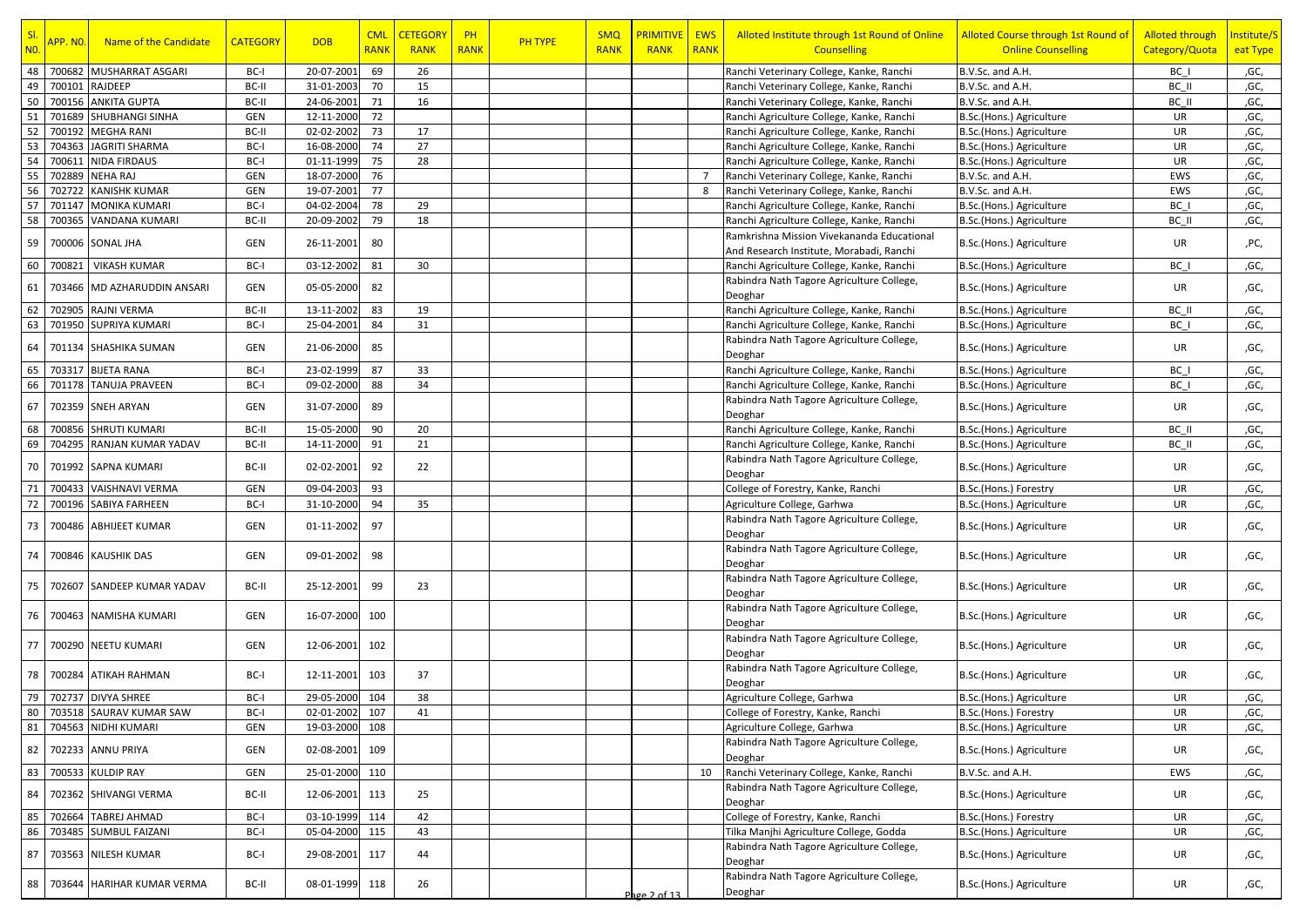| SI.            |                      |                             |                 |            | <b>CML</b>  | <b>CETEGORY</b> | PH          |                | <b>SMQ</b>  | <b>PRIMITIVE</b> | <b>EWS</b>     | Alloted Institute through 1st Round of Online | Alloted Course through 1st Round of | <b>Alloted through</b> | Institute/S |
|----------------|----------------------|-----------------------------|-----------------|------------|-------------|-----------------|-------------|----------------|-------------|------------------|----------------|-----------------------------------------------|-------------------------------------|------------------------|-------------|
| N <sub>0</sub> | <mark>APP. NO</mark> | Name of the Candidate       | <b>CATEGORY</b> | <b>DOB</b> | <b>RANK</b> | <b>RANK</b>     | <b>RANK</b> | <b>PH TYPE</b> | <b>RANK</b> | <b>RANK</b>      | <b>RANK</b>    | <b>Counselling</b>                            | <b>Online Counselling</b>           | Category/Quota         | eat Type    |
| 48             | 700682               | MUSHARRAT ASGARI            | BC-I            | 20-07-2001 | 69          | 26              |             |                |             |                  |                | Ranchi Veterinary College, Kanke, Ranchi      | B.V.Sc. and A.H.                    | BC I                   | ,GC,        |
| 49             | 700101               | RAJDEEP                     | BC-II           | 31-01-2003 | 70          | 15              |             |                |             |                  |                | Ranchi Veterinary College, Kanke, Ranchi      | B.V.Sc. and A.H.                    | BC II                  | ,GC,        |
| 50             |                      | 700156 ANKITA GUPTA         | BC-II           | 24-06-2001 | 71          | 16              |             |                |             |                  |                | Ranchi Veterinary College, Kanke, Ranchi      | B.V.Sc. and A.H.                    | BC II                  | ,GC,        |
| 51             | 701689               | <b>SHUBHANGI SINHA</b>      | GEN             | 12-11-2000 | 72          |                 |             |                |             |                  |                | Ranchi Agriculture College, Kanke, Ranchi     | B.Sc.(Hons.) Agriculture            | UR                     | ,GC,        |
| 52             | 700192               | <b>MEGHA RANI</b>           | BC-II           | 02-02-2002 | 73          | 17              |             |                |             |                  |                | Ranchi Agriculture College, Kanke, Ranchi     | B.Sc.(Hons.) Agriculture            | UR                     | ,GC,        |
| 53             | 704363               | <b>JAGRITI SHARMA</b>       | BC-I            | 16-08-2000 | 74          | 27              |             |                |             |                  |                | Ranchi Agriculture College, Kanke, Ranchi     | B.Sc.(Hons.) Agriculture            | UR                     | ,GC,        |
| 54             | 700611               | <b>NIDA FIRDAUS</b>         | BC-I            | 01-11-1999 | 75          | 28              |             |                |             |                  |                | Ranchi Agriculture College, Kanke, Ranchi     | B.Sc.(Hons.) Agriculture            | UR                     | ,GC,        |
| 55             | 702889               | <b>NEHA RAJ</b>             | <b>GEN</b>      | 18-07-2000 | 76          |                 |             |                |             |                  | $\overline{7}$ | Ranchi Veterinary College, Kanke, Ranchi      | B.V.Sc. and A.H.                    | EWS                    | ,GC,        |
| 56             | 702722               | <b>KANISHK KUMAR</b>        | GEN             | 19-07-2001 | 77          |                 |             |                |             |                  | 8              | Ranchi Veterinary College, Kanke, Ranchi      | B.V.Sc. and A.H.                    | EWS                    | ,GC,        |
| 57             | 701147               | <b>MONIKA KUMARI</b>        | BC-I            | 04-02-2004 | 78          | 29              |             |                |             |                  |                | Ranchi Agriculture College, Kanke, Ranchi     | B.Sc.(Hons.) Agriculture            | BC I                   | ,GC,        |
| 58             | 700365               | <b>VANDANA KUMARI</b>       | BC-II           | 20-09-2002 | 79          | 18              |             |                |             |                  |                | Ranchi Agriculture College, Kanke, Ranchi     | B.Sc.(Hons.) Agriculture            | BC II                  | ,GC,        |
|                |                      |                             |                 |            |             |                 |             |                |             |                  |                | Ramkrishna Mission Vivekananda Educational    |                                     |                        |             |
| 59             |                      | 700006 SONAL JHA            | GEN             | 26-11-2001 | 80          |                 |             |                |             |                  |                | And Research Institute, Morabadi, Ranchi      | B.Sc.(Hons.) Agriculture            | UR                     | ,PC,        |
| 60             | 700821               | <b>VIKASH KUMAR</b>         | BC-I            | 03-12-2002 | 81          | 30              |             |                |             |                  |                | Ranchi Agriculture College, Kanke, Ranchi     | B.Sc.(Hons.) Agriculture            | BC I                   | ,GC,        |
|                |                      |                             |                 |            |             |                 |             |                |             |                  |                | Rabindra Nath Tagore Agriculture College,     |                                     |                        |             |
| 61             |                      | 703466 MD AZHARUDDIN ANSARI | GEN             | 05-05-2000 | 82          |                 |             |                |             |                  |                | Deoghar                                       | B.Sc.(Hons.) Agriculture            | UR                     | ,GC,        |
| 62             |                      | 702905 RAJNI VERMA          | BC-II           | 13-11-2002 | 83          | 19              |             |                |             |                  |                | Ranchi Agriculture College, Kanke, Ranchi     | B.Sc.(Hons.) Agriculture            | BC II                  | ,GC,        |
| 63             |                      | 701950 SUPRIYA KUMARI       | BC-I            | 25-04-2001 | 84          | 31              |             |                |             |                  |                | Ranchi Agriculture College, Kanke, Ranchi     | B.Sc.(Hons.) Agriculture            | BC I                   | ,GC,        |
|                |                      |                             |                 |            |             |                 |             |                |             |                  |                | Rabindra Nath Tagore Agriculture College,     |                                     |                        |             |
| 64             |                      | 701134 SHASHIKA SUMAN       | <b>GEN</b>      | 21-06-2000 | 85          |                 |             |                |             |                  |                | Deoghar                                       | B.Sc.(Hons.) Agriculture            | UR                     | ,GC,        |
| 65             |                      | 703317 BIJETA RANA          | BC-I            | 23-02-1999 | 87          | 33              |             |                |             |                  |                | Ranchi Agriculture College, Kanke, Ranchi     | B.Sc.(Hons.) Agriculture            | BC I                   | ,GC,        |
| 66             |                      | 701178 TANUJA PRAVEEN       | BC-I            | 09-02-2000 | 88          | 34              |             |                |             |                  |                | Ranchi Agriculture College, Kanke, Ranchi     | B.Sc.(Hons.) Agriculture            | BC I                   | ,GC,        |
|                |                      |                             |                 |            |             |                 |             |                |             |                  |                | Rabindra Nath Tagore Agriculture College,     |                                     |                        |             |
| 67             |                      | 702359 SNEH ARYAN           | GEN             | 31-07-2000 | 89          |                 |             |                |             |                  |                | Deoghar                                       | B.Sc.(Hons.) Agriculture            | UR                     | ,GC,        |
| 68             |                      | 700856 SHRUTI KUMARI        | BC-II           | 15-05-2000 | 90          | 20              |             |                |             |                  |                | Ranchi Agriculture College, Kanke, Ranchi     | B.Sc.(Hons.) Agriculture            | BC II                  | ,GC,        |
| 69             |                      | 704295 RANJAN KUMAR YADAV   | BC-II           | 14-11-2000 | 91          | 21              |             |                |             |                  |                | Ranchi Agriculture College, Kanke, Ranchi     | B.Sc.(Hons.) Agriculture            | BC II                  | ,GC,        |
|                |                      |                             |                 |            |             |                 |             |                |             |                  |                | Rabindra Nath Tagore Agriculture College,     |                                     |                        |             |
| 70             |                      | 701992 SAPNA KUMARI         | BC-II           | 02-02-2001 | 92          | 22              |             |                |             |                  |                | Deoghar                                       | B.Sc.(Hons.) Agriculture            | UR                     | ,GC,        |
| 71             | 700433               | <b>VAISHNAVI VERMA</b>      | <b>GEN</b>      | 09-04-2003 | 93          |                 |             |                |             |                  |                | College of Forestry, Kanke, Ranchi            | B.Sc.(Hons.) Forestry               | UR                     | ,GC,        |
| 72             |                      | 700196 SABIYA FARHEEN       | BC-I            | 31-10-2000 | 94          | 35              |             |                |             |                  |                | Agriculture College, Garhwa                   | B.Sc.(Hons.) Agriculture            | UR                     | ,GC,        |
|                |                      |                             |                 |            |             |                 |             |                |             |                  |                | Rabindra Nath Tagore Agriculture College,     |                                     |                        |             |
| 73             |                      | 700486 ABHIJEET KUMAR       | GEN             | 01-11-2002 | 97          |                 |             |                |             |                  |                | Deoghar                                       | B.Sc.(Hons.) Agriculture            | UR                     | ,GC,        |
|                |                      |                             |                 |            |             |                 |             |                |             |                  |                | Rabindra Nath Tagore Agriculture College,     |                                     |                        |             |
| 74             |                      | 700846 KAUSHIK DAS          | GEN             | 09-01-2002 | 98          |                 |             |                |             |                  |                | Deoghar                                       | B.Sc.(Hons.) Agriculture            | UR                     | ,GC,        |
|                |                      |                             |                 |            |             |                 |             |                |             |                  |                | Rabindra Nath Tagore Agriculture College,     |                                     |                        |             |
| 75             |                      | 702607 SANDEEP KUMAR YADAV  | BC-II           | 25-12-2001 | 99          | 23              |             |                |             |                  |                | Deoghar                                       | B.Sc.(Hons.) Agriculture            | UR                     | ,GC,        |
|                |                      |                             |                 |            |             |                 |             |                |             |                  |                | Rabindra Nath Tagore Agriculture College,     |                                     |                        |             |
| 76             |                      | 700463 NAMISHA KUMARI       | GEN             | 16-07-2000 | 100         |                 |             |                |             |                  |                | Deoghar                                       | B.Sc.(Hons.) Agriculture            | UR                     | ,GC,        |
|                |                      |                             |                 |            |             |                 |             |                |             |                  |                | Rabindra Nath Tagore Agriculture College,     |                                     |                        |             |
| 77             |                      | 700290 NEETU KUMARI         | GEN             | 12-06-2001 | 102         |                 |             |                |             |                  |                | Deoghar                                       | B.Sc.(Hons.) Agriculture            | UR                     | ,GC,        |
|                |                      |                             |                 |            |             |                 |             |                |             |                  |                | Rabindra Nath Tagore Agriculture College,     |                                     |                        |             |
| 78             |                      | 700284 ATIKAH RAHMAN        | BC-I            | 12-11-2001 | 103         | 37              |             |                |             |                  |                | Deoghar                                       | B.Sc.(Hons.) Agriculture            | UR                     | ,GC,        |
| 79             |                      | 702737 DIVYA SHREE          | BC-I            | 29-05-2000 | 104         | 38              |             |                |             |                  |                | Agriculture College, Garhwa                   | B.Sc.(Hons.) Agriculture            | UR                     | ,GC,        |
| 80             |                      | 703518 SAURAV KUMAR SAW     | BC-I            | 02-01-2002 | 107         | 41              |             |                |             |                  |                | College of Forestry, Kanke, Ranchi            | B.Sc.(Hons.) Forestry               | UR                     | ,GC,        |
| 81             |                      | 704563 NIDHI KUMARI         | GEN             | 19-03-2000 | 108         |                 |             |                |             |                  |                | Agriculture College, Garhwa                   | B.Sc.(Hons.) Agriculture            | UR                     | ,GC,        |
|                |                      |                             |                 |            |             |                 |             |                |             |                  |                | Rabindra Nath Tagore Agriculture College,     |                                     |                        |             |
| 82             |                      | 702233 ANNU PRIYA           | GEN             | 02-08-2001 | 109         |                 |             |                |             |                  |                | Deoghar                                       | B.Sc.(Hons.) Agriculture            | UR                     | ,GC,        |
| 83             |                      | 700533 KULDIP RAY           | GEN             | 25-01-2000 | 110         |                 |             |                |             |                  | 10             | Ranchi Veterinary College, Kanke, Ranchi      | B.V.Sc. and A.H.                    | EWS                    | ,GC,        |
|                |                      |                             |                 |            |             |                 |             |                |             |                  |                | Rabindra Nath Tagore Agriculture College,     |                                     |                        |             |
| 84             |                      | 702362 SHIVANGI VERMA       | BC-II           | 12-06-2001 | 113         | 25              |             |                |             |                  |                | Deoghar                                       | B.Sc.(Hons.) Agriculture            | UR                     | ,GC,        |
| 85             | 702664               | <b>TABREJ AHMAD</b>         | BC-I            | 03-10-1999 | 114         | 42              |             |                |             |                  |                | College of Forestry, Kanke, Ranchi            | B.Sc.(Hons.) Forestry               | UR                     | ,GC,        |
| 86             |                      | 703485 SUMBUL FAIZANI       | BC-I            | 05-04-2000 | 115         | 43              |             |                |             |                  |                | Tilka Manjhi Agriculture College, Godda       | B.Sc.(Hons.) Agriculture            | UR                     | ,GC,        |
|                |                      |                             |                 |            |             |                 |             |                |             |                  |                | Rabindra Nath Tagore Agriculture College,     |                                     |                        |             |
| 87             |                      | 703563 NILESH KUMAR         | BC-I            | 29-08-2001 | 117         | 44              |             |                |             |                  |                | Deoghar                                       | B.Sc.(Hons.) Agriculture            | UR                     | ,GC,        |
|                |                      | 703644 HARIHAR KUMAR VERMA  |                 |            | 118         | 26              |             |                |             |                  |                | Rabindra Nath Tagore Agriculture College,     | B.Sc.(Hons.) Agriculture            |                        |             |
| 88             |                      |                             | BC-II           | 08-01-1999 |             |                 |             |                |             | Page 2 of 13     |                | Deoghar                                       |                                     | UR                     | ,GC,        |
|                |                      |                             |                 |            |             |                 |             |                |             |                  |                |                                               |                                     |                        |             |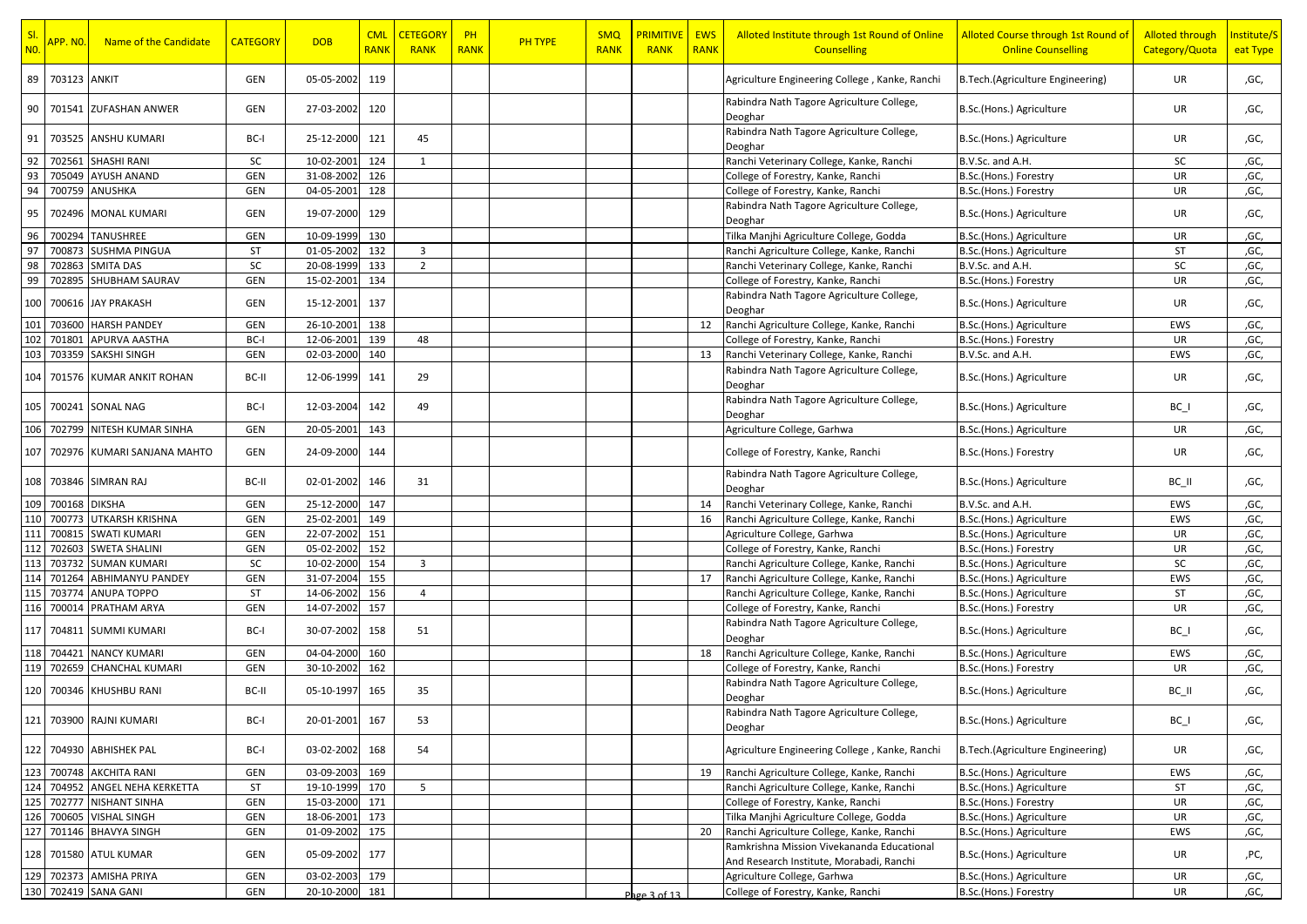| SI.<br>N <sub>0</sub> | <mark>APP. NO.</mark> | Name of the Candidate       | <b>CATEGORY</b> | <b>DOB</b>     | <b>CML</b><br><b>RANK</b> | <b>CETEGORY</b><br><b>RANK</b> | PH<br><b>RANK</b> | <b>PH TYPE</b> | <b>SMQ</b><br><b>RANK</b> | <b>PRIMITIVE</b><br><b>RANK</b> | <b>EWS</b><br><b>RANK</b> | Alloted Institute through 1st Round of Online<br><b>Counselling</b>                    | Alloted Course through 1st Round of<br><b>Online Counselling</b> | <b>Alloted through</b><br>Category/Quota | Institute/S<br>eat Type |
|-----------------------|-----------------------|-----------------------------|-----------------|----------------|---------------------------|--------------------------------|-------------------|----------------|---------------------------|---------------------------------|---------------------------|----------------------------------------------------------------------------------------|------------------------------------------------------------------|------------------------------------------|-------------------------|
| 89                    | 703123 ANKIT          |                             | GEN             | 05-05-2002     | 119                       |                                |                   |                |                           |                                 |                           | Agriculture Engineering College, Kanke, Ranchi                                         | B.Tech.(Agriculture Engineering)                                 | UR                                       | ,GC,                    |
| 90                    |                       | 701541 ZUFASHAN ANWER       | GEN             | 27-03-2002     | 120                       |                                |                   |                |                           |                                 |                           | Rabindra Nath Tagore Agriculture College,<br>Deoghar                                   | B.Sc.(Hons.) Agriculture                                         | UR                                       | ,GC,                    |
| 91                    |                       | 703525 ANSHU KUMARI         | BC-I            | 25-12-2000     | 121                       | 45                             |                   |                |                           |                                 |                           | Rabindra Nath Tagore Agriculture College,<br>Deoghar                                   | B.Sc.(Hons.) Agriculture                                         | UR                                       | ,GC,                    |
| 92                    | 702561                | <b>SHASHI RANI</b>          | SC              | 10-02-2001     | 124                       | 1                              |                   |                |                           |                                 |                           | Ranchi Veterinary College, Kanke, Ranchi                                               | B.V.Sc. and A.H.                                                 | SC                                       | ,GC,                    |
| 93                    | 705049                | <b>AYUSH ANAND</b>          | GEN             | 31-08-2002     | 126                       |                                |                   |                |                           |                                 |                           | College of Forestry, Kanke, Ranchi                                                     | B.Sc.(Hons.) Forestry                                            | UR                                       | ,GC,                    |
| 94                    | 700759                | ANUSHKA                     | <b>GEN</b>      | 04-05-2001     | 128                       |                                |                   |                |                           |                                 |                           | College of Forestry, Kanke, Ranchi                                                     | B.Sc.(Hons.) Forestry                                            | UR                                       | ,GC,                    |
| 95                    |                       | 702496 MONAL KUMARI         | GEN             | 19-07-2000     | 129                       |                                |                   |                |                           |                                 |                           | Rabindra Nath Tagore Agriculture College,<br>Deoghar                                   | B.Sc.(Hons.) Agriculture                                         | UR                                       | ,GC,                    |
| 96                    |                       | 700294 TANUSHREE            | GEN             | 10-09-1999     | 130                       |                                |                   |                |                           |                                 |                           | Tilka Manjhi Agriculture College, Godda                                                | B.Sc.(Hons.) Agriculture                                         | UR                                       | ,GC,                    |
| 97                    | 700873                | <b>SUSHMA PINGUA</b>        | <b>ST</b>       | 01-05-2002     | 132                       | $\overline{3}$                 |                   |                |                           |                                 |                           | Ranchi Agriculture College, Kanke, Ranchi                                              | B.Sc.(Hons.) Agriculture                                         | ST                                       | ,GC,                    |
| 98                    | 702863                | <b>SMITA DAS</b>            | SC              | 20-08-1999     | 133                       | $\overline{2}$                 |                   |                |                           |                                 |                           | Ranchi Veterinary College, Kanke, Ranchi                                               | B.V.Sc. and A.H.                                                 | SC                                       | ,GC,                    |
| 99                    |                       | 702895 SHUBHAM SAURAV       | GEN             | 15-02-2001     | 134                       |                                |                   |                |                           |                                 |                           | College of Forestry, Kanke, Ranchi                                                     | B.Sc.(Hons.) Forestry                                            | UR                                       | ,GC,                    |
| 100                   |                       | 700616 JAY PRAKASH          | GEN             | 15-12-2001     | 137                       |                                |                   |                |                           |                                 |                           | Rabindra Nath Tagore Agriculture College,<br>Deoghar                                   | B.Sc.(Hons.) Agriculture                                         | UR                                       | ,GC,                    |
| 101                   | 703600                | <b>HARSH PANDEY</b>         | GEN             | 26-10-2001     | 138                       |                                |                   |                |                           |                                 | 12                        | Ranchi Agriculture College, Kanke, Ranchi                                              | B.Sc.(Hons.) Agriculture                                         | EWS                                      | ,GC,                    |
| 102                   | 701801                | APURVA AASTHA               | BC-I            | 12-06-2001     | 139                       | 48                             |                   |                |                           |                                 |                           | College of Forestry, Kanke, Ranchi                                                     | B.Sc.(Hons.) Forestry                                            | UR                                       | ,GC,                    |
| 103                   |                       | 703359 SAKSHI SINGH         | GEN             | 02-03-2000     | 140                       |                                |                   |                |                           |                                 | 13                        | Ranchi Veterinary College, Kanke, Ranchi                                               | B.V.Sc. and A.H.                                                 | EWS                                      | ,GC,                    |
| 104                   |                       | 701576 KUMAR ANKIT ROHAN    | BC-II           | 12-06-1999     | 141                       | 29                             |                   |                |                           |                                 |                           | Rabindra Nath Tagore Agriculture College,<br>Deoghar                                   | B.Sc.(Hons.) Agriculture                                         | UR                                       | ,GC,                    |
|                       |                       | 105 700241 SONAL NAG        | BC-I            | 12-03-2004     | 142                       | 49                             |                   |                |                           |                                 |                           | Rabindra Nath Tagore Agriculture College,<br>Deoghar                                   | B.Sc.(Hons.) Agriculture                                         | $BC_$                                    | ,GC,                    |
| 106                   | 702799                | NITESH KUMAR SINHA          | GEN             | 20-05-2001     | 143                       |                                |                   |                |                           |                                 |                           | Agriculture College, Garhwa                                                            | B.Sc.(Hons.) Agriculture                                         | UR                                       | ,GC,                    |
| 107                   |                       | 702976 KUMARI SANJANA MAHTO | GEN             | 24-09-2000     | 144                       |                                |                   |                |                           |                                 |                           | College of Forestry, Kanke, Ranchi                                                     | B.Sc.(Hons.) Forestry                                            | UR                                       | ,GC,                    |
|                       |                       | 108 703846 SIMRAN RAJ       | BC-II           | 02-01-2002     | 146                       | 31                             |                   |                |                           |                                 |                           | Rabindra Nath Tagore Agriculture College,<br>Deoghar                                   | B.Sc.(Hons.) Agriculture                                         | BC II                                    | ,GC,                    |
| 109                   | 700168 DIKSHA         |                             | GEN             | 25-12-2000     | 147                       |                                |                   |                |                           |                                 | 14                        | Ranchi Veterinary College, Kanke, Ranchi                                               | B.V.Sc. and A.H.                                                 | EWS                                      | ,GC,                    |
| 110                   | 700773                | UTKARSH KRISHNA             | GEN             | 25-02-2001     | 149                       |                                |                   |                |                           |                                 | 16                        | Ranchi Agriculture College, Kanke, Ranchi                                              | B.Sc.(Hons.) Agriculture                                         | EWS                                      | ,GC,                    |
| 111                   | 700815                | <b>SWATI KUMARI</b>         | GEN             | 22-07-2002     | 151                       |                                |                   |                |                           |                                 |                           | Agriculture College, Garhwa                                                            | B.Sc.(Hons.) Agriculture                                         | UR                                       | ,GC,                    |
| 112                   |                       | 702603 SWETA SHALINI        | GEN             | 05-02-2002     | 152                       |                                |                   |                |                           |                                 |                           | College of Forestry, Kanke, Ranchi                                                     | B.Sc.(Hons.) Forestry                                            | UR                                       | ,GC,                    |
| 113                   | 703732                | <b>SUMAN KUMARI</b>         | SC              | 10-02-2000     | 154                       | 3                              |                   |                |                           |                                 |                           | Ranchi Agriculture College, Kanke, Ranchi                                              | B.Sc.(Hons.) Agriculture                                         | SC                                       | ,GC,                    |
| 114                   | 701264                | <b>ABHIMANYU PANDEY</b>     | <b>GEN</b>      | 31-07-2004     | 155                       |                                |                   |                |                           |                                 | 17                        | Ranchi Agriculture College, Kanke, Ranchi                                              | B.Sc.(Hons.) Agriculture                                         | EWS                                      | ,GC,                    |
| 115                   | 703774                | ANUPA TOPPO                 | ST              | 14-06-2002     | 156                       | $\overline{4}$                 |                   |                |                           |                                 |                           | Ranchi Agriculture College, Kanke, Ranchi                                              | B.Sc.(Hons.) Agriculture                                         | ST                                       | ,GC,                    |
| 116                   | 70001                 | PRATHAM ARYA                | GEN             | 14-07-2002     | 157                       |                                |                   |                |                           |                                 |                           | College of Forestry, Kanke, Ranchi                                                     | B.Sc.(Hons.) Forestry                                            | UR                                       | ,GC,                    |
| 117                   |                       | 704811 SUMMI KUMARI         | BC-I            | 30-07-2002     | 158                       | 51                             |                   |                |                           |                                 |                           | Rabindra Nath Tagore Agriculture College,<br>Deoghar                                   | B.Sc.(Hons.) Agriculture                                         | $BC_$                                    | ,GC,                    |
| 118                   | 704421                | <b>NANCY KUMARI</b>         | GEN             | 04-04-2000     | 160                       |                                |                   |                |                           |                                 | 18                        | Ranchi Agriculture College, Kanke, Ranchi                                              | B.Sc.(Hons.) Agriculture                                         | EWS                                      | ,GC,                    |
| 119                   | 702659                | <b>CHANCHAL KUMARI</b>      | GEN             | 30-10-2002     | 162                       |                                |                   |                |                           |                                 |                           | College of Forestry, Kanke, Ranchi                                                     | B.Sc.(Hons.) Forestry                                            | UR                                       | ,GC,                    |
|                       |                       | 120 700346 KHUSHBU RANI     | BC-II           | 05-10-1997     | 165                       | 35                             |                   |                |                           |                                 |                           | Rabindra Nath Tagore Agriculture College,<br>Deoghar                                   | B.Sc.(Hons.) Agriculture                                         | BC_II                                    | ,GC,                    |
|                       |                       | 121 703900 RAJNI KUMARI     | BC-I            | 20-01-2001 167 |                           | 53                             |                   |                |                           |                                 |                           | Rabindra Nath Tagore Agriculture College,<br>Deoghar                                   | B.Sc.(Hons.) Agriculture                                         | $BC_$                                    | ,GC,                    |
|                       |                       | 122 704930 ABHISHEK PAL     | BC-I            | 03-02-2002     | 168                       | 54                             |                   |                |                           |                                 |                           | Agriculture Engineering College, Kanke, Ranchi                                         | B. Tech. (Agriculture Engineering)                               | UR                                       | ,GC,                    |
|                       |                       | 123 700748 AKCHITA RANI     | GEN             | 03-09-2003     | 169                       |                                |                   |                |                           |                                 | 19                        | Ranchi Agriculture College, Kanke, Ranchi                                              | B.Sc.(Hons.) Agriculture                                         | EWS                                      | ,GC,                    |
| 124                   | 704952                | ANGEL NEHA KERKETTA         | ST              | 19-10-1999     | 170                       | 5                              |                   |                |                           |                                 |                           | Ranchi Agriculture College, Kanke, Ranchi                                              | B.Sc.(Hons.) Agriculture                                         | ST                                       | ,GC,                    |
|                       |                       | 125 702777 NISHANT SINHA    | GEN             | 15-03-2000     | 171                       |                                |                   |                |                           |                                 |                           | College of Forestry, Kanke, Ranchi                                                     | B.Sc.(Hons.) Forestry                                            | UR                                       | ,GC,                    |
|                       |                       | 126 700605 VISHAL SINGH     | GEN             | 18-06-2001     | 173                       |                                |                   |                |                           |                                 |                           | Tilka Manjhi Agriculture College, Godda                                                | B.Sc.(Hons.) Agriculture                                         | UR                                       | ,GC,                    |
| 127                   | 701146                | <b>BHAVYA SINGH</b>         | GEN             | 01-09-2002     | 175                       |                                |                   |                |                           |                                 | 20                        | Ranchi Agriculture College, Kanke, Ranchi                                              | B.Sc.(Hons.) Agriculture                                         | EWS                                      | ,GC,                    |
|                       |                       | 128 701580 ATUL KUMAR       | GEN             | 05-09-2002     | 177                       |                                |                   |                |                           |                                 |                           | Ramkrishna Mission Vivekananda Educational<br>And Research Institute, Morabadi, Ranchi | B.Sc.(Hons.) Agriculture                                         | UR                                       | ,PC,                    |
|                       |                       | 129 702373 AMISHA PRIYA     | GEN             | 03-02-2003     | 179                       |                                |                   |                |                           |                                 |                           | Agriculture College, Garhwa                                                            | B.Sc.(Hons.) Agriculture                                         | UR                                       | ,GC,                    |
|                       |                       | 130 702419 SANA GANI        | GEN             | 20-10-2000     | 181                       |                                |                   |                |                           | Page $3$ of $13$                |                           | College of Forestry, Kanke, Ranchi                                                     | B.Sc.(Hons.) Forestry                                            | UR                                       | ,GC,                    |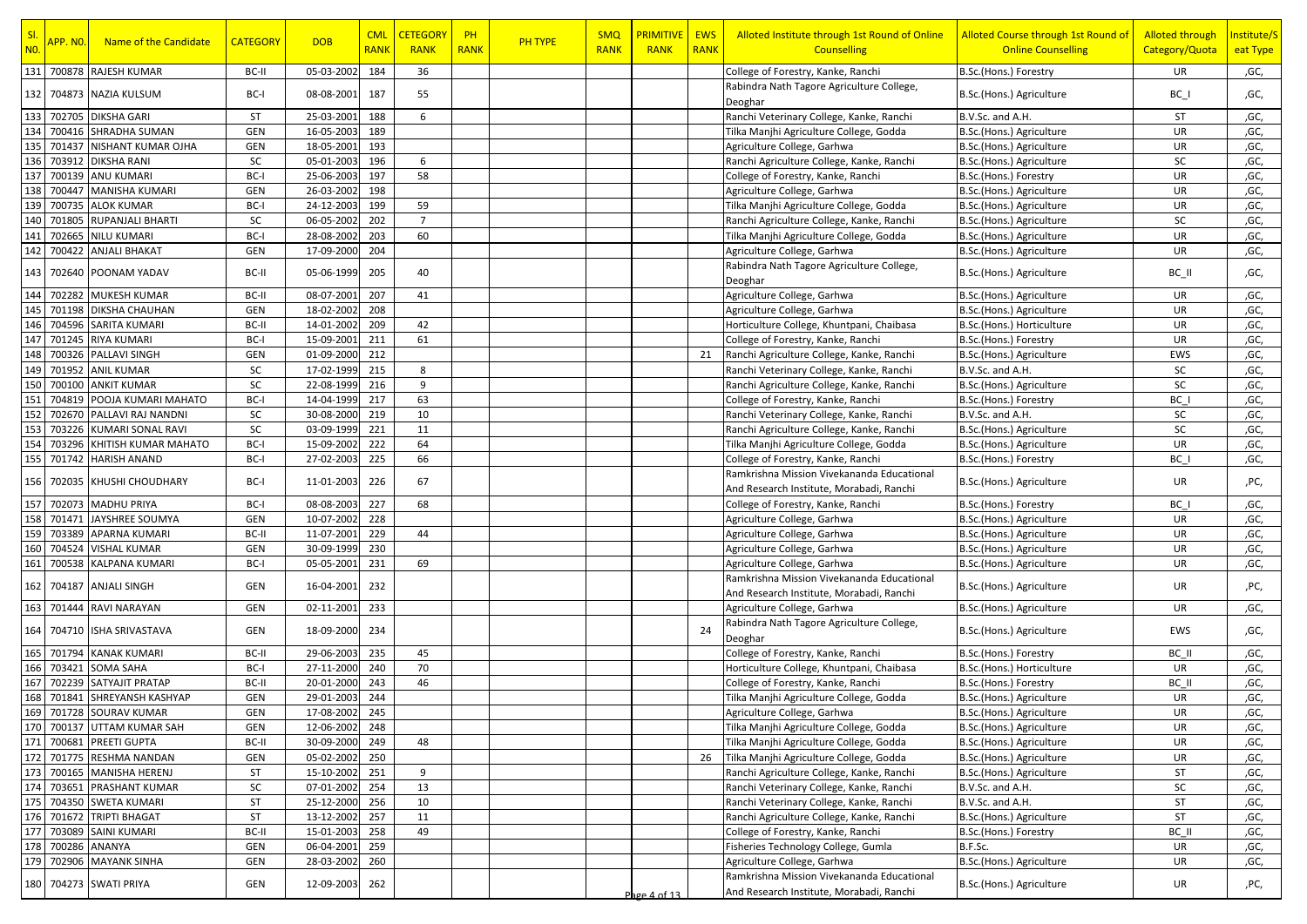| SI.<br>N <sub>0</sub> | APP.NO.           | Name of the Candidate        | <b>CATEGORY</b> | <b>DOB</b>     | <b>CML</b><br><b>RANK</b> | <b>CETEGORY</b><br><b>RANK</b> | PH<br><b>RANK</b> | <b>PH TYPE</b> | <b>SMQ</b><br><b>RANK</b> | <b>PRIMITIVE</b><br><b>RANK</b> | <b>EWS</b><br><b>RANK</b> | Alloted Institute through 1st Round of Online<br><b>Counselling</b>                    | Alloted Course through 1st Round of<br><b>Online Counselling</b> | <b>Alloted through</b><br>Category/Quota | Institute/S<br>eat Type |
|-----------------------|-------------------|------------------------------|-----------------|----------------|---------------------------|--------------------------------|-------------------|----------------|---------------------------|---------------------------------|---------------------------|----------------------------------------------------------------------------------------|------------------------------------------------------------------|------------------------------------------|-------------------------|
|                       |                   | 131 700878 RAJESH KUMAR      | BC-II           | 05-03-2002     | 184                       | 36                             |                   |                |                           |                                 |                           | College of Forestry, Kanke, Ranchi                                                     | B.Sc.(Hons.) Forestry                                            | UR                                       | ,GC,                    |
|                       |                   | 132   704873   NAZIA KULSUM  | BC-I            | 08-08-2001     | 187                       | 55                             |                   |                |                           |                                 |                           | Rabindra Nath Tagore Agriculture College,<br>Deoghar                                   | B.Sc.(Hons.) Agriculture                                         | $BC_$                                    | ,GC,                    |
| 133                   |                   | 702705 DIKSHA GARI           | ST              | 25-03-2001     | 188                       | 6                              |                   |                |                           |                                 |                           | Ranchi Veterinary College, Kanke, Ranchi                                               | B.V.Sc. and A.H.                                                 | ST                                       | ,GC,                    |
| 134                   |                   | 700416 SHRADHA SUMAN         | GEN             | 16-05-2003     | 189                       |                                |                   |                |                           |                                 |                           | Tilka Manjhi Agriculture College, Godda                                                | B.Sc.(Hons.) Agriculture                                         | UR                                       | ,GC,                    |
| 135                   | 701437            | NISHANT KUMAR OJHA           | GEN             | 18-05-2001     | 193                       |                                |                   |                |                           |                                 |                           | Agriculture College, Garhwa                                                            | B.Sc.(Hons.) Agriculture                                         | UR                                       | ,GC,                    |
|                       | 136 703912        | <b>DIKSHA RANI</b>           | SC              | 05-01-2003     | 196                       | 6                              |                   |                |                           |                                 |                           | Ranchi Agriculture College, Kanke, Ranchi                                              | B.Sc.(Hons.) Agriculture                                         | SC                                       | ,GC,                    |
| 137                   |                   | 700139 ANU KUMARI            | BC-I            | 25-06-2003     | 197                       | 58                             |                   |                |                           |                                 |                           | College of Forestry, Kanke, Ranchi                                                     | B.Sc.(Hons.) Forestry                                            | UR                                       | ,GC,                    |
| 138                   | 700447            | <b>MANISHA KUMARI</b>        | GEN             | 26-03-2002     | 198                       |                                |                   |                |                           |                                 |                           | Agriculture College, Garhwa                                                            | B.Sc.(Hons.) Agriculture                                         | UR                                       | ,GC,                    |
|                       | 139 700735        | <b>ALOK KUMAR</b>            | BC-I            | 24-12-2003     | 199                       | 59                             |                   |                |                           |                                 |                           | Tilka Manjhi Agriculture College, Godda                                                | B.Sc.(Hons.) Agriculture                                         | UR                                       | ,GC,                    |
|                       |                   | 140 701805 RUPANJALI BHARTI  | SC              | 06-05-2002     | 202                       | $\overline{7}$                 |                   |                |                           |                                 |                           | Ranchi Agriculture College, Kanke, Ranchi                                              | B.Sc.(Hons.) Agriculture                                         | SC                                       | ,GC,                    |
| 141                   | 702665            | <b>NILU KUMARI</b>           | BC-I            | 28-08-2002     | 203                       | 60                             |                   |                |                           |                                 |                           | Tilka Manjhi Agriculture College, Godda                                                | B.Sc.(Hons.) Agriculture                                         | UR                                       | ,GC,                    |
| 142                   |                   | 700422 ANJALI BHAKAT         | GEN             | 17-09-2000     | 204                       |                                |                   |                |                           |                                 |                           | Agriculture College, Garhwa                                                            | B.Sc.(Hons.) Agriculture                                         | UR                                       | ,GC,                    |
|                       |                   | 143 702640 POONAM YADAV      | BC-II           | 05-06-1999     | 205                       | 40                             |                   |                |                           |                                 |                           | Rabindra Nath Tagore Agriculture College,<br>Deoghar                                   | B.Sc.(Hons.) Agriculture                                         | BC II                                    | ,GC,                    |
|                       |                   | 144 702282 MUKESH KUMAR      | BC-II           | 08-07-2001     | 207                       | 41                             |                   |                |                           |                                 |                           | Agriculture College, Garhwa                                                            | B.Sc.(Hons.) Agriculture                                         | UR                                       | ,GC,                    |
|                       |                   | 145 701198 DIKSHA CHAUHAN    | GEN             | 18-02-2002     | 208                       |                                |                   |                |                           |                                 |                           | Agriculture College, Garhwa                                                            | B.Sc.(Hons.) Agriculture                                         | UR                                       | ,GC,                    |
|                       |                   | 146 704596 SARITA KUMARI     | BC-II           | 14-01-2002     | 209                       | 42                             |                   |                |                           |                                 |                           | Horticulture College, Khuntpani, Chaibasa                                              | B.Sc.(Hons.) Horticulture                                        | UR                                       | ,GC,                    |
| 147                   |                   | 701245 RIYA KUMARI           | BC-I            | 15-09-2001     | 211                       | 61                             |                   |                |                           |                                 |                           | College of Forestry, Kanke, Ranchi                                                     | B.Sc.(Hons.) Forestry                                            | UR                                       | ,GC,                    |
| 148                   |                   | 700326 PALLAVI SINGH         | GEN             | 01-09-2000     | 212                       |                                |                   |                |                           |                                 | 21                        | Ranchi Agriculture College, Kanke, Ranchi                                              | B.Sc.(Hons.) Agriculture                                         | EWS                                      | ,GC,                    |
|                       | 149 701952        | <b>ANIL KUMAR</b>            | SC              | 17-02-1999     | 215                       | 8                              |                   |                |                           |                                 |                           | Ranchi Veterinary College, Kanke, Ranchi                                               | B.V.Sc. and A.H.                                                 | SC                                       | ,GC,                    |
|                       |                   | 150 700100 ANKIT KUMAR       | SC              | 22-08-1999     | 216                       | 9                              |                   |                |                           |                                 |                           | Ranchi Agriculture College, Kanke, Ranchi                                              | B.Sc.(Hons.) Agriculture                                         | <b>SC</b>                                | ,GC,                    |
| 151                   |                   | 704819 POOJA KUMARI MAHATO   | BC-I            | 14-04-1999     | 217                       | 63                             |                   |                |                           |                                 |                           | College of Forestry, Kanke, Ranchi                                                     | B.Sc.(Hons.) Forestry                                            | BC I                                     | ,GC,                    |
| 152                   |                   | 702670 PALLAVI RAJ NANDNI    | SC              | 30-08-2000     | 219                       | 10                             |                   |                |                           |                                 |                           | Ranchi Veterinary College, Kanke, Ranchi                                               | B.V.Sc. and A.H.                                                 | SC                                       | ,GC,                    |
| 153                   |                   | 703226 KUMARI SONAL RAVI     | SC              | 03-09-1999     | 221                       | 11                             |                   |                |                           |                                 |                           | Ranchi Agriculture College, Kanke, Ranchi                                              | B.Sc.(Hons.) Agriculture                                         | SC                                       | ,GC,                    |
| 154                   |                   | 703296 KHITISH KUMAR MAHATO  | BC-I            | 15-09-2002     | 222                       | 64                             |                   |                |                           |                                 |                           | Tilka Manjhi Agriculture College, Godda                                                | B.Sc.(Hons.) Agriculture                                         | UR                                       | ,GC,                    |
| 155                   |                   | 701742 HARISH ANAND          | BC-I            | 27-02-2003     | 225                       | 66                             |                   |                |                           |                                 |                           | College of Forestry, Kanke, Ranchi                                                     | B.Sc.(Hons.) Forestry                                            | BC I                                     | ,GC,                    |
|                       |                   | 156 702035 KHUSHI CHOUDHARY  | BC-I            | 11-01-2003     | 226                       | 67                             |                   |                |                           |                                 |                           | Ramkrishna Mission Vivekananda Educational<br>And Research Institute, Morabadi, Ranchi | B.Sc.(Hons.) Agriculture                                         | UR                                       | ,PC,                    |
| 157                   |                   | 702073 MADHU PRIYA           | BC-I            | 08-08-2003     | 227                       | 68                             |                   |                |                           |                                 |                           | College of Forestry, Kanke, Ranchi                                                     | B.Sc.(Hons.) Forestry                                            | BC I                                     | ,GC,                    |
| 158                   |                   | 701471 JAYSHREE SOUMYA       | GEN             | 10-07-2002     | 228                       |                                |                   |                |                           |                                 |                           | Agriculture College, Garhwa                                                            | B.Sc.(Hons.) Agriculture                                         | UR                                       | ,GC,                    |
|                       |                   | 159 703389 APARNA KUMARI     | BC-II           | 11-07-2001     | 229                       | 44                             |                   |                |                           |                                 |                           | Agriculture College, Garhwa                                                            | B.Sc.(Hons.) Agriculture                                         | UR                                       | ,GC,                    |
| 160                   |                   | 704524 VISHAL KUMAR          | GEN             | 30-09-1999     | 230                       |                                |                   |                |                           |                                 |                           | Agriculture College, Garhwa                                                            | B.Sc.(Hons.) Agriculture                                         | UR                                       | ,GC,                    |
| 161                   | 700538            | <b>KALPANA KUMARI</b>        | BC-I            | 05-05-2001     | 231                       | 69                             |                   |                |                           |                                 |                           | Agriculture College, Garhwa                                                            | B.Sc.(Hons.) Agriculture                                         | UR                                       | ,GC,                    |
|                       |                   | 162 704187 ANJALI SINGH      | GEN             | 16-04-2001     | 232                       |                                |                   |                |                           |                                 |                           | Ramkrishna Mission Vivekananda Educational<br>And Research Institute, Morabadi, Ranchi | B.Sc.(Hons.) Agriculture                                         | UR                                       | ,PC,                    |
|                       |                   | 163 701444 RAVI NARAYAN      | GEN             | 02-11-2001     | 233                       |                                |                   |                |                           |                                 |                           | Agriculture College, Garhwa                                                            | B.Sc.(Hons.) Agriculture                                         | UR                                       | ,GC,                    |
|                       |                   | 164 704710 ISHA SRIVASTAVA   | GEN             | 18-09-2000     | 234                       |                                |                   |                |                           |                                 | 24                        | Rabindra Nath Tagore Agriculture College,<br>Deoghar                                   | B.Sc.(Hons.) Agriculture                                         | EWS                                      | ,GC,                    |
|                       | 165 701794        | <b>KANAK KUMARI</b>          | BC-II           | 29-06-2003     | 235                       | 45                             |                   |                |                           |                                 |                           | College of Forestry, Kanke, Ranchi                                                     | B.Sc.(Hons.) Forestry                                            | BC II                                    | ,GC,                    |
| 166                   | 703421            | <b>SOMA SAHA</b>             | BC-I            | 27-11-2000     | 240                       | 70                             |                   |                |                           |                                 |                           | Horticulture College, Khuntpani, Chaibasa                                              | B.Sc.(Hons.) Horticulture                                        | UR                                       | ,GC,                    |
| 167                   |                   | 702239 SATYAJIT PRATAP       | BC-II           | 20-01-2000     | 243                       | 46                             |                   |                |                           |                                 |                           | College of Forestry, Kanke, Ranchi                                                     | B.Sc.(Hons.) Forestry                                            | BC II                                    | ,GC,                    |
|                       |                   | 168 701841 SHREYANSH KASHYAP | GEN             | 29-01-2003     | 244                       |                                |                   |                |                           |                                 |                           | Tilka Manjhi Agriculture College, Godda                                                | B.Sc.(Hons.) Agriculture                                         | UR                                       | ,GC,                    |
|                       |                   | 169 701728 SOURAV KUMAR      | GEN             | 17-08-2002     | 245                       |                                |                   |                |                           |                                 |                           | Agriculture College, Garhwa                                                            | B.Sc.(Hons.) Agriculture                                         | <b>UR</b>                                | ,GC,                    |
|                       |                   | 170 700137 UTTAM KUMAR SAH   | GEN             | 12-06-2002 248 |                           |                                |                   |                |                           |                                 |                           | Tilka Manjhi Agriculture College, Godda                                                | B.Sc.(Hons.) Agriculture                                         | UR                                       | ,GC,                    |
|                       |                   | 171 700681 PREETI GUPTA      | BC-II           | 30-09-2000 249 |                           | 48                             |                   |                |                           |                                 |                           | Tilka Manjhi Agriculture College, Godda                                                | B.Sc.(Hons.) Agriculture                                         | UR                                       | ,GC,                    |
|                       |                   | 172 701775 RESHMA NANDAN     | GEN             | 05-02-2002     | 250                       |                                |                   |                |                           |                                 | 26                        | Tilka Manjhi Agriculture College, Godda                                                | B.Sc.(Hons.) Agriculture                                         | UR                                       | ,GC,                    |
|                       |                   | 173 700165 MANISHA HERENJ    | <b>ST</b>       | 15-10-2002     | 251                       | 9                              |                   |                |                           |                                 |                           | Ranchi Agriculture College, Kanke, Ranchi                                              | B.Sc.(Hons.) Agriculture                                         | ST                                       | ,GC,                    |
| 174                   | 703651            | PRASHANT KUMAR               | SC              | 07-01-2002     | 254                       | 13                             |                   |                |                           |                                 |                           | Ranchi Veterinary College, Kanke, Ranchi                                               | B.V.Sc. and A.H.                                                 | SC                                       | ,GC,                    |
|                       |                   | 175 704350 SWETA KUMARI      | <b>ST</b>       | 25-12-2000     | 256                       | 10                             |                   |                |                           |                                 |                           | Ranchi Veterinary College, Kanke, Ranchi                                               | B.V.Sc. and A.H.                                                 | ST                                       | ,GC,                    |
|                       |                   | 176 701672 TRIPTI BHAGAT     | ST              | 13-12-2002     | 257                       | 11                             |                   |                |                           |                                 |                           | Ranchi Agriculture College, Kanke, Ranchi                                              | B.Sc.(Hons.) Agriculture                                         | ST                                       | ,GC,                    |
|                       |                   | 177 703089 SAINI KUMARI      | BC-II           | 15-01-2003     | 258                       | 49                             |                   |                |                           |                                 |                           | College of Forestry, Kanke, Ranchi                                                     | B.Sc.(Hons.) Forestry                                            | BC II                                    | ,GC,                    |
|                       | 178 700286 ANANYA |                              | GEN             | 06-04-2001     | 259                       |                                |                   |                |                           |                                 |                           | Fisheries Technology College, Gumla                                                    | B.F.Sc.                                                          | UR                                       | ,GC,                    |
|                       |                   | 179 702906 MAYANK SINHA      | GEN             | 28-03-2002     | 260                       |                                |                   |                |                           |                                 |                           | Agriculture College, Garhwa                                                            | B.Sc.(Hons.) Agriculture                                         | UR                                       | ,GC,                    |
|                       |                   |                              |                 |                |                           |                                |                   |                |                           |                                 |                           | Ramkrishna Mission Vivekananda Educational                                             |                                                                  |                                          |                         |
|                       |                   | 180 704273 SWATI PRIYA       | GEN             | 12-09-2003     | 262                       |                                |                   |                |                           | Page 4 of 13                    |                           | And Research Institute, Morabadi, Ranchi                                               | B.Sc.(Hons.) Agriculture                                         | UR                                       | ,PC,                    |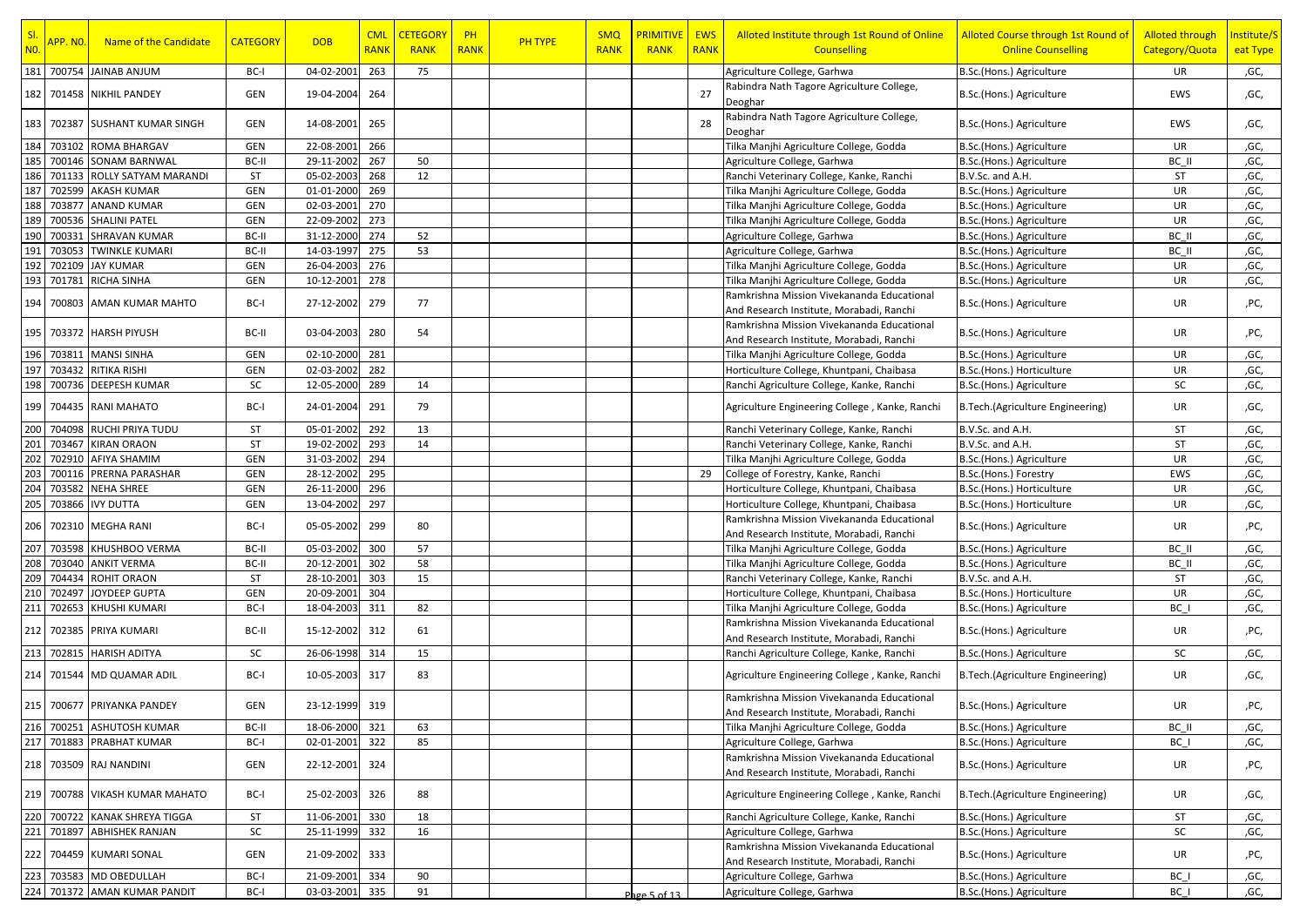| SI.<br>N <sub>0</sub> | <mark>APP. NO.</mark> | Name of the Candidate                          | <b>CATEGORY</b> | <b>DOB</b>               | <b>CML</b><br><b>RANK</b> | <b>CETEGORY</b><br><b>RANK</b> | PH<br><b>RANK</b> | <b>PH TYPE</b> | <b>SMQ</b><br><b>RANK</b> | <b>PRIMITIVE</b><br><b>RANK</b> | <b>EWS</b><br><b>RANK</b> | Alloted Institute through 1st Round of Online<br><b>Counselling</b>                         | Alloted Course through 1st Round of<br><b>Online Counselling</b> | <b>Alloted through</b><br>Category/Quota | Institute/S<br>eat Type |
|-----------------------|-----------------------|------------------------------------------------|-----------------|--------------------------|---------------------------|--------------------------------|-------------------|----------------|---------------------------|---------------------------------|---------------------------|---------------------------------------------------------------------------------------------|------------------------------------------------------------------|------------------------------------------|-------------------------|
| 181                   |                       | 700754 JAINAB ANJUM                            | BC-I            | 04-02-2001               | 263                       | 75                             |                   |                |                           |                                 |                           | Agriculture College, Garhwa                                                                 | B.Sc.(Hons.) Agriculture                                         | UR                                       | ,GC,                    |
|                       |                       | 182 701458 NIKHIL PANDEY                       | GEN             | 19-04-2004               | 264                       |                                |                   |                |                           |                                 | 27                        | Rabindra Nath Tagore Agriculture College,<br>Deoghar                                        | B.Sc.(Hons.) Agriculture                                         | EWS                                      | ,GC,                    |
| 183                   |                       | 702387 SUSHANT KUMAR SINGH                     | GEN             | 14-08-2001               | 265                       |                                |                   |                |                           |                                 | 28                        | Rabindra Nath Tagore Agriculture College,<br>Deoghar                                        | B.Sc.(Hons.) Agriculture                                         | EWS                                      | ,GC,                    |
| 184                   | 703102                | <b>ROMA BHARGAV</b>                            | GEN             | 22-08-2001               | 266                       |                                |                   |                |                           |                                 |                           | Tilka Manjhi Agriculture College, Godda                                                     | B.Sc.(Hons.) Agriculture                                         | UR                                       | ,GC,                    |
| 185                   | 700146                | <b>SONAM BARNWAL</b>                           | BC-II           | 29-11-2002               | 267                       | 50                             |                   |                |                           |                                 |                           | Agriculture College, Garhwa                                                                 | B.Sc.(Hons.) Agriculture                                         | BC II                                    | ,GC,                    |
| 186                   | 701133                | ROLLY SATYAM MARANDI                           | ST              | 05-02-2003               | 268                       | 12                             |                   |                |                           |                                 |                           | Ranchi Veterinary College, Kanke, Ranchi                                                    | B.V.Sc. and A.H.                                                 | ST                                       | ,GC,                    |
| 187                   | 702599                | AKASH KUMAR                                    | GEN             | 01-01-2000               | 269                       |                                |                   |                |                           |                                 |                           | Tilka Manjhi Agriculture College, Godda                                                     | B.Sc.(Hons.) Agriculture                                         | UR                                       | ,GC,                    |
| 188                   | 703877                | <b>ANAND KUMAR</b>                             | GEN             | 02-03-2001               | 270                       |                                |                   |                |                           |                                 |                           | Tilka Manjhi Agriculture College, Godda                                                     | B.Sc.(Hons.) Agriculture                                         | UR                                       | ,GC,                    |
| 189                   | 700536                | <b>SHALINI PATEL</b>                           | GEN             | 22-09-2002               | 273                       |                                |                   |                |                           |                                 |                           | Tilka Manjhi Agriculture College, Godda                                                     | B.Sc.(Hons.) Agriculture                                         | UR                                       | ,GC,                    |
| 190                   | 70033                 | <b>SHRAVAN KUMAR</b>                           | BC-II           | 31-12-2000               | 274                       | 52                             |                   |                |                           |                                 |                           | Agriculture College, Garhwa                                                                 | B.Sc.(Hons.) Agriculture                                         | BC II                                    | ,GC,                    |
| 191                   | 703053                | <b>TWINKLE KUMARI</b>                          | BC-II           | 14-03-1997               | 275                       | 53                             |                   |                |                           |                                 |                           | Agriculture College, Garhwa                                                                 | B.Sc.(Hons.) Agriculture                                         | BC II                                    | ,GC,                    |
| 192                   | 702109                | <b>JAY KUMAR</b>                               | GEN             | 26-04-2003               | 276                       |                                |                   |                |                           |                                 |                           | Tilka Manjhi Agriculture College, Godda                                                     | B.Sc.(Hons.) Agriculture                                         | UR                                       | ,GC,                    |
| 193                   | 701781                | RICHA SINHA                                    | GEN             | 10-12-2001               | 278                       |                                |                   |                |                           |                                 |                           | Tilka Manjhi Agriculture College, Godda                                                     | B.Sc.(Hons.) Agriculture                                         | UR                                       | ,GC,                    |
|                       |                       |                                                |                 |                          |                           |                                |                   |                |                           |                                 |                           | Ramkrishna Mission Vivekananda Educational                                                  |                                                                  |                                          |                         |
| 194                   |                       | 700803 AMAN KUMAR MAHTO                        | BC-I            | 27-12-2002               | 279                       | 77                             |                   |                |                           |                                 |                           | And Research Institute, Morabadi, Ranchi                                                    | B.Sc.(Hons.) Agriculture                                         | UR                                       | ,PC,                    |
|                       |                       |                                                |                 |                          |                           |                                |                   |                |                           |                                 |                           | Ramkrishna Mission Vivekananda Educational                                                  |                                                                  |                                          |                         |
|                       |                       | 195   703372 HARSH PIYUSH                      | BC-II           | 03-04-2003               | 280                       | 54                             |                   |                |                           |                                 |                           | And Research Institute, Morabadi, Ranchi                                                    | B.Sc.(Hons.) Agriculture                                         | UR                                       | ,PC,                    |
| 196                   | 703811                | <b>MANSI SINHA</b>                             | GEN             | 02-10-2000               | 281                       |                                |                   |                |                           |                                 |                           |                                                                                             |                                                                  | UR                                       | ,GC,                    |
| 197                   | 703432                | RITIKA RISHI                                   | GEN             | 02-03-2002               | 282                       |                                |                   |                |                           |                                 |                           | Tilka Manjhi Agriculture College, Godda<br>Horticulture College, Khuntpani, Chaibasa        | B.Sc.(Hons.) Agriculture                                         | UR                                       |                         |
|                       |                       |                                                |                 |                          |                           |                                |                   |                |                           |                                 |                           |                                                                                             | B.Sc.(Hons.) Horticulture                                        |                                          | ,GC,                    |
| 198                   | 700736                | <b>DEEPESH KUMAR</b><br>199 704435 RANI MAHATO | SC<br>BC-I      | 12-05-2000<br>24-01-2004 | 289<br>291                | 14<br>79                       |                   |                |                           |                                 |                           | Ranchi Agriculture College, Kanke, Ranchi<br>Agriculture Engineering College, Kanke, Ranchi | B.Sc.(Hons.) Agriculture<br>B.Tech.(Agriculture Engineering)     | SC<br>UR                                 | ,GC,<br>,GC,            |
|                       |                       |                                                |                 |                          |                           |                                |                   |                |                           |                                 |                           |                                                                                             |                                                                  |                                          |                         |
| 200                   | 704098                | <b>RUCHI PRIYA TUDU</b>                        | ST              | 05-01-2002               | 292                       | 13                             |                   |                |                           |                                 |                           | Ranchi Veterinary College, Kanke, Ranchi                                                    | B.V.Sc. and A.H.                                                 | ST                                       | ,GC,                    |
| 201                   | 703467                | <b>KIRAN ORAON</b>                             | <b>ST</b>       | 19-02-2002               | 293                       | 14                             |                   |                |                           |                                 |                           | Ranchi Veterinary College, Kanke, Ranchi                                                    | B.V.Sc. and A.H.                                                 | ST                                       | ,GC,                    |
| 202                   | 702910                | <b>AFIYA SHAMIM</b>                            | GEN             | 31-03-2002               | 294                       |                                |                   |                |                           |                                 |                           | Tilka Manjhi Agriculture College, Godda                                                     | B.Sc.(Hons.) Agriculture                                         | UR                                       | ,GC,                    |
| 203                   | 700116                | PRERNA PARASHAR                                | GEN             | 28-12-2002               | 295                       |                                |                   |                |                           |                                 | 29                        | College of Forestry, Kanke, Ranchi                                                          | B.Sc.(Hons.) Forestry                                            | EWS                                      | ,GC,                    |
| 204                   | 703582                | <b>NEHA SHREE</b>                              | GEN             | 26-11-2000               | 296                       |                                |                   |                |                           |                                 |                           | Horticulture College, Khuntpani, Chaibasa                                                   | B.Sc.(Hons.) Horticulture                                        | UR                                       | ,GC,                    |
| 205                   | 703866                | <b>IVY DUTTA</b>                               | GEN             | 13-04-2002               | 297                       |                                |                   |                |                           |                                 |                           | Horticulture College, Khuntpani, Chaibasa                                                   | B.Sc.(Hons.) Horticulture                                        | UR                                       | ,GC,                    |
| 206                   |                       | 702310 MEGHA RANI                              | BC-I            | 05-05-2002               | 299                       | 80                             |                   |                |                           |                                 |                           | Ramkrishna Mission Vivekananda Educational<br>And Research Institute, Morabadi, Ranchi      | B.Sc.(Hons.) Agriculture                                         | UR                                       | ,PC,                    |
| 207                   | 703598                | KHUSHBOO VERMA                                 | BC-II           | 05-03-2002               | 300                       | 57                             |                   |                |                           |                                 |                           | Tilka Manjhi Agriculture College, Godda                                                     | B.Sc.(Hons.) Agriculture                                         | BC II                                    | ,GC,                    |
| 208                   | 703040                | <b>ANKIT VERMA</b>                             | BC-II           | 20-12-2001               | 302                       | 58                             |                   |                |                           |                                 |                           | Tilka Manjhi Agriculture College, Godda                                                     | B.Sc.(Hons.) Agriculture                                         | BC II                                    | ,GC,                    |
| 209                   | 704434                | <b>ROHIT ORAON</b>                             | <b>ST</b>       | 28-10-2001               | 303                       | 15                             |                   |                |                           |                                 |                           | Ranchi Veterinary College, Kanke, Ranchi                                                    | B.V.Sc. and A.H.                                                 | ST                                       | ,GC,                    |
| 210                   | 702497                | JOYDEEP GUPTA                                  | GEN             | 20-09-2001               | 304                       |                                |                   |                |                           |                                 |                           | Horticulture College, Khuntpani, Chaibasa                                                   | B.Sc.(Hons.) Horticulture                                        | UR                                       | ,GC,                    |
| 211                   | 702653                | <b>KHUSHI KUMARI</b>                           | BC-I            | 18-04-2003               | 311                       | 82                             |                   |                |                           |                                 |                           | Tilka Manjhi Agriculture College, Godda                                                     | B.Sc.(Hons.) Agriculture                                         | BC I                                     | ,GC,                    |
|                       |                       |                                                |                 |                          |                           |                                |                   |                |                           |                                 |                           | Ramkrishna Mission Vivekananda Educational                                                  |                                                                  |                                          |                         |
| 212                   |                       | 702385 PRIYA KUMARI                            | BC-II           | 15-12-2002               | 312                       | 61                             |                   |                |                           |                                 |                           | And Research Institute, Morabadi, Ranchi                                                    | B.Sc.(Hons.) Agriculture                                         | UR                                       | ,PC,                    |
| 213                   | 702815                | <b>HARISH ADITYA</b>                           | SC              | 26-06-1998               | 314                       | 15                             |                   |                |                           |                                 |                           | Ranchi Agriculture College, Kanke, Ranchi                                                   | B.Sc.(Hons.) Agriculture                                         | SC                                       | ,GC,                    |
| 214                   |                       | 701544 MD QUAMAR ADIL                          | BC-I            | 10-05-2003               | 317                       | 83                             |                   |                |                           |                                 |                           | Agriculture Engineering College, Kanke, Ranchi                                              | B.Tech.(Agriculture Engineering)                                 | UR                                       | ,GC,                    |
|                       |                       | 215 700677 PRIYANKA PANDEY                     | GEN             | 23-12-1999               | 319                       |                                |                   |                |                           |                                 |                           | Ramkrishna Mission Vivekananda Educational<br>And Research Institute, Morabadi, Ranchi      | B.Sc.(Hons.) Agriculture                                         | UR                                       | ,PC,                    |
|                       |                       | 216 700251 ASHUTOSH KUMAR                      | BC-II           | 18-06-2000               | 321                       | 63                             |                   |                |                           |                                 |                           | Tilka Manjhi Agriculture College, Godda                                                     | B.Sc.(Hons.) Agriculture                                         | BC II                                    | ,GC,                    |
|                       | 217 701883            | PRABHAT KUMAR                                  | BC-I            | 02-01-2001               | 322                       | 85                             |                   |                |                           |                                 |                           | Agriculture College, Garhwa                                                                 | B.Sc.(Hons.) Agriculture                                         | BC I                                     | ,GC,                    |
|                       |                       |                                                |                 |                          |                           |                                |                   |                |                           |                                 |                           | Ramkrishna Mission Vivekananda Educational                                                  |                                                                  |                                          |                         |
|                       |                       | 218 703509 RAJ NANDINI                         | GEN             | 22-12-2001               | 324                       |                                |                   |                |                           |                                 |                           | And Research Institute, Morabadi, Ranchi                                                    | B.Sc.(Hons.) Agriculture                                         | UR                                       | ,PC,                    |
| 219                   |                       | 700788 VIKASH KUMAR MAHATO                     | BC-I            | 25-02-2003               | 326                       | 88                             |                   |                |                           |                                 |                           | Agriculture Engineering College, Kanke, Ranchi                                              | B. Tech. (Agriculture Engineering)                               | UR                                       | ,GC,                    |
|                       |                       | 220 700722 KANAK SHREYA TIGGA                  | ST              | 11-06-2001               | 330                       | 18                             |                   |                |                           |                                 |                           | Ranchi Agriculture College, Kanke, Ranchi                                                   | B.Sc.(Hons.) Agriculture                                         | ST                                       | ,GC,                    |
| 221                   |                       | 701897 ABHISHEK RANJAN                         | SC              | 25-11-1999               | 332                       | 16                             |                   |                |                           |                                 |                           | Agriculture College, Garhwa                                                                 | B.Sc.(Hons.) Agriculture                                         | SC                                       | ,GC,                    |
| 222                   |                       | 704459 KUMARI SONAL                            | GEN             | 21-09-2002               | 333                       |                                |                   |                |                           |                                 |                           | Ramkrishna Mission Vivekananda Educational<br>And Research Institute, Morabadi, Ranchi      | B.Sc.(Hons.) Agriculture                                         | UR                                       | ,PC,                    |
| 223                   |                       | 703583 MD OBEDULLAH                            | BC-I            | 21-09-2001               | 334                       | 90                             |                   |                |                           |                                 |                           | Agriculture College, Garhwa                                                                 | B.Sc.(Hons.) Agriculture                                         | $BC_$                                    | ,GC,                    |
|                       |                       | 224 701372 AMAN KUMAR PANDIT                   | BC-I            | 03-03-2001               | 335                       | 91                             |                   |                |                           | Page 5 of 13                    |                           | Agriculture College, Garhwa                                                                 | B.Sc.(Hons.) Agriculture                                         | BC I                                     | ,GC,                    |
|                       |                       |                                                |                 |                          |                           |                                |                   |                |                           |                                 |                           |                                                                                             |                                                                  |                                          |                         |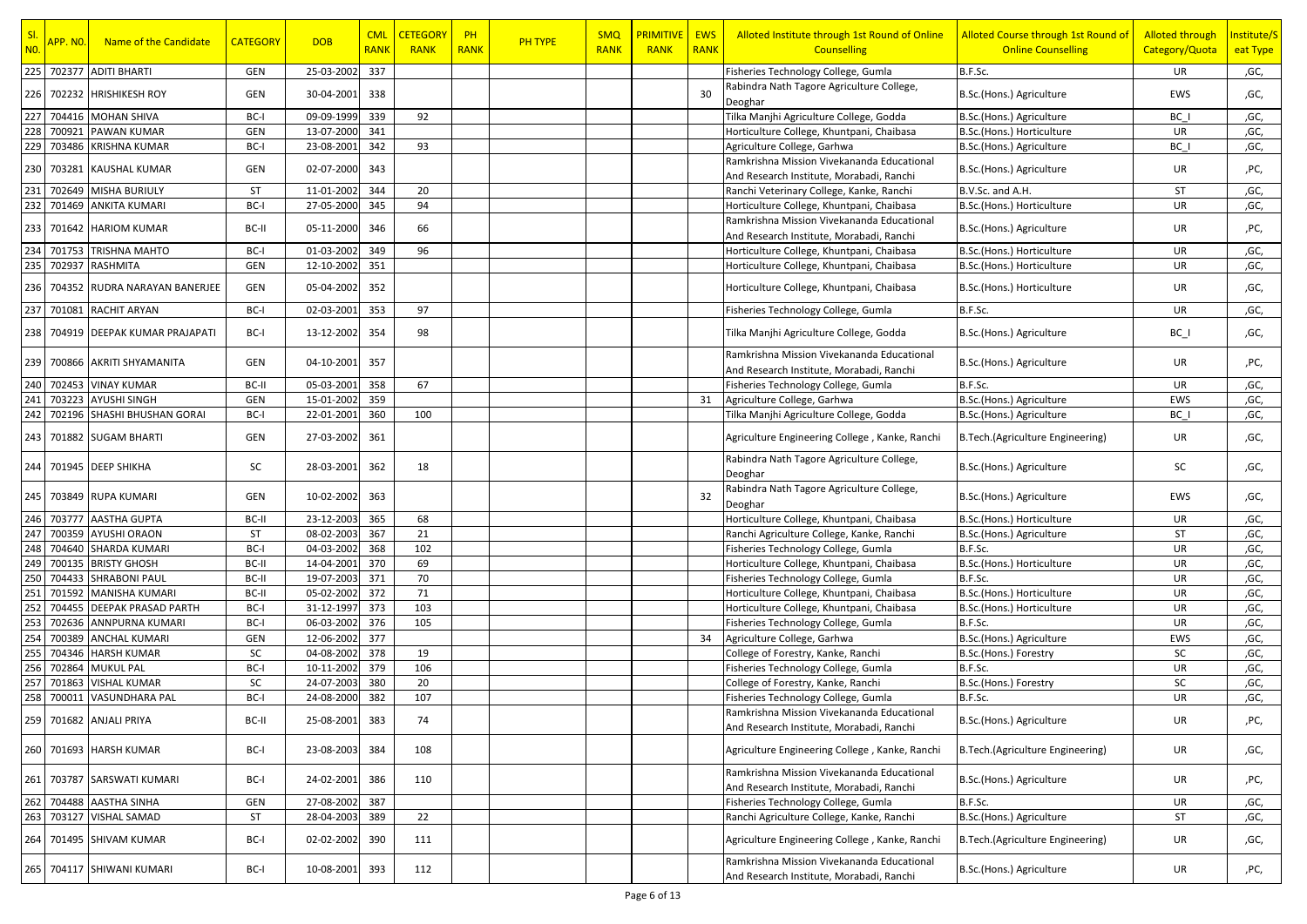| SI.<br><b>NO.</b> | <mark>APP. NO.</mark> | Name of the Candidate         | <b>CATEGORY</b> | <b>DOB</b>     | <b>CML</b><br><b>RANK</b> | <b>CETEGORY</b><br><b>RANK</b> | PH<br><b>RANK</b> | <b>PH TYPE</b> | <b>SMQ</b><br><b>RANK</b> | <b>PRIMITIVE</b><br><b>RANK</b> | <b>EWS</b><br><b>RANK</b> | Alloted Institute through 1st Round of Online<br><b>Counselling</b>                    | Alloted Course through 1st Round of<br><b>Online Counselling</b> | <b>Alloted through</b><br>Category/Quota | Institute/S<br>eat Type |
|-------------------|-----------------------|-------------------------------|-----------------|----------------|---------------------------|--------------------------------|-------------------|----------------|---------------------------|---------------------------------|---------------------------|----------------------------------------------------------------------------------------|------------------------------------------------------------------|------------------------------------------|-------------------------|
| 225               | 702377                | <b>ADITI BHARTI</b>           | GEN             | 25-03-2002     | 337                       |                                |                   |                |                           |                                 |                           | Fisheries Technology College, Gumla                                                    | B.F.Sc.                                                          | UR                                       | ,GC,                    |
| 226               |                       | 702232 HRISHIKESH ROY         | GEN             | 30-04-2001     | 338                       |                                |                   |                |                           |                                 | 30                        | Rabindra Nath Tagore Agriculture College,<br>Deoghar                                   | B.Sc.(Hons.) Agriculture                                         | EWS                                      | ,GC,                    |
| 227               |                       | 704416 MOHAN SHIVA            | BC-I            | 09-09-1999     | 339                       | 92                             |                   |                |                           |                                 |                           | Tilka Manjhi Agriculture College, Godda                                                | B.Sc.(Hons.) Agriculture                                         | BC I                                     | ,GC,                    |
| 228               | 700921                | <b>PAWAN KUMAR</b>            | GEN             | 13-07-2000     | 341                       |                                |                   |                |                           |                                 |                           | Horticulture College, Khuntpani, Chaibasa                                              | B.Sc.(Hons.) Horticulture                                        | UR                                       | ,GC,                    |
| 229               | 703486                | <b>KRISHNA KUMAR</b>          | BC-I            | 23-08-2001     | 342                       | 93                             |                   |                |                           |                                 |                           | Agriculture College, Garhwa                                                            | B.Sc.(Hons.) Agriculture                                         | BC I                                     | ,GC,                    |
| 230               | 703281                | <b>KAUSHAL KUMAR</b>          | GEN             | 02-07-2000     | 343                       |                                |                   |                |                           |                                 |                           | Ramkrishna Mission Vivekananda Educational<br>And Research Institute, Morabadi, Ranchi | B.Sc.(Hons.) Agriculture                                         | UR                                       | ,PC,                    |
| 231               |                       | 702649 MISHA BURIULY          | <b>ST</b>       | 11-01-2002     | 344                       | 20                             |                   |                |                           |                                 |                           | Ranchi Veterinary College, Kanke, Ranchi                                               | B.V.Sc. and A.H.                                                 | ST                                       | ,GC,                    |
| 232               |                       | 701469 ANKITA KUMARI          | BC-I            | 27-05-2000     | 345                       | 94                             |                   |                |                           |                                 |                           | Horticulture College, Khuntpani, Chaibasa                                              | B.Sc.(Hons.) Horticulture                                        | UR                                       | ,GC,                    |
| 233               |                       | 701642 HARIOM KUMAR           | BC-II           | 05-11-2000     | 346                       | 66                             |                   |                |                           |                                 |                           | Ramkrishna Mission Vivekananda Educational<br>And Research Institute, Morabadi, Ranchi | B.Sc.(Hons.) Agriculture                                         | UR                                       | ,PC,                    |
| 234               | 701753                | <b>TRISHNA MAHTO</b>          | BC-I            | 01-03-2002     | 349                       | 96                             |                   |                |                           |                                 |                           | Horticulture College, Khuntpani, Chaibasa                                              | B.Sc.(Hons.) Horticulture                                        | UR                                       | ,GC,                    |
| 235               | 702937                | <b>RASHMITA</b>               | GEN             | 12-10-2002     | 351                       |                                |                   |                |                           |                                 |                           | Horticulture College, Khuntpani, Chaibasa                                              | B.Sc.(Hons.) Horticulture                                        | UR                                       | ,GC,                    |
| 236               |                       | 704352 RUDRA NARAYAN BANERJEE | GEN             | 05-04-2002     | 352                       |                                |                   |                |                           |                                 |                           | Horticulture College, Khuntpani, Chaibasa                                              | B.Sc.(Hons.) Horticulture                                        | UR                                       | ,GC,                    |
| 237               | 701081                | <b>RACHIT ARYAN</b>           | BC-I            | 02-03-2001     | 353                       | 97                             |                   |                |                           |                                 |                           | Fisheries Technology College, Gumla                                                    | B.F.Sc.                                                          | UR                                       | ,GC,                    |
| 238               |                       | 704919 DEEPAK KUMAR PRAJAPATI | BC-I            | 13-12-2002     | 354                       | 98                             |                   |                |                           |                                 |                           | Tilka Manjhi Agriculture College, Godda                                                | B.Sc.(Hons.) Agriculture                                         | $BC_$                                    | ,GC,                    |
|                   |                       | 239 700866 AKRITI SHYAMANITA  | GEN             | 04-10-2001     | 357                       |                                |                   |                |                           |                                 |                           | Ramkrishna Mission Vivekananda Educational<br>And Research Institute, Morabadi, Ranchi | B.Sc.(Hons.) Agriculture                                         | UR                                       | ,PC,                    |
| 240               |                       | 702453 VINAY KUMAR            | BC-II           | 05-03-2001     | 358                       | 67                             |                   |                |                           |                                 |                           | Fisheries Technology College, Gumla                                                    | B.F.Sc.                                                          | UR                                       | ,GC,                    |
| 241               | 703223                | <b>AYUSHI SINGH</b>           | GEN             | 15-01-2002     | 359                       |                                |                   |                |                           |                                 | 31                        | Agriculture College, Garhwa                                                            | B.Sc.(Hons.) Agriculture                                         | EWS                                      | ,GC,                    |
| 242               |                       | 702196 SHASHI BHUSHAN GORAI   | BC-I            | 22-01-2001     | 360                       | 100                            |                   |                |                           |                                 |                           | Tilka Manjhi Agriculture College, Godda                                                | B.Sc.(Hons.) Agriculture                                         | BC I                                     | ,GC,                    |
| 243               |                       | 701882 SUGAM BHARTI           | GEN             | 27-03-2002     | 361                       |                                |                   |                |                           |                                 |                           | Agriculture Engineering College, Kanke, Ranchi                                         | B.Tech.(Agriculture Engineering)                                 | UR                                       | ,GC,                    |
| 244               |                       | 701945 DEEP SHIKHA            | <b>SC</b>       | 28-03-2001     | 362                       | 18                             |                   |                |                           |                                 |                           | Rabindra Nath Tagore Agriculture College,<br>Deoghar                                   | B.Sc.(Hons.) Agriculture                                         | SC                                       | ,GC,                    |
|                   |                       | 245   703849   RUPA KUMARI    | GEN             | 10-02-2002     | 363                       |                                |                   |                |                           |                                 | 32                        | Rabindra Nath Tagore Agriculture College,<br>Deoghar                                   | B.Sc.(Hons.) Agriculture                                         | EWS                                      | ,GC,                    |
| 246               | 703777                | <b>AASTHA GUPTA</b>           | BC-II           | 23-12-2003     | 365                       | 68                             |                   |                |                           |                                 |                           | Horticulture College, Khuntpani, Chaibasa                                              | B.Sc.(Hons.) Horticulture                                        | UR                                       | ,GC,                    |
| 247               | 700359                | <b>AYUSHI ORAON</b>           | <b>ST</b>       | 08-02-2003     | 367                       | 21                             |                   |                |                           |                                 |                           | Ranchi Agriculture College, Kanke, Ranchi                                              | B.Sc.(Hons.) Agriculture                                         | ST                                       | ,GC,                    |
| 248               | 704640                | <b>SHARDA KUMARI</b>          | BC-I            | 04-03-2002     | 368                       | 102                            |                   |                |                           |                                 |                           | Fisheries Technology College, Gumla                                                    | B.F.Sc.                                                          | UR                                       | ,GC,                    |
| 249               | 700135                | <b>BRISTY GHOSH</b>           | BC-II           | 14-04-2001     | 370                       | 69                             |                   |                |                           |                                 |                           | Horticulture College, Khuntpani, Chaibasa                                              | B.Sc.(Hons.) Horticulture                                        | UR                                       | ,GC,                    |
| 250               | 704433                | <b>SHRABONI PAUL</b>          | BC-II           | 19-07-2003     | 371                       | 70                             |                   |                |                           |                                 |                           | Fisheries Technology College, Gumla                                                    | B.F.Sc.                                                          | UR                                       | ,GC,                    |
| 251               | 701592                | <b>MANISHA KUMARI</b>         | BC-II           | 05-02-2002     | 372                       | 71                             |                   |                |                           |                                 |                           | Horticulture College, Khuntpani, Chaibasa                                              | B.Sc.(Hons.) Horticulture                                        | UR                                       | ,GC,                    |
| 252               | 704455                | <b>DEEPAK PRASAD PARTH</b>    | BC-I            | 31-12-1997     | 373                       | 103                            |                   |                |                           |                                 |                           | Horticulture College, Khuntpani, Chaibasa                                              | B.Sc.(Hons.) Horticulture                                        | UR                                       | ,GC,                    |
| 253               | 702636                | <b>ANNPURNA KUMARI</b>        | BC-I            | 06-03-2002     | 376                       | 105                            |                   |                |                           |                                 |                           | Fisheries Technology College, Gumla                                                    | B.F.Sc.                                                          | UR                                       | ,GC,                    |
| 254               | 700389                | <b>ANCHAL KUMARI</b>          | GEN             | 12-06-2002     | 377                       |                                |                   |                |                           |                                 | 34                        | Agriculture College, Garhwa                                                            | B.Sc.(Hons.) Agriculture                                         | EWS                                      | ,GC,                    |
| 255               |                       | 704346 HARSH KUMAR            | SC              | 04-08-2002     | 378                       | 19                             |                   |                |                           |                                 |                           | College of Forestry, Kanke, Ranchi                                                     | B.Sc.(Hons.) Forestry                                            | SC                                       | ,GC,                    |
| 256               | 702864                | <b>MUKUL PAL</b>              | BC-I            | 10-11-2002     | 379                       | 106                            |                   |                |                           |                                 |                           | Fisheries Technology College, Gumla                                                    | B.F.Sc.                                                          | UR                                       | ,GC,                    |
| 257               | 701863                | <b>VISHAL KUMAR</b>           | SC              | 24-07-2003     | 380                       | 20                             |                   |                |                           |                                 |                           | College of Forestry, Kanke, Ranchi                                                     | B.Sc.(Hons.) Forestry                                            | SC                                       | ,GC,                    |
|                   | 258 700011            | <b>VASUNDHARA PAL</b>         | BC-I            | 24-08-2000     | 382                       | 107                            |                   |                |                           |                                 |                           | Fisheries Technology College, Gumla                                                    | B.F.Sc.                                                          | UR                                       | ,GC,                    |
|                   |                       | 259 701682 ANJALI PRIYA       | BC-II           | 25-08-2001 383 |                           | 74                             |                   |                |                           |                                 |                           | Ramkrishna Mission Vivekananda Educational<br>And Research Institute, Morabadi, Ranchi | B.Sc.(Hons.) Agriculture                                         | UR                                       | ,PC,                    |
|                   |                       | 260 701693 HARSH KUMAR        | BC-I            | 23-08-2003     | 384                       | 108                            |                   |                |                           |                                 |                           | Agriculture Engineering College, Kanke, Ranchi                                         | B.Tech.(Agriculture Engineering)                                 | UR                                       | ,GC,                    |
|                   |                       | 261 703787 SARSWATI KUMARI    | BC-I            | 24-02-2001     | 386                       | 110                            |                   |                |                           |                                 |                           | Ramkrishna Mission Vivekananda Educational<br>And Research Institute, Morabadi, Ranchi | B.Sc.(Hons.) Agriculture                                         | UR                                       | ,PC,                    |
| 262               |                       | 704488 AASTHA SINHA           | GEN             | 27-08-2002     | 387                       |                                |                   |                |                           |                                 |                           | Fisheries Technology College, Gumla                                                    | B.F.Sc.                                                          | UR                                       | ,GC,                    |
| 263               |                       | 703127 VISHAL SAMAD           | ST              | 28-04-2003     | 389                       | 22                             |                   |                |                           |                                 |                           | Ranchi Agriculture College, Kanke, Ranchi                                              | B.Sc.(Hons.) Agriculture                                         | ST                                       | ,GC,                    |
| 264               |                       | 701495 SHIVAM KUMAR           | BC-I            | 02-02-2002     | 390                       | 111                            |                   |                |                           |                                 |                           | Agriculture Engineering College, Kanke, Ranchi                                         | B.Tech.(Agriculture Engineering)                                 | UR                                       | ,GC,                    |
|                   |                       | 265   704117   SHIWANI KUMARI | BC-I            | 10-08-2001     | 393                       | 112                            |                   |                |                           |                                 |                           | Ramkrishna Mission Vivekananda Educational<br>And Research Institute, Morabadi, Ranchi | B.Sc.(Hons.) Agriculture                                         | UR                                       | ,PC,                    |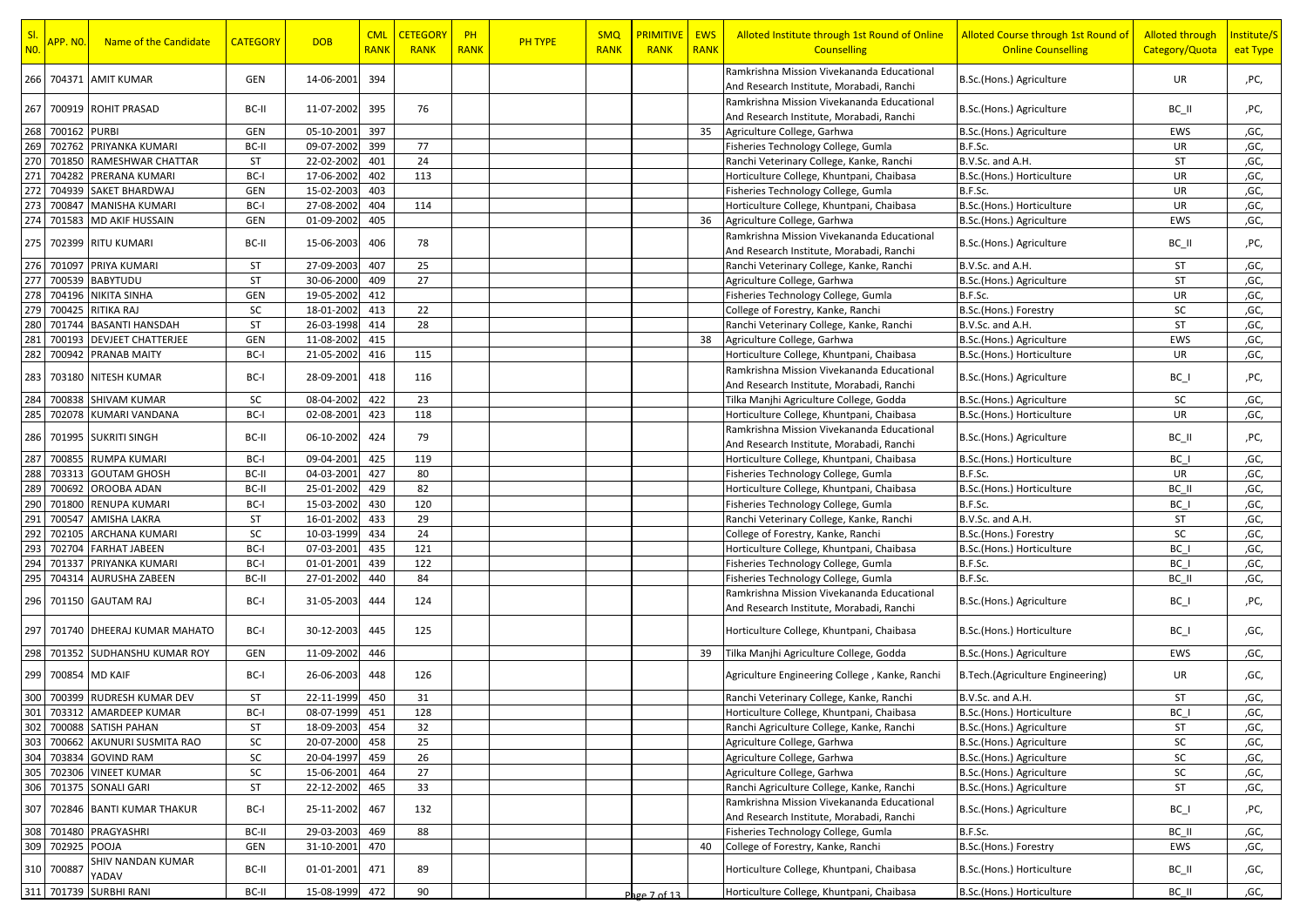| Ramkrishna Mission Vivekananda Educational<br>266<br>704371 AMIT KUMAR<br>GEN<br>14-06-2001<br>394<br>UR<br>B.Sc.(Hons.) Agriculture<br>And Research Institute, Morabadi, Ranchi<br>Ramkrishna Mission Vivekananda Educational<br>267<br>11-07-2002<br>700919 ROHIT PRASAD<br>BC-II<br>395<br>76<br>B.Sc.(Hons.) Agriculture<br>BC_II<br>And Research Institute, Morabadi, Ranchi<br>268<br>700162 PURBI<br>GEN<br>05-10-2001<br>397<br>EWS<br>35<br>Agriculture College, Garhwa<br>B.Sc.(Hons.) Agriculture<br>269<br>702762<br>PRIYANKA KUMARI<br>BC-II<br>09-07-2002<br>399<br>77<br>B.F.Sc.<br>UR<br>Fisheries Technology College, Gumla<br>270<br>701850<br>ST<br>22-02-2002<br>24<br>ST<br>RAMESHWAR CHATTAR<br>401<br>Ranchi Veterinary College, Kanke, Ranchi<br>B.V.Sc. and A.H.<br>271<br>BC-I<br>402<br>113<br><b>UR</b><br>704282<br>PRERANA KUMARI<br>17-06-2002<br>Horticulture College, Khuntpani, Chaibasa<br>B.Sc.(Hons.) Horticulture<br>272<br>SAKET BHARDWAJ<br>UR<br>704939<br>GEN<br>15-02-2003<br>403<br>Fisheries Technology College, Gumla<br>B.F.Sc.<br>273<br>700847<br>BC-I<br>27-08-2002<br>404<br>UR<br>,GC,<br><b>MANISHA KUMARI</b><br>114<br>Horticulture College, Khuntpani, Chaibasa<br>B.Sc.(Hons.) Horticulture<br>274<br>405<br>701583<br>MD AKIF HUSSAIN<br><b>GEN</b><br>01-09-2002<br>EWS<br>36<br>Agriculture College, Garhwa<br>B.Sc.(Hons.) Agriculture<br>,GC,<br>Ramkrishna Mission Vivekananda Educational<br>275 702399 RITU KUMARI<br>15-06-2003<br>406<br>78<br>BC-II<br>B.Sc.(Hons.) Agriculture<br>BC_II<br>And Research Institute, Morabadi, Ranchi<br>276 701097<br>PRIYA KUMARI<br>ST<br>27-09-2003<br>407<br>25<br>Ranchi Veterinary College, Kanke, Ranchi<br>B.V.Sc. and A.H.<br>ST<br>,GC,<br>27<br>277<br>700539<br><b>ST</b><br>ST<br><b>BABYTUDU</b><br>30-06-2000<br>409<br>,GC,<br>Agriculture College, Garhwa<br>B.Sc.(Hons.) Agriculture<br>278<br>704196<br>GEN<br>19-05-2002<br>412<br>UR<br>NIKITA SINHA<br>Fisheries Technology College, Gumla<br>B.F.Sc.<br>,GC,<br>279<br>700425<br>SC<br>18-01-2002<br>22<br>SC<br>RITIKA RAJ<br>413<br>B.Sc.(Hons.) Forestry<br>,GC,<br>College of Forestry, Kanke, Ranchi<br><b>BASANTI HANSDAH</b><br><b>ST</b><br>28<br>ST<br>280<br>701744<br>26-03-1998<br>414<br>Ranchi Veterinary College, Kanke, Ranchi<br>B.V.Sc. and A.H.<br>,GC,<br>281<br><b>DEVJEET CHATTERJEE</b><br>,GC,<br>700193<br>GEN<br>11-08-2002<br>415<br>38<br>Agriculture College, Garhwa<br>B.Sc.(Hons.) Agriculture<br>EWS<br>282<br>700942<br>BC-I<br>21-05-2002<br>416<br>115<br><b>PRANAB MAITY</b><br>Horticulture College, Khuntpani, Chaibasa<br>UR<br>,GC,<br>B.Sc.(Hons.) Horticulture<br>Ramkrishna Mission Vivekananda Educational<br>283<br>703180 NITESH KUMAR<br>BC-I<br>28-09-2001<br>418<br>116<br>B.Sc.(Hons.) Agriculture<br>$BC_$<br>And Research Institute, Morabadi, Ranchi<br>422<br><b>SC</b><br>284<br>700838 SHIVAM KUMAR<br>SC<br>08-04-2002<br>23<br>,GC,<br>Tilka Manjhi Agriculture College, Godda<br>B.Sc.(Hons.) Agriculture<br>285<br>BC-I<br>423<br>118<br>UR<br>702078 KUMARI VANDANA<br>02-08-2001<br>Horticulture College, Khuntpani, Chaibasa<br>B.Sc.(Hons.) Horticulture<br>,GC,<br>Ramkrishna Mission Vivekananda Educational<br>701995 SUKRITI SINGH<br>BC-II<br>06-10-2002<br>424<br>79<br>286<br>B.Sc.(Hons.) Agriculture<br>BC II<br>And Research Institute, Morabadi, Ranchi<br>287<br>700855<br><b>RUMPA KUMARI</b><br>09-04-2001<br>425<br>119<br>BC-I<br>BC I<br>,GC,<br>Horticulture College, Khuntpani, Chaibasa<br>B.Sc.(Hons.) Horticulture<br>288<br>80<br>UR<br>703313<br><b>GOUTAM GHOSH</b><br>BC-II<br>04-03-2001<br>427<br>Fisheries Technology College, Gumla<br>B.F.Sc.<br>,GC,<br>289<br>429<br>700692<br>OROOBA ADAN<br>BC-II<br>25-01-2002<br>82<br>Horticulture College, Khuntpani, Chaibasa<br>B.Sc.(Hons.) Horticulture<br>BC II<br>,GC,<br>290<br>701800<br>BC-I<br>120<br>B.F.Sc.<br>BC I<br>RENUPA KUMARI<br>15-03-2002<br>430<br>Fisheries Technology College, Gumla<br>,GC,<br>29<br>291<br>700547<br><b>AMISHA LAKRA</b><br>ST<br>16-01-2002<br>433<br>ST<br>Ranchi Veterinary College, Kanke, Ranchi<br>B.V.Sc. and A.H.<br>,GC,<br>292<br>702105<br>SC<br>10-03-1999<br>434<br>24<br>SC<br>ARCHANA KUMARI<br>College of Forestry, Kanke, Ranchi<br>,GC,<br>B.Sc.(Hons.) Forestry<br>293<br>435<br>121<br>BC I<br>702704<br><b>FARHAT JABEEN</b><br>BC-I<br>07-03-2001<br>Horticulture College, Khuntpani, Chaibasa<br>B.Sc.(Hons.) Horticulture<br>,GC,<br>294<br>439<br>122<br>70133<br>PRIYANKA KUMARI<br>BC-I<br>01-01-2001<br>Fisheries Technology College, Gumla<br>B.F.Sc.<br>BC I<br>,GC,<br>27-01-2002<br>440<br>84<br>B.F.Sc.<br>BC II<br>295<br>704314<br><b>AURUSHA ZABEEN</b><br>BC-II<br>,GC,<br>Fisheries Technology College, Gumla<br>Ramkrishna Mission Vivekananda Educational<br>296<br>701150 GAUTAM RAJ<br>BC-I<br>31-05-2003<br>444<br>124<br>B.Sc.(Hons.) Agriculture<br>$BC_$<br>And Research Institute, Morabadi, Ranchi<br>297<br>BC-I<br>30-12-2003<br>445<br>Horticulture College, Khuntpani, Chaibasa<br>701740 DHEERAJ KUMAR MAHATO<br>125<br>B.Sc.(Hons.) Horticulture<br>$BC_$<br>298<br>701352 SUDHANSHU KUMAR ROY<br>11-09-2002<br>446<br>Tilka Manjhi Agriculture College, Godda<br>EWS<br>,GC,<br>GEN<br>39<br>B.Sc.(Hons.) Agriculture<br>299 700854 MD KAIF<br>26-06-2003<br>448<br>BC-I<br>126<br>Agriculture Engineering College, Kanke, Ranchi<br>B.Tech.(Agriculture Engineering)<br>UR<br>300 700399 RUDRESH KUMAR DEV<br>ST<br>22-11-1999<br>450<br>31<br>B.V.Sc. and A.H.<br>ST<br>,GC,<br>Ranchi Veterinary College, Kanke, Ranchi<br>301<br>703312 AMARDEEP KUMAR<br>BC-I<br>08-07-1999<br>451<br>128<br>BC I<br>Horticulture College, Khuntpani, Chaibasa<br>B.Sc.(Hons.) Horticulture<br>302 700088 SATISH PAHAN<br>ST<br>32<br>ST<br>18-09-2003<br>454<br>Ranchi Agriculture College, Kanke, Ranchi<br>B.Sc.(Hons.) Agriculture<br>,GC,<br>303<br>700662 AKUNURI SUSMITA RAO<br>SC<br>20-07-2000<br>25<br>Agriculture College, Garhwa<br>B.Sc.(Hons.) Agriculture<br>SC<br>458<br>,GC,<br>304<br>703834 GOVIND RAM<br>SC<br>20-04-1997<br>26<br>Agriculture College, Garhwa<br>SC<br>459<br>B.Sc.(Hons.) Agriculture<br>,GC,<br>SC<br>${\sf SC}$<br>305<br>27<br>702306 VINEET KUMAR<br>15-06-2001<br>464<br>Agriculture College, Garhwa<br>B.Sc.(Hons.) Agriculture<br>,GC,<br>306<br>701375<br><b>SONALI GARI</b><br>ST<br>22-12-2002<br>465<br>33<br>B.Sc.(Hons.) Agriculture<br>Ranchi Agriculture College, Kanke, Ranchi<br>ST<br>,GC,<br>Ramkrishna Mission Vivekananda Educational<br>702846 BANTI KUMAR THAKUR<br>307<br>BC-I<br>25-11-2002<br>467<br>132<br>B.Sc.(Hons.) Agriculture<br>$BC_$<br>And Research Institute, Morabadi, Ranchi<br>308 701480 PRAGYASHRI<br>29-03-2003<br>88<br>BC-II<br>469<br>Fisheries Technology College, Gumla<br>B.F.Sc.<br>,GC,<br>BC II<br>309 702925 POOJA<br>GEN<br>31-10-2001<br>470<br>College of Forestry, Kanke, Ranchi<br>B.Sc.(Hons.) Forestry<br>EWS<br>40<br>,GC,<br>SHIV NANDAN KUMAR<br>Horticulture College, Khuntpani, Chaibasa<br>310 70088<br>BC-II<br>01-01-2001<br>89<br>B.Sc.(Hons.) Horticulture<br>471<br>BC_II<br>YADAV<br>311 701739 SURBHI RANI<br>BC-II<br>15-08-1999<br>472<br>90<br>Horticulture College, Khuntpani, Chaibasa<br>B.Sc.(Hons.) Horticulture<br>BC II<br>Page 7 of 13 | SI.<br>N <sub>0</sub> | <mark>APP. NO.</mark> | Name of the Candidate | <b>CATEGORY</b> | <b>DOB</b> | <b>CML</b><br><b>RANK</b> | <b>CETEGORY</b><br><b>RANK</b> | $P$ H<br><b>RANK</b> | PH TYPE | <b>SMQ</b><br><b>RANK</b> | <b>PRIMITIVE   EWS</b><br><b>RANK</b> | <b>RANK</b> | Alloted Institute through 1st Round of Online<br><b>Counselling</b> | Alloted Course through 1st Round of<br><b>Online Counselling</b> | <b>Alloted through</b><br>Category/Quota | Institute/S<br>eat Type |
|--------------------------------------------------------------------------------------------------------------------------------------------------------------------------------------------------------------------------------------------------------------------------------------------------------------------------------------------------------------------------------------------------------------------------------------------------------------------------------------------------------------------------------------------------------------------------------------------------------------------------------------------------------------------------------------------------------------------------------------------------------------------------------------------------------------------------------------------------------------------------------------------------------------------------------------------------------------------------------------------------------------------------------------------------------------------------------------------------------------------------------------------------------------------------------------------------------------------------------------------------------------------------------------------------------------------------------------------------------------------------------------------------------------------------------------------------------------------------------------------------------------------------------------------------------------------------------------------------------------------------------------------------------------------------------------------------------------------------------------------------------------------------------------------------------------------------------------------------------------------------------------------------------------------------------------------------------------------------------------------------------------------------------------------------------------------------------------------------------------------------------------------------------------------------------------------------------------------------------------------------------------------------------------------------------------------------------------------------------------------------------------------------------------------------------------------------------------------------------------------------------------------------------------------------------------------------------------------------------------------------------------------------------------------------------------------------------------------------------------------------------------------------------------------------------------------------------------------------------------------------------------------------------------------------------------------------------------------------------------------------------------------------------------------------------------------------------------------------------------------------------------------------------------------------------------------------------------------------------------------------------------------------------------------------------------------------------------------------------------------------------------------------------------------------------------------------------------------------------------------------------------------------------------------------------------------------------------------------------------------------------------------------------------------------------------------------------------------------------------------------------------------------------------------------------------------------------------------------------------------------------------------------------------------------------------------------------------------------------------------------------------------------------------------------------------------------------------------------------------------------------------------------------------------------------------------------------------------------------------------------------------------------------------------------------------------------------------------------------------------------------------------------------------------------------------------------------------------------------------------------------------------------------------------------------------------------------------------------------------------------------------------------------------------------------------------------------------------------------------------------------------------------------------------------------------------------------------------------------------------------------------------------------------------------------------------------------------------------------------------------------------------------------------------------------------------------------------------------------------------------------------------------------------------------------------------------------------------------------------------------------------------------------------------------------------------------------------------------------------------------------------------------------------------------------------------------------------------------------------------------------------------------------------------------------------------------------------------------------------------------------------------------------------------------------------------------------------------------------------------------------------------------------------------------------------------------------------------------------------------------------------------------------------------------------------------------------------------------------------------------------------------------------------------------------------------------------------------------------------------------------------------------------------------------------------------------------------------------------------------------------------------------------------------------------------------------------------------------------------------------------------------------------------------------------------------------------------------------------------------------------------------------------------------------------------------------------------------------------------------------------------------------------------------------------------------------------------------------------------------------------------------------------------------------------------------------------------------------------------------------------------------------------------------------------------------------------------------------------------------------------------------------------------------------------------------------------------------------------------------------------------------------------------------------------------------------------------------------------------------------------------------------------------------------------------------------------------------------------------------------|-----------------------|-----------------------|-----------------------|-----------------|------------|---------------------------|--------------------------------|----------------------|---------|---------------------------|---------------------------------------|-------------|---------------------------------------------------------------------|------------------------------------------------------------------|------------------------------------------|-------------------------|
|                                                                                                                                                                                                                                                                                                                                                                                                                                                                                                                                                                                                                                                                                                                                                                                                                                                                                                                                                                                                                                                                                                                                                                                                                                                                                                                                                                                                                                                                                                                                                                                                                                                                                                                                                                                                                                                                                                                                                                                                                                                                                                                                                                                                                                                                                                                                                                                                                                                                                                                                                                                                                                                                                                                                                                                                                                                                                                                                                                                                                                                                                                                                                                                                                                                                                                                                                                                                                                                                                                                                                                                                                                                                                                                                                                                                                                                                                                                                                                                                                                                                                                                                                                                                                                                                                                                                                                                                                                                                                                                                                                                                                                                                                                                                                                                                                                                                                                                                                                                                                                                                                                                                                                                                                                                                                                                                                                                                                                                                                                                                                                                                                                                                                                                                                                                                                                                                                                                                                                                                                                                                                                                                                                                                                                                                                                                                                                                                                                                                                                                                                                                                                                                                                                                                                                                                                                                                                                                                                                                                                                                                                                                                                                                                                                                                                                                                                                          |                       |                       |                       |                 |            |                           |                                |                      |         |                           |                                       |             |                                                                     |                                                                  |                                          | ,PC,                    |
|                                                                                                                                                                                                                                                                                                                                                                                                                                                                                                                                                                                                                                                                                                                                                                                                                                                                                                                                                                                                                                                                                                                                                                                                                                                                                                                                                                                                                                                                                                                                                                                                                                                                                                                                                                                                                                                                                                                                                                                                                                                                                                                                                                                                                                                                                                                                                                                                                                                                                                                                                                                                                                                                                                                                                                                                                                                                                                                                                                                                                                                                                                                                                                                                                                                                                                                                                                                                                                                                                                                                                                                                                                                                                                                                                                                                                                                                                                                                                                                                                                                                                                                                                                                                                                                                                                                                                                                                                                                                                                                                                                                                                                                                                                                                                                                                                                                                                                                                                                                                                                                                                                                                                                                                                                                                                                                                                                                                                                                                                                                                                                                                                                                                                                                                                                                                                                                                                                                                                                                                                                                                                                                                                                                                                                                                                                                                                                                                                                                                                                                                                                                                                                                                                                                                                                                                                                                                                                                                                                                                                                                                                                                                                                                                                                                                                                                                                                          |                       |                       |                       |                 |            |                           |                                |                      |         |                           |                                       |             |                                                                     |                                                                  |                                          | ,PC,                    |
|                                                                                                                                                                                                                                                                                                                                                                                                                                                                                                                                                                                                                                                                                                                                                                                                                                                                                                                                                                                                                                                                                                                                                                                                                                                                                                                                                                                                                                                                                                                                                                                                                                                                                                                                                                                                                                                                                                                                                                                                                                                                                                                                                                                                                                                                                                                                                                                                                                                                                                                                                                                                                                                                                                                                                                                                                                                                                                                                                                                                                                                                                                                                                                                                                                                                                                                                                                                                                                                                                                                                                                                                                                                                                                                                                                                                                                                                                                                                                                                                                                                                                                                                                                                                                                                                                                                                                                                                                                                                                                                                                                                                                                                                                                                                                                                                                                                                                                                                                                                                                                                                                                                                                                                                                                                                                                                                                                                                                                                                                                                                                                                                                                                                                                                                                                                                                                                                                                                                                                                                                                                                                                                                                                                                                                                                                                                                                                                                                                                                                                                                                                                                                                                                                                                                                                                                                                                                                                                                                                                                                                                                                                                                                                                                                                                                                                                                                                          |                       |                       |                       |                 |            |                           |                                |                      |         |                           |                                       |             |                                                                     |                                                                  |                                          | ,GC,                    |
|                                                                                                                                                                                                                                                                                                                                                                                                                                                                                                                                                                                                                                                                                                                                                                                                                                                                                                                                                                                                                                                                                                                                                                                                                                                                                                                                                                                                                                                                                                                                                                                                                                                                                                                                                                                                                                                                                                                                                                                                                                                                                                                                                                                                                                                                                                                                                                                                                                                                                                                                                                                                                                                                                                                                                                                                                                                                                                                                                                                                                                                                                                                                                                                                                                                                                                                                                                                                                                                                                                                                                                                                                                                                                                                                                                                                                                                                                                                                                                                                                                                                                                                                                                                                                                                                                                                                                                                                                                                                                                                                                                                                                                                                                                                                                                                                                                                                                                                                                                                                                                                                                                                                                                                                                                                                                                                                                                                                                                                                                                                                                                                                                                                                                                                                                                                                                                                                                                                                                                                                                                                                                                                                                                                                                                                                                                                                                                                                                                                                                                                                                                                                                                                                                                                                                                                                                                                                                                                                                                                                                                                                                                                                                                                                                                                                                                                                                                          |                       |                       |                       |                 |            |                           |                                |                      |         |                           |                                       |             |                                                                     |                                                                  |                                          | ,GC,                    |
|                                                                                                                                                                                                                                                                                                                                                                                                                                                                                                                                                                                                                                                                                                                                                                                                                                                                                                                                                                                                                                                                                                                                                                                                                                                                                                                                                                                                                                                                                                                                                                                                                                                                                                                                                                                                                                                                                                                                                                                                                                                                                                                                                                                                                                                                                                                                                                                                                                                                                                                                                                                                                                                                                                                                                                                                                                                                                                                                                                                                                                                                                                                                                                                                                                                                                                                                                                                                                                                                                                                                                                                                                                                                                                                                                                                                                                                                                                                                                                                                                                                                                                                                                                                                                                                                                                                                                                                                                                                                                                                                                                                                                                                                                                                                                                                                                                                                                                                                                                                                                                                                                                                                                                                                                                                                                                                                                                                                                                                                                                                                                                                                                                                                                                                                                                                                                                                                                                                                                                                                                                                                                                                                                                                                                                                                                                                                                                                                                                                                                                                                                                                                                                                                                                                                                                                                                                                                                                                                                                                                                                                                                                                                                                                                                                                                                                                                                                          |                       |                       |                       |                 |            |                           |                                |                      |         |                           |                                       |             |                                                                     |                                                                  |                                          | ,GC,                    |
|                                                                                                                                                                                                                                                                                                                                                                                                                                                                                                                                                                                                                                                                                                                                                                                                                                                                                                                                                                                                                                                                                                                                                                                                                                                                                                                                                                                                                                                                                                                                                                                                                                                                                                                                                                                                                                                                                                                                                                                                                                                                                                                                                                                                                                                                                                                                                                                                                                                                                                                                                                                                                                                                                                                                                                                                                                                                                                                                                                                                                                                                                                                                                                                                                                                                                                                                                                                                                                                                                                                                                                                                                                                                                                                                                                                                                                                                                                                                                                                                                                                                                                                                                                                                                                                                                                                                                                                                                                                                                                                                                                                                                                                                                                                                                                                                                                                                                                                                                                                                                                                                                                                                                                                                                                                                                                                                                                                                                                                                                                                                                                                                                                                                                                                                                                                                                                                                                                                                                                                                                                                                                                                                                                                                                                                                                                                                                                                                                                                                                                                                                                                                                                                                                                                                                                                                                                                                                                                                                                                                                                                                                                                                                                                                                                                                                                                                                                          |                       |                       |                       |                 |            |                           |                                |                      |         |                           |                                       |             |                                                                     |                                                                  |                                          | ,GC,                    |
|                                                                                                                                                                                                                                                                                                                                                                                                                                                                                                                                                                                                                                                                                                                                                                                                                                                                                                                                                                                                                                                                                                                                                                                                                                                                                                                                                                                                                                                                                                                                                                                                                                                                                                                                                                                                                                                                                                                                                                                                                                                                                                                                                                                                                                                                                                                                                                                                                                                                                                                                                                                                                                                                                                                                                                                                                                                                                                                                                                                                                                                                                                                                                                                                                                                                                                                                                                                                                                                                                                                                                                                                                                                                                                                                                                                                                                                                                                                                                                                                                                                                                                                                                                                                                                                                                                                                                                                                                                                                                                                                                                                                                                                                                                                                                                                                                                                                                                                                                                                                                                                                                                                                                                                                                                                                                                                                                                                                                                                                                                                                                                                                                                                                                                                                                                                                                                                                                                                                                                                                                                                                                                                                                                                                                                                                                                                                                                                                                                                                                                                                                                                                                                                                                                                                                                                                                                                                                                                                                                                                                                                                                                                                                                                                                                                                                                                                                                          |                       |                       |                       |                 |            |                           |                                |                      |         |                           |                                       |             |                                                                     |                                                                  |                                          | ,GC,                    |
|                                                                                                                                                                                                                                                                                                                                                                                                                                                                                                                                                                                                                                                                                                                                                                                                                                                                                                                                                                                                                                                                                                                                                                                                                                                                                                                                                                                                                                                                                                                                                                                                                                                                                                                                                                                                                                                                                                                                                                                                                                                                                                                                                                                                                                                                                                                                                                                                                                                                                                                                                                                                                                                                                                                                                                                                                                                                                                                                                                                                                                                                                                                                                                                                                                                                                                                                                                                                                                                                                                                                                                                                                                                                                                                                                                                                                                                                                                                                                                                                                                                                                                                                                                                                                                                                                                                                                                                                                                                                                                                                                                                                                                                                                                                                                                                                                                                                                                                                                                                                                                                                                                                                                                                                                                                                                                                                                                                                                                                                                                                                                                                                                                                                                                                                                                                                                                                                                                                                                                                                                                                                                                                                                                                                                                                                                                                                                                                                                                                                                                                                                                                                                                                                                                                                                                                                                                                                                                                                                                                                                                                                                                                                                                                                                                                                                                                                                                          |                       |                       |                       |                 |            |                           |                                |                      |         |                           |                                       |             |                                                                     |                                                                  |                                          |                         |
|                                                                                                                                                                                                                                                                                                                                                                                                                                                                                                                                                                                                                                                                                                                                                                                                                                                                                                                                                                                                                                                                                                                                                                                                                                                                                                                                                                                                                                                                                                                                                                                                                                                                                                                                                                                                                                                                                                                                                                                                                                                                                                                                                                                                                                                                                                                                                                                                                                                                                                                                                                                                                                                                                                                                                                                                                                                                                                                                                                                                                                                                                                                                                                                                                                                                                                                                                                                                                                                                                                                                                                                                                                                                                                                                                                                                                                                                                                                                                                                                                                                                                                                                                                                                                                                                                                                                                                                                                                                                                                                                                                                                                                                                                                                                                                                                                                                                                                                                                                                                                                                                                                                                                                                                                                                                                                                                                                                                                                                                                                                                                                                                                                                                                                                                                                                                                                                                                                                                                                                                                                                                                                                                                                                                                                                                                                                                                                                                                                                                                                                                                                                                                                                                                                                                                                                                                                                                                                                                                                                                                                                                                                                                                                                                                                                                                                                                                                          |                       |                       |                       |                 |            |                           |                                |                      |         |                           |                                       |             |                                                                     |                                                                  |                                          |                         |
|                                                                                                                                                                                                                                                                                                                                                                                                                                                                                                                                                                                                                                                                                                                                                                                                                                                                                                                                                                                                                                                                                                                                                                                                                                                                                                                                                                                                                                                                                                                                                                                                                                                                                                                                                                                                                                                                                                                                                                                                                                                                                                                                                                                                                                                                                                                                                                                                                                                                                                                                                                                                                                                                                                                                                                                                                                                                                                                                                                                                                                                                                                                                                                                                                                                                                                                                                                                                                                                                                                                                                                                                                                                                                                                                                                                                                                                                                                                                                                                                                                                                                                                                                                                                                                                                                                                                                                                                                                                                                                                                                                                                                                                                                                                                                                                                                                                                                                                                                                                                                                                                                                                                                                                                                                                                                                                                                                                                                                                                                                                                                                                                                                                                                                                                                                                                                                                                                                                                                                                                                                                                                                                                                                                                                                                                                                                                                                                                                                                                                                                                                                                                                                                                                                                                                                                                                                                                                                                                                                                                                                                                                                                                                                                                                                                                                                                                                                          |                       |                       |                       |                 |            |                           |                                |                      |         |                           |                                       |             |                                                                     |                                                                  |                                          | ,PC,                    |
|                                                                                                                                                                                                                                                                                                                                                                                                                                                                                                                                                                                                                                                                                                                                                                                                                                                                                                                                                                                                                                                                                                                                                                                                                                                                                                                                                                                                                                                                                                                                                                                                                                                                                                                                                                                                                                                                                                                                                                                                                                                                                                                                                                                                                                                                                                                                                                                                                                                                                                                                                                                                                                                                                                                                                                                                                                                                                                                                                                                                                                                                                                                                                                                                                                                                                                                                                                                                                                                                                                                                                                                                                                                                                                                                                                                                                                                                                                                                                                                                                                                                                                                                                                                                                                                                                                                                                                                                                                                                                                                                                                                                                                                                                                                                                                                                                                                                                                                                                                                                                                                                                                                                                                                                                                                                                                                                                                                                                                                                                                                                                                                                                                                                                                                                                                                                                                                                                                                                                                                                                                                                                                                                                                                                                                                                                                                                                                                                                                                                                                                                                                                                                                                                                                                                                                                                                                                                                                                                                                                                                                                                                                                                                                                                                                                                                                                                                                          |                       |                       |                       |                 |            |                           |                                |                      |         |                           |                                       |             |                                                                     |                                                                  |                                          |                         |
|                                                                                                                                                                                                                                                                                                                                                                                                                                                                                                                                                                                                                                                                                                                                                                                                                                                                                                                                                                                                                                                                                                                                                                                                                                                                                                                                                                                                                                                                                                                                                                                                                                                                                                                                                                                                                                                                                                                                                                                                                                                                                                                                                                                                                                                                                                                                                                                                                                                                                                                                                                                                                                                                                                                                                                                                                                                                                                                                                                                                                                                                                                                                                                                                                                                                                                                                                                                                                                                                                                                                                                                                                                                                                                                                                                                                                                                                                                                                                                                                                                                                                                                                                                                                                                                                                                                                                                                                                                                                                                                                                                                                                                                                                                                                                                                                                                                                                                                                                                                                                                                                                                                                                                                                                                                                                                                                                                                                                                                                                                                                                                                                                                                                                                                                                                                                                                                                                                                                                                                                                                                                                                                                                                                                                                                                                                                                                                                                                                                                                                                                                                                                                                                                                                                                                                                                                                                                                                                                                                                                                                                                                                                                                                                                                                                                                                                                                                          |                       |                       |                       |                 |            |                           |                                |                      |         |                           |                                       |             |                                                                     |                                                                  |                                          |                         |
|                                                                                                                                                                                                                                                                                                                                                                                                                                                                                                                                                                                                                                                                                                                                                                                                                                                                                                                                                                                                                                                                                                                                                                                                                                                                                                                                                                                                                                                                                                                                                                                                                                                                                                                                                                                                                                                                                                                                                                                                                                                                                                                                                                                                                                                                                                                                                                                                                                                                                                                                                                                                                                                                                                                                                                                                                                                                                                                                                                                                                                                                                                                                                                                                                                                                                                                                                                                                                                                                                                                                                                                                                                                                                                                                                                                                                                                                                                                                                                                                                                                                                                                                                                                                                                                                                                                                                                                                                                                                                                                                                                                                                                                                                                                                                                                                                                                                                                                                                                                                                                                                                                                                                                                                                                                                                                                                                                                                                                                                                                                                                                                                                                                                                                                                                                                                                                                                                                                                                                                                                                                                                                                                                                                                                                                                                                                                                                                                                                                                                                                                                                                                                                                                                                                                                                                                                                                                                                                                                                                                                                                                                                                                                                                                                                                                                                                                                                          |                       |                       |                       |                 |            |                           |                                |                      |         |                           |                                       |             |                                                                     |                                                                  |                                          |                         |
|                                                                                                                                                                                                                                                                                                                                                                                                                                                                                                                                                                                                                                                                                                                                                                                                                                                                                                                                                                                                                                                                                                                                                                                                                                                                                                                                                                                                                                                                                                                                                                                                                                                                                                                                                                                                                                                                                                                                                                                                                                                                                                                                                                                                                                                                                                                                                                                                                                                                                                                                                                                                                                                                                                                                                                                                                                                                                                                                                                                                                                                                                                                                                                                                                                                                                                                                                                                                                                                                                                                                                                                                                                                                                                                                                                                                                                                                                                                                                                                                                                                                                                                                                                                                                                                                                                                                                                                                                                                                                                                                                                                                                                                                                                                                                                                                                                                                                                                                                                                                                                                                                                                                                                                                                                                                                                                                                                                                                                                                                                                                                                                                                                                                                                                                                                                                                                                                                                                                                                                                                                                                                                                                                                                                                                                                                                                                                                                                                                                                                                                                                                                                                                                                                                                                                                                                                                                                                                                                                                                                                                                                                                                                                                                                                                                                                                                                                                          |                       |                       |                       |                 |            |                           |                                |                      |         |                           |                                       |             |                                                                     |                                                                  |                                          |                         |
|                                                                                                                                                                                                                                                                                                                                                                                                                                                                                                                                                                                                                                                                                                                                                                                                                                                                                                                                                                                                                                                                                                                                                                                                                                                                                                                                                                                                                                                                                                                                                                                                                                                                                                                                                                                                                                                                                                                                                                                                                                                                                                                                                                                                                                                                                                                                                                                                                                                                                                                                                                                                                                                                                                                                                                                                                                                                                                                                                                                                                                                                                                                                                                                                                                                                                                                                                                                                                                                                                                                                                                                                                                                                                                                                                                                                                                                                                                                                                                                                                                                                                                                                                                                                                                                                                                                                                                                                                                                                                                                                                                                                                                                                                                                                                                                                                                                                                                                                                                                                                                                                                                                                                                                                                                                                                                                                                                                                                                                                                                                                                                                                                                                                                                                                                                                                                                                                                                                                                                                                                                                                                                                                                                                                                                                                                                                                                                                                                                                                                                                                                                                                                                                                                                                                                                                                                                                                                                                                                                                                                                                                                                                                                                                                                                                                                                                                                                          |                       |                       |                       |                 |            |                           |                                |                      |         |                           |                                       |             |                                                                     |                                                                  |                                          |                         |
|                                                                                                                                                                                                                                                                                                                                                                                                                                                                                                                                                                                                                                                                                                                                                                                                                                                                                                                                                                                                                                                                                                                                                                                                                                                                                                                                                                                                                                                                                                                                                                                                                                                                                                                                                                                                                                                                                                                                                                                                                                                                                                                                                                                                                                                                                                                                                                                                                                                                                                                                                                                                                                                                                                                                                                                                                                                                                                                                                                                                                                                                                                                                                                                                                                                                                                                                                                                                                                                                                                                                                                                                                                                                                                                                                                                                                                                                                                                                                                                                                                                                                                                                                                                                                                                                                                                                                                                                                                                                                                                                                                                                                                                                                                                                                                                                                                                                                                                                                                                                                                                                                                                                                                                                                                                                                                                                                                                                                                                                                                                                                                                                                                                                                                                                                                                                                                                                                                                                                                                                                                                                                                                                                                                                                                                                                                                                                                                                                                                                                                                                                                                                                                                                                                                                                                                                                                                                                                                                                                                                                                                                                                                                                                                                                                                                                                                                                                          |                       |                       |                       |                 |            |                           |                                |                      |         |                           |                                       |             |                                                                     |                                                                  |                                          |                         |
|                                                                                                                                                                                                                                                                                                                                                                                                                                                                                                                                                                                                                                                                                                                                                                                                                                                                                                                                                                                                                                                                                                                                                                                                                                                                                                                                                                                                                                                                                                                                                                                                                                                                                                                                                                                                                                                                                                                                                                                                                                                                                                                                                                                                                                                                                                                                                                                                                                                                                                                                                                                                                                                                                                                                                                                                                                                                                                                                                                                                                                                                                                                                                                                                                                                                                                                                                                                                                                                                                                                                                                                                                                                                                                                                                                                                                                                                                                                                                                                                                                                                                                                                                                                                                                                                                                                                                                                                                                                                                                                                                                                                                                                                                                                                                                                                                                                                                                                                                                                                                                                                                                                                                                                                                                                                                                                                                                                                                                                                                                                                                                                                                                                                                                                                                                                                                                                                                                                                                                                                                                                                                                                                                                                                                                                                                                                                                                                                                                                                                                                                                                                                                                                                                                                                                                                                                                                                                                                                                                                                                                                                                                                                                                                                                                                                                                                                                                          |                       |                       |                       |                 |            |                           |                                |                      |         |                           |                                       |             |                                                                     |                                                                  |                                          |                         |
|                                                                                                                                                                                                                                                                                                                                                                                                                                                                                                                                                                                                                                                                                                                                                                                                                                                                                                                                                                                                                                                                                                                                                                                                                                                                                                                                                                                                                                                                                                                                                                                                                                                                                                                                                                                                                                                                                                                                                                                                                                                                                                                                                                                                                                                                                                                                                                                                                                                                                                                                                                                                                                                                                                                                                                                                                                                                                                                                                                                                                                                                                                                                                                                                                                                                                                                                                                                                                                                                                                                                                                                                                                                                                                                                                                                                                                                                                                                                                                                                                                                                                                                                                                                                                                                                                                                                                                                                                                                                                                                                                                                                                                                                                                                                                                                                                                                                                                                                                                                                                                                                                                                                                                                                                                                                                                                                                                                                                                                                                                                                                                                                                                                                                                                                                                                                                                                                                                                                                                                                                                                                                                                                                                                                                                                                                                                                                                                                                                                                                                                                                                                                                                                                                                                                                                                                                                                                                                                                                                                                                                                                                                                                                                                                                                                                                                                                                                          |                       |                       |                       |                 |            |                           |                                |                      |         |                           |                                       |             |                                                                     |                                                                  |                                          |                         |
|                                                                                                                                                                                                                                                                                                                                                                                                                                                                                                                                                                                                                                                                                                                                                                                                                                                                                                                                                                                                                                                                                                                                                                                                                                                                                                                                                                                                                                                                                                                                                                                                                                                                                                                                                                                                                                                                                                                                                                                                                                                                                                                                                                                                                                                                                                                                                                                                                                                                                                                                                                                                                                                                                                                                                                                                                                                                                                                                                                                                                                                                                                                                                                                                                                                                                                                                                                                                                                                                                                                                                                                                                                                                                                                                                                                                                                                                                                                                                                                                                                                                                                                                                                                                                                                                                                                                                                                                                                                                                                                                                                                                                                                                                                                                                                                                                                                                                                                                                                                                                                                                                                                                                                                                                                                                                                                                                                                                                                                                                                                                                                                                                                                                                                                                                                                                                                                                                                                                                                                                                                                                                                                                                                                                                                                                                                                                                                                                                                                                                                                                                                                                                                                                                                                                                                                                                                                                                                                                                                                                                                                                                                                                                                                                                                                                                                                                                                          |                       |                       |                       |                 |            |                           |                                |                      |         |                           |                                       |             |                                                                     |                                                                  |                                          | ,PC,                    |
|                                                                                                                                                                                                                                                                                                                                                                                                                                                                                                                                                                                                                                                                                                                                                                                                                                                                                                                                                                                                                                                                                                                                                                                                                                                                                                                                                                                                                                                                                                                                                                                                                                                                                                                                                                                                                                                                                                                                                                                                                                                                                                                                                                                                                                                                                                                                                                                                                                                                                                                                                                                                                                                                                                                                                                                                                                                                                                                                                                                                                                                                                                                                                                                                                                                                                                                                                                                                                                                                                                                                                                                                                                                                                                                                                                                                                                                                                                                                                                                                                                                                                                                                                                                                                                                                                                                                                                                                                                                                                                                                                                                                                                                                                                                                                                                                                                                                                                                                                                                                                                                                                                                                                                                                                                                                                                                                                                                                                                                                                                                                                                                                                                                                                                                                                                                                                                                                                                                                                                                                                                                                                                                                                                                                                                                                                                                                                                                                                                                                                                                                                                                                                                                                                                                                                                                                                                                                                                                                                                                                                                                                                                                                                                                                                                                                                                                                                                          |                       |                       |                       |                 |            |                           |                                |                      |         |                           |                                       |             |                                                                     |                                                                  |                                          |                         |
|                                                                                                                                                                                                                                                                                                                                                                                                                                                                                                                                                                                                                                                                                                                                                                                                                                                                                                                                                                                                                                                                                                                                                                                                                                                                                                                                                                                                                                                                                                                                                                                                                                                                                                                                                                                                                                                                                                                                                                                                                                                                                                                                                                                                                                                                                                                                                                                                                                                                                                                                                                                                                                                                                                                                                                                                                                                                                                                                                                                                                                                                                                                                                                                                                                                                                                                                                                                                                                                                                                                                                                                                                                                                                                                                                                                                                                                                                                                                                                                                                                                                                                                                                                                                                                                                                                                                                                                                                                                                                                                                                                                                                                                                                                                                                                                                                                                                                                                                                                                                                                                                                                                                                                                                                                                                                                                                                                                                                                                                                                                                                                                                                                                                                                                                                                                                                                                                                                                                                                                                                                                                                                                                                                                                                                                                                                                                                                                                                                                                                                                                                                                                                                                                                                                                                                                                                                                                                                                                                                                                                                                                                                                                                                                                                                                                                                                                                                          |                       |                       |                       |                 |            |                           |                                |                      |         |                           |                                       |             |                                                                     |                                                                  |                                          |                         |
|                                                                                                                                                                                                                                                                                                                                                                                                                                                                                                                                                                                                                                                                                                                                                                                                                                                                                                                                                                                                                                                                                                                                                                                                                                                                                                                                                                                                                                                                                                                                                                                                                                                                                                                                                                                                                                                                                                                                                                                                                                                                                                                                                                                                                                                                                                                                                                                                                                                                                                                                                                                                                                                                                                                                                                                                                                                                                                                                                                                                                                                                                                                                                                                                                                                                                                                                                                                                                                                                                                                                                                                                                                                                                                                                                                                                                                                                                                                                                                                                                                                                                                                                                                                                                                                                                                                                                                                                                                                                                                                                                                                                                                                                                                                                                                                                                                                                                                                                                                                                                                                                                                                                                                                                                                                                                                                                                                                                                                                                                                                                                                                                                                                                                                                                                                                                                                                                                                                                                                                                                                                                                                                                                                                                                                                                                                                                                                                                                                                                                                                                                                                                                                                                                                                                                                                                                                                                                                                                                                                                                                                                                                                                                                                                                                                                                                                                                                          |                       |                       |                       |                 |            |                           |                                |                      |         |                           |                                       |             |                                                                     |                                                                  |                                          | ,PC,                    |
|                                                                                                                                                                                                                                                                                                                                                                                                                                                                                                                                                                                                                                                                                                                                                                                                                                                                                                                                                                                                                                                                                                                                                                                                                                                                                                                                                                                                                                                                                                                                                                                                                                                                                                                                                                                                                                                                                                                                                                                                                                                                                                                                                                                                                                                                                                                                                                                                                                                                                                                                                                                                                                                                                                                                                                                                                                                                                                                                                                                                                                                                                                                                                                                                                                                                                                                                                                                                                                                                                                                                                                                                                                                                                                                                                                                                                                                                                                                                                                                                                                                                                                                                                                                                                                                                                                                                                                                                                                                                                                                                                                                                                                                                                                                                                                                                                                                                                                                                                                                                                                                                                                                                                                                                                                                                                                                                                                                                                                                                                                                                                                                                                                                                                                                                                                                                                                                                                                                                                                                                                                                                                                                                                                                                                                                                                                                                                                                                                                                                                                                                                                                                                                                                                                                                                                                                                                                                                                                                                                                                                                                                                                                                                                                                                                                                                                                                                                          |                       |                       |                       |                 |            |                           |                                |                      |         |                           |                                       |             |                                                                     |                                                                  |                                          |                         |
|                                                                                                                                                                                                                                                                                                                                                                                                                                                                                                                                                                                                                                                                                                                                                                                                                                                                                                                                                                                                                                                                                                                                                                                                                                                                                                                                                                                                                                                                                                                                                                                                                                                                                                                                                                                                                                                                                                                                                                                                                                                                                                                                                                                                                                                                                                                                                                                                                                                                                                                                                                                                                                                                                                                                                                                                                                                                                                                                                                                                                                                                                                                                                                                                                                                                                                                                                                                                                                                                                                                                                                                                                                                                                                                                                                                                                                                                                                                                                                                                                                                                                                                                                                                                                                                                                                                                                                                                                                                                                                                                                                                                                                                                                                                                                                                                                                                                                                                                                                                                                                                                                                                                                                                                                                                                                                                                                                                                                                                                                                                                                                                                                                                                                                                                                                                                                                                                                                                                                                                                                                                                                                                                                                                                                                                                                                                                                                                                                                                                                                                                                                                                                                                                                                                                                                                                                                                                                                                                                                                                                                                                                                                                                                                                                                                                                                                                                                          |                       |                       |                       |                 |            |                           |                                |                      |         |                           |                                       |             |                                                                     |                                                                  |                                          |                         |
|                                                                                                                                                                                                                                                                                                                                                                                                                                                                                                                                                                                                                                                                                                                                                                                                                                                                                                                                                                                                                                                                                                                                                                                                                                                                                                                                                                                                                                                                                                                                                                                                                                                                                                                                                                                                                                                                                                                                                                                                                                                                                                                                                                                                                                                                                                                                                                                                                                                                                                                                                                                                                                                                                                                                                                                                                                                                                                                                                                                                                                                                                                                                                                                                                                                                                                                                                                                                                                                                                                                                                                                                                                                                                                                                                                                                                                                                                                                                                                                                                                                                                                                                                                                                                                                                                                                                                                                                                                                                                                                                                                                                                                                                                                                                                                                                                                                                                                                                                                                                                                                                                                                                                                                                                                                                                                                                                                                                                                                                                                                                                                                                                                                                                                                                                                                                                                                                                                                                                                                                                                                                                                                                                                                                                                                                                                                                                                                                                                                                                                                                                                                                                                                                                                                                                                                                                                                                                                                                                                                                                                                                                                                                                                                                                                                                                                                                                                          |                       |                       |                       |                 |            |                           |                                |                      |         |                           |                                       |             |                                                                     |                                                                  |                                          |                         |
|                                                                                                                                                                                                                                                                                                                                                                                                                                                                                                                                                                                                                                                                                                                                                                                                                                                                                                                                                                                                                                                                                                                                                                                                                                                                                                                                                                                                                                                                                                                                                                                                                                                                                                                                                                                                                                                                                                                                                                                                                                                                                                                                                                                                                                                                                                                                                                                                                                                                                                                                                                                                                                                                                                                                                                                                                                                                                                                                                                                                                                                                                                                                                                                                                                                                                                                                                                                                                                                                                                                                                                                                                                                                                                                                                                                                                                                                                                                                                                                                                                                                                                                                                                                                                                                                                                                                                                                                                                                                                                                                                                                                                                                                                                                                                                                                                                                                                                                                                                                                                                                                                                                                                                                                                                                                                                                                                                                                                                                                                                                                                                                                                                                                                                                                                                                                                                                                                                                                                                                                                                                                                                                                                                                                                                                                                                                                                                                                                                                                                                                                                                                                                                                                                                                                                                                                                                                                                                                                                                                                                                                                                                                                                                                                                                                                                                                                                                          |                       |                       |                       |                 |            |                           |                                |                      |         |                           |                                       |             |                                                                     |                                                                  |                                          |                         |
|                                                                                                                                                                                                                                                                                                                                                                                                                                                                                                                                                                                                                                                                                                                                                                                                                                                                                                                                                                                                                                                                                                                                                                                                                                                                                                                                                                                                                                                                                                                                                                                                                                                                                                                                                                                                                                                                                                                                                                                                                                                                                                                                                                                                                                                                                                                                                                                                                                                                                                                                                                                                                                                                                                                                                                                                                                                                                                                                                                                                                                                                                                                                                                                                                                                                                                                                                                                                                                                                                                                                                                                                                                                                                                                                                                                                                                                                                                                                                                                                                                                                                                                                                                                                                                                                                                                                                                                                                                                                                                                                                                                                                                                                                                                                                                                                                                                                                                                                                                                                                                                                                                                                                                                                                                                                                                                                                                                                                                                                                                                                                                                                                                                                                                                                                                                                                                                                                                                                                                                                                                                                                                                                                                                                                                                                                                                                                                                                                                                                                                                                                                                                                                                                                                                                                                                                                                                                                                                                                                                                                                                                                                                                                                                                                                                                                                                                                                          |                       |                       |                       |                 |            |                           |                                |                      |         |                           |                                       |             |                                                                     |                                                                  |                                          |                         |
|                                                                                                                                                                                                                                                                                                                                                                                                                                                                                                                                                                                                                                                                                                                                                                                                                                                                                                                                                                                                                                                                                                                                                                                                                                                                                                                                                                                                                                                                                                                                                                                                                                                                                                                                                                                                                                                                                                                                                                                                                                                                                                                                                                                                                                                                                                                                                                                                                                                                                                                                                                                                                                                                                                                                                                                                                                                                                                                                                                                                                                                                                                                                                                                                                                                                                                                                                                                                                                                                                                                                                                                                                                                                                                                                                                                                                                                                                                                                                                                                                                                                                                                                                                                                                                                                                                                                                                                                                                                                                                                                                                                                                                                                                                                                                                                                                                                                                                                                                                                                                                                                                                                                                                                                                                                                                                                                                                                                                                                                                                                                                                                                                                                                                                                                                                                                                                                                                                                                                                                                                                                                                                                                                                                                                                                                                                                                                                                                                                                                                                                                                                                                                                                                                                                                                                                                                                                                                                                                                                                                                                                                                                                                                                                                                                                                                                                                                                          |                       |                       |                       |                 |            |                           |                                |                      |         |                           |                                       |             |                                                                     |                                                                  |                                          |                         |
|                                                                                                                                                                                                                                                                                                                                                                                                                                                                                                                                                                                                                                                                                                                                                                                                                                                                                                                                                                                                                                                                                                                                                                                                                                                                                                                                                                                                                                                                                                                                                                                                                                                                                                                                                                                                                                                                                                                                                                                                                                                                                                                                                                                                                                                                                                                                                                                                                                                                                                                                                                                                                                                                                                                                                                                                                                                                                                                                                                                                                                                                                                                                                                                                                                                                                                                                                                                                                                                                                                                                                                                                                                                                                                                                                                                                                                                                                                                                                                                                                                                                                                                                                                                                                                                                                                                                                                                                                                                                                                                                                                                                                                                                                                                                                                                                                                                                                                                                                                                                                                                                                                                                                                                                                                                                                                                                                                                                                                                                                                                                                                                                                                                                                                                                                                                                                                                                                                                                                                                                                                                                                                                                                                                                                                                                                                                                                                                                                                                                                                                                                                                                                                                                                                                                                                                                                                                                                                                                                                                                                                                                                                                                                                                                                                                                                                                                                                          |                       |                       |                       |                 |            |                           |                                |                      |         |                           |                                       |             |                                                                     |                                                                  |                                          |                         |
|                                                                                                                                                                                                                                                                                                                                                                                                                                                                                                                                                                                                                                                                                                                                                                                                                                                                                                                                                                                                                                                                                                                                                                                                                                                                                                                                                                                                                                                                                                                                                                                                                                                                                                                                                                                                                                                                                                                                                                                                                                                                                                                                                                                                                                                                                                                                                                                                                                                                                                                                                                                                                                                                                                                                                                                                                                                                                                                                                                                                                                                                                                                                                                                                                                                                                                                                                                                                                                                                                                                                                                                                                                                                                                                                                                                                                                                                                                                                                                                                                                                                                                                                                                                                                                                                                                                                                                                                                                                                                                                                                                                                                                                                                                                                                                                                                                                                                                                                                                                                                                                                                                                                                                                                                                                                                                                                                                                                                                                                                                                                                                                                                                                                                                                                                                                                                                                                                                                                                                                                                                                                                                                                                                                                                                                                                                                                                                                                                                                                                                                                                                                                                                                                                                                                                                                                                                                                                                                                                                                                                                                                                                                                                                                                                                                                                                                                                                          |                       |                       |                       |                 |            |                           |                                |                      |         |                           |                                       |             |                                                                     |                                                                  |                                          |                         |
|                                                                                                                                                                                                                                                                                                                                                                                                                                                                                                                                                                                                                                                                                                                                                                                                                                                                                                                                                                                                                                                                                                                                                                                                                                                                                                                                                                                                                                                                                                                                                                                                                                                                                                                                                                                                                                                                                                                                                                                                                                                                                                                                                                                                                                                                                                                                                                                                                                                                                                                                                                                                                                                                                                                                                                                                                                                                                                                                                                                                                                                                                                                                                                                                                                                                                                                                                                                                                                                                                                                                                                                                                                                                                                                                                                                                                                                                                                                                                                                                                                                                                                                                                                                                                                                                                                                                                                                                                                                                                                                                                                                                                                                                                                                                                                                                                                                                                                                                                                                                                                                                                                                                                                                                                                                                                                                                                                                                                                                                                                                                                                                                                                                                                                                                                                                                                                                                                                                                                                                                                                                                                                                                                                                                                                                                                                                                                                                                                                                                                                                                                                                                                                                                                                                                                                                                                                                                                                                                                                                                                                                                                                                                                                                                                                                                                                                                                                          |                       |                       |                       |                 |            |                           |                                |                      |         |                           |                                       |             |                                                                     |                                                                  |                                          |                         |
|                                                                                                                                                                                                                                                                                                                                                                                                                                                                                                                                                                                                                                                                                                                                                                                                                                                                                                                                                                                                                                                                                                                                                                                                                                                                                                                                                                                                                                                                                                                                                                                                                                                                                                                                                                                                                                                                                                                                                                                                                                                                                                                                                                                                                                                                                                                                                                                                                                                                                                                                                                                                                                                                                                                                                                                                                                                                                                                                                                                                                                                                                                                                                                                                                                                                                                                                                                                                                                                                                                                                                                                                                                                                                                                                                                                                                                                                                                                                                                                                                                                                                                                                                                                                                                                                                                                                                                                                                                                                                                                                                                                                                                                                                                                                                                                                                                                                                                                                                                                                                                                                                                                                                                                                                                                                                                                                                                                                                                                                                                                                                                                                                                                                                                                                                                                                                                                                                                                                                                                                                                                                                                                                                                                                                                                                                                                                                                                                                                                                                                                                                                                                                                                                                                                                                                                                                                                                                                                                                                                                                                                                                                                                                                                                                                                                                                                                                                          |                       |                       |                       |                 |            |                           |                                |                      |         |                           |                                       |             |                                                                     |                                                                  |                                          | ,PC,                    |
|                                                                                                                                                                                                                                                                                                                                                                                                                                                                                                                                                                                                                                                                                                                                                                                                                                                                                                                                                                                                                                                                                                                                                                                                                                                                                                                                                                                                                                                                                                                                                                                                                                                                                                                                                                                                                                                                                                                                                                                                                                                                                                                                                                                                                                                                                                                                                                                                                                                                                                                                                                                                                                                                                                                                                                                                                                                                                                                                                                                                                                                                                                                                                                                                                                                                                                                                                                                                                                                                                                                                                                                                                                                                                                                                                                                                                                                                                                                                                                                                                                                                                                                                                                                                                                                                                                                                                                                                                                                                                                                                                                                                                                                                                                                                                                                                                                                                                                                                                                                                                                                                                                                                                                                                                                                                                                                                                                                                                                                                                                                                                                                                                                                                                                                                                                                                                                                                                                                                                                                                                                                                                                                                                                                                                                                                                                                                                                                                                                                                                                                                                                                                                                                                                                                                                                                                                                                                                                                                                                                                                                                                                                                                                                                                                                                                                                                                                                          |                       |                       |                       |                 |            |                           |                                |                      |         |                           |                                       |             |                                                                     |                                                                  |                                          | ,GC,                    |
|                                                                                                                                                                                                                                                                                                                                                                                                                                                                                                                                                                                                                                                                                                                                                                                                                                                                                                                                                                                                                                                                                                                                                                                                                                                                                                                                                                                                                                                                                                                                                                                                                                                                                                                                                                                                                                                                                                                                                                                                                                                                                                                                                                                                                                                                                                                                                                                                                                                                                                                                                                                                                                                                                                                                                                                                                                                                                                                                                                                                                                                                                                                                                                                                                                                                                                                                                                                                                                                                                                                                                                                                                                                                                                                                                                                                                                                                                                                                                                                                                                                                                                                                                                                                                                                                                                                                                                                                                                                                                                                                                                                                                                                                                                                                                                                                                                                                                                                                                                                                                                                                                                                                                                                                                                                                                                                                                                                                                                                                                                                                                                                                                                                                                                                                                                                                                                                                                                                                                                                                                                                                                                                                                                                                                                                                                                                                                                                                                                                                                                                                                                                                                                                                                                                                                                                                                                                                                                                                                                                                                                                                                                                                                                                                                                                                                                                                                                          |                       |                       |                       |                 |            |                           |                                |                      |         |                           |                                       |             |                                                                     |                                                                  |                                          |                         |
|                                                                                                                                                                                                                                                                                                                                                                                                                                                                                                                                                                                                                                                                                                                                                                                                                                                                                                                                                                                                                                                                                                                                                                                                                                                                                                                                                                                                                                                                                                                                                                                                                                                                                                                                                                                                                                                                                                                                                                                                                                                                                                                                                                                                                                                                                                                                                                                                                                                                                                                                                                                                                                                                                                                                                                                                                                                                                                                                                                                                                                                                                                                                                                                                                                                                                                                                                                                                                                                                                                                                                                                                                                                                                                                                                                                                                                                                                                                                                                                                                                                                                                                                                                                                                                                                                                                                                                                                                                                                                                                                                                                                                                                                                                                                                                                                                                                                                                                                                                                                                                                                                                                                                                                                                                                                                                                                                                                                                                                                                                                                                                                                                                                                                                                                                                                                                                                                                                                                                                                                                                                                                                                                                                                                                                                                                                                                                                                                                                                                                                                                                                                                                                                                                                                                                                                                                                                                                                                                                                                                                                                                                                                                                                                                                                                                                                                                                                          |                       |                       |                       |                 |            |                           |                                |                      |         |                           |                                       |             |                                                                     |                                                                  |                                          | ,GC,                    |
|                                                                                                                                                                                                                                                                                                                                                                                                                                                                                                                                                                                                                                                                                                                                                                                                                                                                                                                                                                                                                                                                                                                                                                                                                                                                                                                                                                                                                                                                                                                                                                                                                                                                                                                                                                                                                                                                                                                                                                                                                                                                                                                                                                                                                                                                                                                                                                                                                                                                                                                                                                                                                                                                                                                                                                                                                                                                                                                                                                                                                                                                                                                                                                                                                                                                                                                                                                                                                                                                                                                                                                                                                                                                                                                                                                                                                                                                                                                                                                                                                                                                                                                                                                                                                                                                                                                                                                                                                                                                                                                                                                                                                                                                                                                                                                                                                                                                                                                                                                                                                                                                                                                                                                                                                                                                                                                                                                                                                                                                                                                                                                                                                                                                                                                                                                                                                                                                                                                                                                                                                                                                                                                                                                                                                                                                                                                                                                                                                                                                                                                                                                                                                                                                                                                                                                                                                                                                                                                                                                                                                                                                                                                                                                                                                                                                                                                                                                          |                       |                       |                       |                 |            |                           |                                |                      |         |                           |                                       |             |                                                                     |                                                                  |                                          |                         |
|                                                                                                                                                                                                                                                                                                                                                                                                                                                                                                                                                                                                                                                                                                                                                                                                                                                                                                                                                                                                                                                                                                                                                                                                                                                                                                                                                                                                                                                                                                                                                                                                                                                                                                                                                                                                                                                                                                                                                                                                                                                                                                                                                                                                                                                                                                                                                                                                                                                                                                                                                                                                                                                                                                                                                                                                                                                                                                                                                                                                                                                                                                                                                                                                                                                                                                                                                                                                                                                                                                                                                                                                                                                                                                                                                                                                                                                                                                                                                                                                                                                                                                                                                                                                                                                                                                                                                                                                                                                                                                                                                                                                                                                                                                                                                                                                                                                                                                                                                                                                                                                                                                                                                                                                                                                                                                                                                                                                                                                                                                                                                                                                                                                                                                                                                                                                                                                                                                                                                                                                                                                                                                                                                                                                                                                                                                                                                                                                                                                                                                                                                                                                                                                                                                                                                                                                                                                                                                                                                                                                                                                                                                                                                                                                                                                                                                                                                                          |                       |                       |                       |                 |            |                           |                                |                      |         |                           |                                       |             |                                                                     |                                                                  |                                          | ,GC,                    |
|                                                                                                                                                                                                                                                                                                                                                                                                                                                                                                                                                                                                                                                                                                                                                                                                                                                                                                                                                                                                                                                                                                                                                                                                                                                                                                                                                                                                                                                                                                                                                                                                                                                                                                                                                                                                                                                                                                                                                                                                                                                                                                                                                                                                                                                                                                                                                                                                                                                                                                                                                                                                                                                                                                                                                                                                                                                                                                                                                                                                                                                                                                                                                                                                                                                                                                                                                                                                                                                                                                                                                                                                                                                                                                                                                                                                                                                                                                                                                                                                                                                                                                                                                                                                                                                                                                                                                                                                                                                                                                                                                                                                                                                                                                                                                                                                                                                                                                                                                                                                                                                                                                                                                                                                                                                                                                                                                                                                                                                                                                                                                                                                                                                                                                                                                                                                                                                                                                                                                                                                                                                                                                                                                                                                                                                                                                                                                                                                                                                                                                                                                                                                                                                                                                                                                                                                                                                                                                                                                                                                                                                                                                                                                                                                                                                                                                                                                                          |                       |                       |                       |                 |            |                           |                                |                      |         |                           |                                       |             |                                                                     |                                                                  |                                          |                         |
|                                                                                                                                                                                                                                                                                                                                                                                                                                                                                                                                                                                                                                                                                                                                                                                                                                                                                                                                                                                                                                                                                                                                                                                                                                                                                                                                                                                                                                                                                                                                                                                                                                                                                                                                                                                                                                                                                                                                                                                                                                                                                                                                                                                                                                                                                                                                                                                                                                                                                                                                                                                                                                                                                                                                                                                                                                                                                                                                                                                                                                                                                                                                                                                                                                                                                                                                                                                                                                                                                                                                                                                                                                                                                                                                                                                                                                                                                                                                                                                                                                                                                                                                                                                                                                                                                                                                                                                                                                                                                                                                                                                                                                                                                                                                                                                                                                                                                                                                                                                                                                                                                                                                                                                                                                                                                                                                                                                                                                                                                                                                                                                                                                                                                                                                                                                                                                                                                                                                                                                                                                                                                                                                                                                                                                                                                                                                                                                                                                                                                                                                                                                                                                                                                                                                                                                                                                                                                                                                                                                                                                                                                                                                                                                                                                                                                                                                                                          |                       |                       |                       |                 |            |                           |                                |                      |         |                           |                                       |             |                                                                     |                                                                  |                                          |                         |
|                                                                                                                                                                                                                                                                                                                                                                                                                                                                                                                                                                                                                                                                                                                                                                                                                                                                                                                                                                                                                                                                                                                                                                                                                                                                                                                                                                                                                                                                                                                                                                                                                                                                                                                                                                                                                                                                                                                                                                                                                                                                                                                                                                                                                                                                                                                                                                                                                                                                                                                                                                                                                                                                                                                                                                                                                                                                                                                                                                                                                                                                                                                                                                                                                                                                                                                                                                                                                                                                                                                                                                                                                                                                                                                                                                                                                                                                                                                                                                                                                                                                                                                                                                                                                                                                                                                                                                                                                                                                                                                                                                                                                                                                                                                                                                                                                                                                                                                                                                                                                                                                                                                                                                                                                                                                                                                                                                                                                                                                                                                                                                                                                                                                                                                                                                                                                                                                                                                                                                                                                                                                                                                                                                                                                                                                                                                                                                                                                                                                                                                                                                                                                                                                                                                                                                                                                                                                                                                                                                                                                                                                                                                                                                                                                                                                                                                                                                          |                       |                       |                       |                 |            |                           |                                |                      |         |                           |                                       |             |                                                                     |                                                                  |                                          |                         |
|                                                                                                                                                                                                                                                                                                                                                                                                                                                                                                                                                                                                                                                                                                                                                                                                                                                                                                                                                                                                                                                                                                                                                                                                                                                                                                                                                                                                                                                                                                                                                                                                                                                                                                                                                                                                                                                                                                                                                                                                                                                                                                                                                                                                                                                                                                                                                                                                                                                                                                                                                                                                                                                                                                                                                                                                                                                                                                                                                                                                                                                                                                                                                                                                                                                                                                                                                                                                                                                                                                                                                                                                                                                                                                                                                                                                                                                                                                                                                                                                                                                                                                                                                                                                                                                                                                                                                                                                                                                                                                                                                                                                                                                                                                                                                                                                                                                                                                                                                                                                                                                                                                                                                                                                                                                                                                                                                                                                                                                                                                                                                                                                                                                                                                                                                                                                                                                                                                                                                                                                                                                                                                                                                                                                                                                                                                                                                                                                                                                                                                                                                                                                                                                                                                                                                                                                                                                                                                                                                                                                                                                                                                                                                                                                                                                                                                                                                                          |                       |                       |                       |                 |            |                           |                                |                      |         |                           |                                       |             |                                                                     |                                                                  |                                          |                         |
|                                                                                                                                                                                                                                                                                                                                                                                                                                                                                                                                                                                                                                                                                                                                                                                                                                                                                                                                                                                                                                                                                                                                                                                                                                                                                                                                                                                                                                                                                                                                                                                                                                                                                                                                                                                                                                                                                                                                                                                                                                                                                                                                                                                                                                                                                                                                                                                                                                                                                                                                                                                                                                                                                                                                                                                                                                                                                                                                                                                                                                                                                                                                                                                                                                                                                                                                                                                                                                                                                                                                                                                                                                                                                                                                                                                                                                                                                                                                                                                                                                                                                                                                                                                                                                                                                                                                                                                                                                                                                                                                                                                                                                                                                                                                                                                                                                                                                                                                                                                                                                                                                                                                                                                                                                                                                                                                                                                                                                                                                                                                                                                                                                                                                                                                                                                                                                                                                                                                                                                                                                                                                                                                                                                                                                                                                                                                                                                                                                                                                                                                                                                                                                                                                                                                                                                                                                                                                                                                                                                                                                                                                                                                                                                                                                                                                                                                                                          |                       |                       |                       |                 |            |                           |                                |                      |         |                           |                                       |             |                                                                     |                                                                  |                                          |                         |
|                                                                                                                                                                                                                                                                                                                                                                                                                                                                                                                                                                                                                                                                                                                                                                                                                                                                                                                                                                                                                                                                                                                                                                                                                                                                                                                                                                                                                                                                                                                                                                                                                                                                                                                                                                                                                                                                                                                                                                                                                                                                                                                                                                                                                                                                                                                                                                                                                                                                                                                                                                                                                                                                                                                                                                                                                                                                                                                                                                                                                                                                                                                                                                                                                                                                                                                                                                                                                                                                                                                                                                                                                                                                                                                                                                                                                                                                                                                                                                                                                                                                                                                                                                                                                                                                                                                                                                                                                                                                                                                                                                                                                                                                                                                                                                                                                                                                                                                                                                                                                                                                                                                                                                                                                                                                                                                                                                                                                                                                                                                                                                                                                                                                                                                                                                                                                                                                                                                                                                                                                                                                                                                                                                                                                                                                                                                                                                                                                                                                                                                                                                                                                                                                                                                                                                                                                                                                                                                                                                                                                                                                                                                                                                                                                                                                                                                                                                          |                       |                       |                       |                 |            |                           |                                |                      |         |                           |                                       |             |                                                                     |                                                                  |                                          | ,PC,                    |
|                                                                                                                                                                                                                                                                                                                                                                                                                                                                                                                                                                                                                                                                                                                                                                                                                                                                                                                                                                                                                                                                                                                                                                                                                                                                                                                                                                                                                                                                                                                                                                                                                                                                                                                                                                                                                                                                                                                                                                                                                                                                                                                                                                                                                                                                                                                                                                                                                                                                                                                                                                                                                                                                                                                                                                                                                                                                                                                                                                                                                                                                                                                                                                                                                                                                                                                                                                                                                                                                                                                                                                                                                                                                                                                                                                                                                                                                                                                                                                                                                                                                                                                                                                                                                                                                                                                                                                                                                                                                                                                                                                                                                                                                                                                                                                                                                                                                                                                                                                                                                                                                                                                                                                                                                                                                                                                                                                                                                                                                                                                                                                                                                                                                                                                                                                                                                                                                                                                                                                                                                                                                                                                                                                                                                                                                                                                                                                                                                                                                                                                                                                                                                                                                                                                                                                                                                                                                                                                                                                                                                                                                                                                                                                                                                                                                                                                                                                          |                       |                       |                       |                 |            |                           |                                |                      |         |                           |                                       |             |                                                                     |                                                                  |                                          |                         |
|                                                                                                                                                                                                                                                                                                                                                                                                                                                                                                                                                                                                                                                                                                                                                                                                                                                                                                                                                                                                                                                                                                                                                                                                                                                                                                                                                                                                                                                                                                                                                                                                                                                                                                                                                                                                                                                                                                                                                                                                                                                                                                                                                                                                                                                                                                                                                                                                                                                                                                                                                                                                                                                                                                                                                                                                                                                                                                                                                                                                                                                                                                                                                                                                                                                                                                                                                                                                                                                                                                                                                                                                                                                                                                                                                                                                                                                                                                                                                                                                                                                                                                                                                                                                                                                                                                                                                                                                                                                                                                                                                                                                                                                                                                                                                                                                                                                                                                                                                                                                                                                                                                                                                                                                                                                                                                                                                                                                                                                                                                                                                                                                                                                                                                                                                                                                                                                                                                                                                                                                                                                                                                                                                                                                                                                                                                                                                                                                                                                                                                                                                                                                                                                                                                                                                                                                                                                                                                                                                                                                                                                                                                                                                                                                                                                                                                                                                                          |                       |                       |                       |                 |            |                           |                                |                      |         |                           |                                       |             |                                                                     |                                                                  |                                          |                         |
|                                                                                                                                                                                                                                                                                                                                                                                                                                                                                                                                                                                                                                                                                                                                                                                                                                                                                                                                                                                                                                                                                                                                                                                                                                                                                                                                                                                                                                                                                                                                                                                                                                                                                                                                                                                                                                                                                                                                                                                                                                                                                                                                                                                                                                                                                                                                                                                                                                                                                                                                                                                                                                                                                                                                                                                                                                                                                                                                                                                                                                                                                                                                                                                                                                                                                                                                                                                                                                                                                                                                                                                                                                                                                                                                                                                                                                                                                                                                                                                                                                                                                                                                                                                                                                                                                                                                                                                                                                                                                                                                                                                                                                                                                                                                                                                                                                                                                                                                                                                                                                                                                                                                                                                                                                                                                                                                                                                                                                                                                                                                                                                                                                                                                                                                                                                                                                                                                                                                                                                                                                                                                                                                                                                                                                                                                                                                                                                                                                                                                                                                                                                                                                                                                                                                                                                                                                                                                                                                                                                                                                                                                                                                                                                                                                                                                                                                                                          |                       |                       |                       |                 |            |                           |                                |                      |         |                           |                                       |             |                                                                     |                                                                  |                                          | ,GC,                    |
|                                                                                                                                                                                                                                                                                                                                                                                                                                                                                                                                                                                                                                                                                                                                                                                                                                                                                                                                                                                                                                                                                                                                                                                                                                                                                                                                                                                                                                                                                                                                                                                                                                                                                                                                                                                                                                                                                                                                                                                                                                                                                                                                                                                                                                                                                                                                                                                                                                                                                                                                                                                                                                                                                                                                                                                                                                                                                                                                                                                                                                                                                                                                                                                                                                                                                                                                                                                                                                                                                                                                                                                                                                                                                                                                                                                                                                                                                                                                                                                                                                                                                                                                                                                                                                                                                                                                                                                                                                                                                                                                                                                                                                                                                                                                                                                                                                                                                                                                                                                                                                                                                                                                                                                                                                                                                                                                                                                                                                                                                                                                                                                                                                                                                                                                                                                                                                                                                                                                                                                                                                                                                                                                                                                                                                                                                                                                                                                                                                                                                                                                                                                                                                                                                                                                                                                                                                                                                                                                                                                                                                                                                                                                                                                                                                                                                                                                                                          |                       |                       |                       |                 |            |                           |                                |                      |         |                           |                                       |             |                                                                     |                                                                  |                                          | ,GC,                    |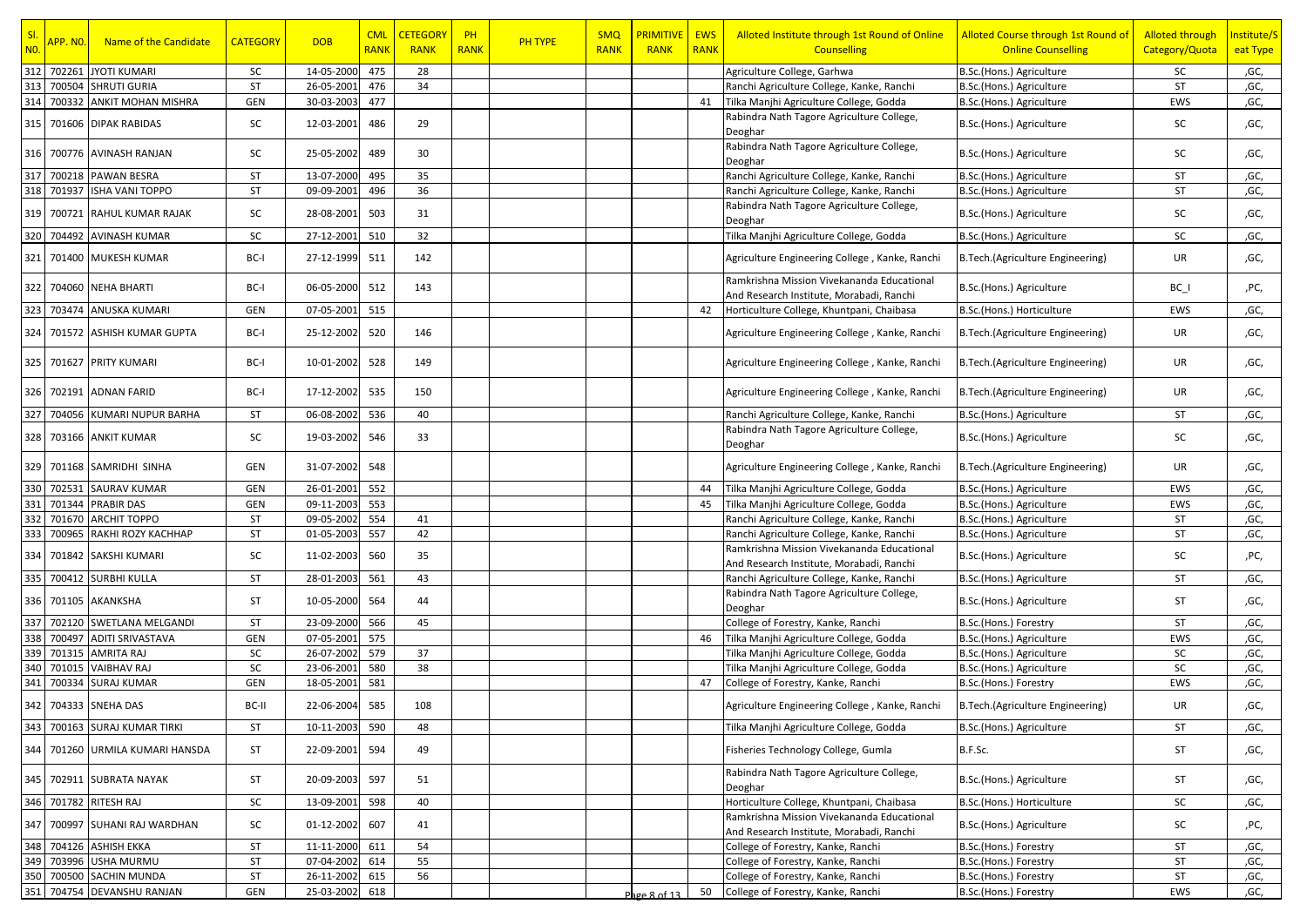| SI.<br>N <sub>0</sub> | <mark>APP. NO.</mark> | Name of the Candidate                      | <b>CATEGORY</b> | <b>DOB</b>               | <b>CML</b><br><b>RANK</b> | <b>CETEGORY</b><br><b>RANK</b> | PH<br><b>RANK</b> | <b>PH TYPE</b> | <b>SMQ</b><br><b>RANK</b> | <b>PRIMITIVE</b><br><b>RANK</b> | <b>EWS</b><br><b>RANK</b> | Alloted Institute through 1st Round of Online<br><b>Counselling</b>                    | Alloted Course through 1st Round of<br><b>Online Counselling</b> | <b>Alloted through</b><br>Category/Quota | Institute/S<br>eat Type |
|-----------------------|-----------------------|--------------------------------------------|-----------------|--------------------------|---------------------------|--------------------------------|-------------------|----------------|---------------------------|---------------------------------|---------------------------|----------------------------------------------------------------------------------------|------------------------------------------------------------------|------------------------------------------|-------------------------|
| 312                   | 702261                | <b>JYOTI KUMARI</b>                        | SC              | 14-05-2000               | 475                       | 28                             |                   |                |                           |                                 |                           | Agriculture College, Garhwa                                                            | B.Sc.(Hons.) Agriculture                                         | SC                                       | ,GC,                    |
| 313                   |                       | 700504 SHRUTI GURIA                        | <b>ST</b>       | 26-05-2001               | 476                       | 34                             |                   |                |                           |                                 |                           | Ranchi Agriculture College, Kanke, Ranchi                                              | B.Sc.(Hons.) Agriculture                                         | ST                                       | ,GC,                    |
| 314                   |                       | 700332 ANKIT MOHAN MISHRA                  | GEN             | 30-03-2003               | 477                       |                                |                   |                |                           |                                 | 41                        | Tilka Manjhi Agriculture College, Godda                                                | B.Sc.(Hons.) Agriculture                                         | EWS                                      | ,GC,                    |
| $315\,$               |                       | 701606 DIPAK RABIDAS                       | SC              | 12-03-2001               | 486                       | 29                             |                   |                |                           |                                 |                           | Rabindra Nath Tagore Agriculture College,<br>Deoghar                                   | B.Sc.(Hons.) Agriculture                                         | <b>SC</b>                                | ,GC,                    |
| 316                   |                       | 700776 AVINASH RANJAN                      | SC              | 25-05-2002               | 489                       | 30                             |                   |                |                           |                                 |                           | Rabindra Nath Tagore Agriculture College,<br>Deoghar                                   | B.Sc.(Hons.) Agriculture                                         | SC                                       | ,GC,                    |
| 317                   | 700218                | <b>PAWAN BESRA</b>                         | ST              | 13-07-2000               | 495                       | 35                             |                   |                |                           |                                 |                           | Ranchi Agriculture College, Kanke, Ranchi                                              | B.Sc.(Hons.) Agriculture                                         | ST                                       | ,GC,                    |
| 318                   | 701937                | <b>ISHA VANI TOPPO</b>                     | ST              | 09-09-2001               | 496                       | 36                             |                   |                |                           |                                 |                           | Ranchi Agriculture College, Kanke, Ranchi                                              | B.Sc.(Hons.) Agriculture                                         | ST                                       | ,GC,                    |
| 319                   |                       | 700721 RAHUL KUMAR RAJAK                   | SC              | 28-08-2001               | 503                       | 31                             |                   |                |                           |                                 |                           | Rabindra Nath Tagore Agriculture College,<br>Deoghar                                   | B.Sc.(Hons.) Agriculture                                         | SC                                       | ,GC,                    |
| 320                   | 704492                | <b>AVINASH KUMAR</b>                       | SC              | 27-12-2001               | 510                       | 32                             |                   |                |                           |                                 |                           | Tilka Manjhi Agriculture College, Godda                                                | B.Sc.(Hons.) Agriculture                                         | <b>SC</b>                                | ,GC,                    |
| 321                   |                       | 701400 MUKESH KUMAR                        | BC-I            | 27-12-1999               | 511                       | 142                            |                   |                |                           |                                 |                           | Agriculture Engineering College, Kanke, Ranchi                                         | B.Tech.(Agriculture Engineering)                                 | UR                                       | ,GC,                    |
| 322                   |                       | 704060 NEHA BHARTI                         | BC-I            | 06-05-2000               | 512                       | 143                            |                   |                |                           |                                 |                           | Ramkrishna Mission Vivekananda Educational<br>And Research Institute, Morabadi, Ranchi | B.Sc.(Hons.) Agriculture                                         | $BC_$                                    | ,PC,                    |
| 323                   | 703474                | <b>ANUSKA KUMARI</b>                       | GEN             | 07-05-2001               | 515                       |                                |                   |                |                           |                                 | 42                        | Horticulture College, Khuntpani, Chaibasa                                              | B.Sc.(Hons.) Horticulture                                        | EWS                                      | ,GC,                    |
| 324                   |                       | 701572 ASHISH KUMAR GUPTA                  | BC-I            | 25-12-2002               | 520                       | 146                            |                   |                |                           |                                 |                           | Agriculture Engineering College, Kanke, Ranchi                                         | B.Tech.(Agriculture Engineering)                                 | UR                                       | ,GC,                    |
|                       |                       | 325   701627   PRITY KUMARI                | BC-I            | 10-01-2002               | 528                       | 149                            |                   |                |                           |                                 |                           | Agriculture Engineering College, Kanke, Ranchi                                         | B.Tech.(Agriculture Engineering)                                 | UR                                       | ,GC,                    |
| 326                   |                       | 702191 ADNAN FARID                         | BC-I            | 17-12-2002               | 535                       | 150                            |                   |                |                           |                                 |                           | Agriculture Engineering College, Kanke, Ranchi                                         | B.Tech.(Agriculture Engineering)                                 | <b>UR</b>                                | ,GC,                    |
| 327                   |                       | 704056 KUMARI NUPUR BARHA                  | <b>ST</b>       | 06-08-2002               | 536                       | 40                             |                   |                |                           |                                 |                           | Ranchi Agriculture College, Kanke, Ranchi                                              | B.Sc.(Hons.) Agriculture                                         | ST                                       | ,GC,                    |
|                       |                       | 328 703166 ANKIT KUMAR                     | SC              | 19-03-2002               | 546                       | 33                             |                   |                |                           |                                 |                           | Rabindra Nath Tagore Agriculture College,<br>Deoghar                                   | B.Sc.(Hons.) Agriculture                                         | <b>SC</b>                                | ,GC,                    |
|                       |                       | 329 701168 SAMRIDHI SINHA                  | GEN             | 31-07-2002               | 548                       |                                |                   |                |                           |                                 |                           | Agriculture Engineering College, Kanke, Ranchi                                         | B.Tech.(Agriculture Engineering)                                 | UR                                       | ,GC,                    |
| 330                   | 702531                | <b>SAURAV KUMAR</b>                        | GEN             | 26-01-2001               | 552                       |                                |                   |                |                           |                                 | 44                        | Tilka Manjhi Agriculture College, Godda                                                | B.Sc.(Hons.) Agriculture                                         | EWS                                      | ,GC,                    |
| 331                   | 701344                | <b>PRABIR DAS</b>                          | GEN             | 09-11-2003               | 553                       |                                |                   |                |                           |                                 | 45                        | Tilka Manjhi Agriculture College, Godda                                                | B.Sc.(Hons.) Agriculture                                         | EWS                                      | ,GC,                    |
| 332                   | 701670                | <b>ARCHIT TOPPO</b>                        | <b>ST</b>       | 09-05-2002               | 554                       | 41                             |                   |                |                           |                                 |                           | Ranchi Agriculture College, Kanke, Ranchi                                              | B.Sc.(Hons.) Agriculture                                         | ST                                       | ,GC,                    |
| 333                   | 700965                | RAKHI ROZY KACHHAP                         | ST              | 01-05-2003               | 557                       | 42                             |                   |                |                           |                                 |                           | Ranchi Agriculture College, Kanke, Ranchi                                              | B.Sc.(Hons.) Agriculture                                         | ST                                       | ,GC,                    |
| 334                   |                       | 701842 SAKSHI KUMARI                       | SC              | 11-02-2003               | 560                       | 35                             |                   |                |                           |                                 |                           | Ramkrishna Mission Vivekananda Educational<br>And Research Institute, Morabadi, Ranchi | B.Sc.(Hons.) Agriculture                                         | SC                                       | ,PC,                    |
| 335                   |                       | 700412 SURBHI KULLA                        | <b>ST</b>       | 28-01-2003               | 561                       | 43                             |                   |                |                           |                                 |                           | Ranchi Agriculture College, Kanke, Ranchi                                              | B.Sc.(Hons.) Agriculture                                         | ST                                       | ,GC,                    |
|                       |                       | 336 701105 AKANKSHA                        | ST              | 10-05-2000               | 564                       | 44                             |                   |                |                           |                                 |                           | Rabindra Nath Tagore Agriculture College,<br>Deoghar                                   | B.Sc.(Hons.) Agriculture                                         | ST                                       | ,GC,                    |
| 337                   | 702120                | SWETLANA MELGANDI                          | ST              | 23-09-2000               | 566                       | 45                             |                   |                |                           |                                 |                           | College of Forestry, Kanke, Ranchi                                                     | B.Sc.(Hons.) Forestry                                            | ST                                       | ,GC,                    |
| 338                   | 700497                | <b>ADITI SRIVASTAVA</b>                    | GEN             | 07-05-2001               | 575                       |                                |                   |                |                           |                                 | 46                        | Tilka Manjhi Agriculture College, Godda                                                | B.Sc.(Hons.) Agriculture                                         | EWS                                      | ,GC,                    |
| 339                   | 701315                | <b>AMRITA RAJ</b>                          | SC              | 26-07-2002               | 579                       | 37                             |                   |                |                           |                                 |                           | Tilka Manjhi Agriculture College, Godda                                                | B.Sc.(Hons.) Agriculture                                         | SC                                       | ,GC,                    |
| 340                   | 701015                | <b>VAIBHAV RAJ</b>                         | SC              | 23-06-2001               | 580                       | 38                             |                   |                |                           |                                 |                           | Tilka Manjhi Agriculture College, Godda                                                | B.Sc.(Hons.) Agriculture                                         | SC                                       | ,GC,                    |
| 341                   | 700334                | <b>SURAJ KUMAR</b><br>342 704333 SNEHA DAS | GEN<br>BC-II    | 18-05-2001<br>22-06-2004 | 581<br>585                | 108                            |                   |                |                           |                                 | 47                        | College of Forestry, Kanke, Ranchi<br>Agriculture Engineering College, Kanke, Ranchi   | B.Sc.(Hons.) Forestry<br>B.Tech.(Agriculture Engineering)        | EWS<br>UR                                | ,GC,<br>,GC,            |
|                       |                       | 343 700163 SURAJ KUMAR TIRKI               | ST              | 10-11-2003               | 590                       | 48                             |                   |                |                           |                                 |                           | Tilka Manjhi Agriculture College, Godda                                                | B.Sc.(Hons.) Agriculture                                         | ST                                       | ,GC,                    |
| 344                   |                       | 701260 URMILA KUMARI HANSDA                | ST              | 22-09-2001               | 594                       | 49                             |                   |                |                           |                                 |                           | Fisheries Technology College, Gumla                                                    | B.F.Sc.                                                          | ST                                       | ,GC,                    |
| 345                   |                       | 702911 SUBRATA NAYAK                       | ST              | 20-09-2003               | 597                       | 51                             |                   |                |                           |                                 |                           | Rabindra Nath Tagore Agriculture College,<br>Deoghar                                   | B.Sc.(Hons.) Agriculture                                         | ST                                       | ,GC,                    |
|                       |                       | 346 701782 RITESH RAJ                      | SC              | 13-09-2001               | 598                       | 40                             |                   |                |                           |                                 |                           | Horticulture College, Khuntpani, Chaibasa                                              | B.Sc.(Hons.) Horticulture                                        | SC                                       | ,GC,                    |
| 347                   |                       | 700997 SUHANI RAJ WARDHAN                  | SC              | 01-12-2002               | 607                       | 41                             |                   |                |                           |                                 |                           | Ramkrishna Mission Vivekananda Educational<br>And Research Institute, Morabadi, Ranchi | B.Sc.(Hons.) Agriculture                                         | SC                                       | ,PC,                    |
|                       |                       | 348 704126 ASHISH EKKA                     | ST              | 11-11-2000               | 611                       | 54                             |                   |                |                           |                                 |                           | College of Forestry, Kanke, Ranchi                                                     | B.Sc.(Hons.) Forestry                                            | ST                                       | ,GC,                    |
| 349                   |                       | 703996 USHA MURMU                          | <b>ST</b>       | 07-04-2002               | 614                       | 55                             |                   |                |                           |                                 |                           | College of Forestry, Kanke, Ranchi                                                     | B.Sc.(Hons.) Forestry                                            | ST                                       | ,GC,                    |
| 350                   |                       | 700500 SACHIN MUNDA                        | ST              | 26-11-2002               | 615                       | 56                             |                   |                |                           |                                 |                           | College of Forestry, Kanke, Ranchi                                                     | B.Sc.(Hons.) Forestry                                            | ST                                       | ,GC,                    |
| 351                   |                       | 704754 DEVANSHU RANJAN                     | GEN             | 25-03-2002               | 618                       |                                |                   |                |                           | Page 8 of 13                    | 50                        | College of Forestry, Kanke, Ranchi                                                     | B.Sc.(Hons.) Forestry                                            | EWS                                      | ,GC,                    |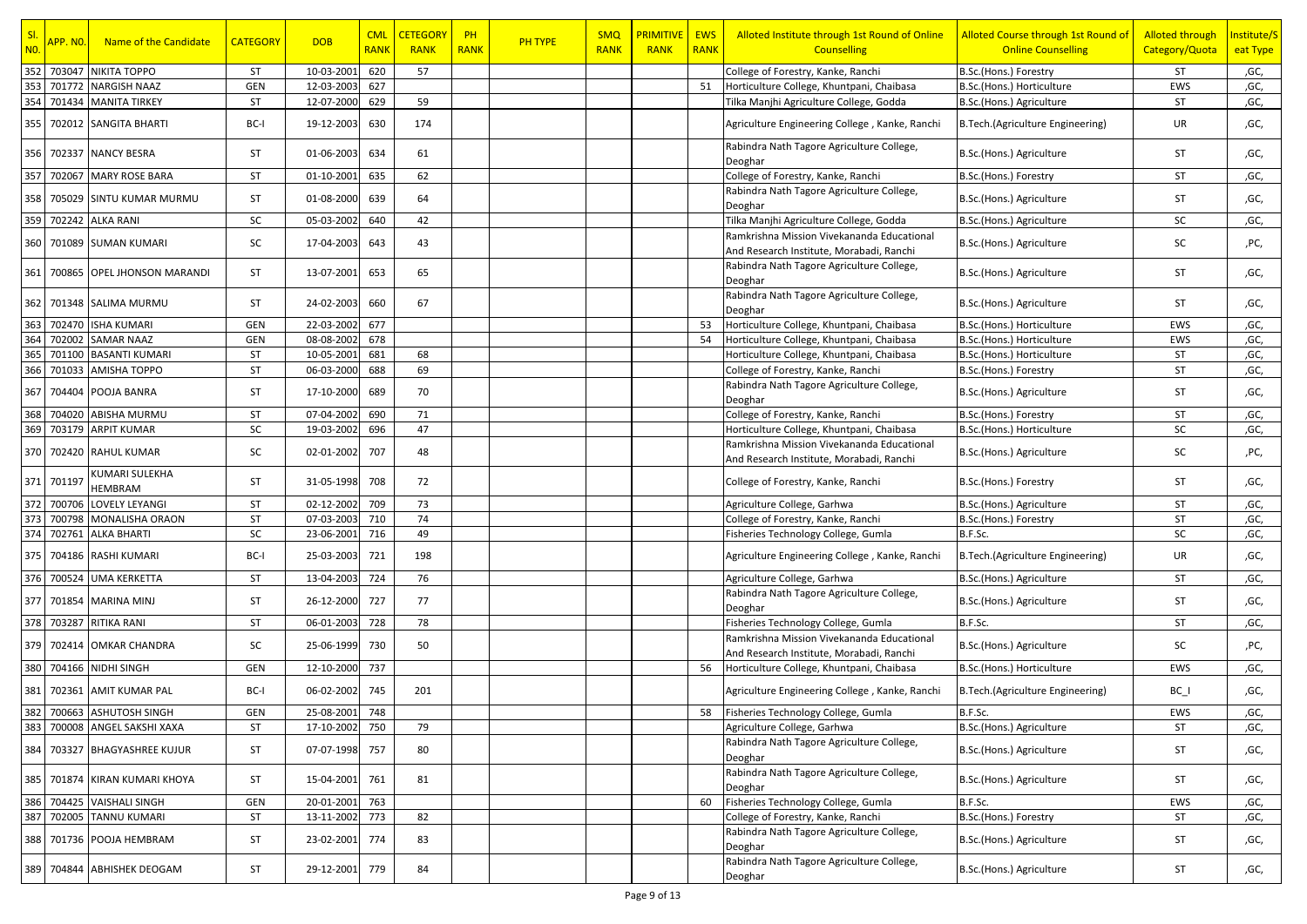| SI.<br>N <sub>0</sub> | <mark>APP. NO.</mark> | Name of the Candidate        | <b>CATEGORY</b> | <b>DOB</b>     | <b>CML</b><br><b>RANK</b> | <b>CETEGORY</b><br><b>RANK</b> | PH<br><b>RANK</b> | <b>PH TYPE</b> | <b>SMQ</b><br><b>RANK</b> | <b>PRIMITIVE</b><br><b>RANK</b> | <b>EWS</b><br><b>RANK</b> | Alloted Institute through 1st Round of Online<br><b>Counselling</b>                    | Alloted Course through 1st Round of<br><b>Online Counselling</b> | <b>Alloted through</b><br>Category/Quota | Institute/S<br>eat Type |
|-----------------------|-----------------------|------------------------------|-----------------|----------------|---------------------------|--------------------------------|-------------------|----------------|---------------------------|---------------------------------|---------------------------|----------------------------------------------------------------------------------------|------------------------------------------------------------------|------------------------------------------|-------------------------|
| 352                   | 703047                | <b>NIKITA TOPPO</b>          | ST              | 10-03-2001     | 620                       | 57                             |                   |                |                           |                                 |                           | College of Forestry, Kanke, Ranchi                                                     | B.Sc.(Hons.) Forestry                                            | ST                                       | ,GC,                    |
| 353                   | 701772                | <b>NARGISH NAAZ</b>          | GEN             | 12-03-2003     | 627                       |                                |                   |                |                           |                                 | 51                        | Horticulture College, Khuntpani, Chaibasa                                              | B.Sc.(Hons.) Horticulture                                        | EWS                                      | ,GC,                    |
| 354                   |                       | 701434 MANITA TIRKEY         | ST              | 12-07-2000     | 629                       | 59                             |                   |                |                           |                                 |                           | Tilka Manjhi Agriculture College, Godda                                                | B.Sc.(Hons.) Agriculture                                         | ST                                       | ,GC,                    |
| 355                   |                       | 702012 SANGITA BHARTI        | BC-I            | 19-12-2003     | 630                       | 174                            |                   |                |                           |                                 |                           | Agriculture Engineering College, Kanke, Ranchi                                         | B.Tech.(Agriculture Engineering)                                 | UR                                       | ,GC,                    |
| 356                   |                       | 702337 NANCY BESRA           | ST              | 01-06-2003     | 634                       | 61                             |                   |                |                           |                                 |                           | Rabindra Nath Tagore Agriculture College,<br>Deoghar                                   | B.Sc.(Hons.) Agriculture                                         | ST                                       | ,GC,                    |
| 357                   | 702067                | <b>MARY ROSE BARA</b>        | ST              | 01-10-2001     | 635                       | 62                             |                   |                |                           |                                 |                           | College of Forestry, Kanke, Ranchi                                                     | B.Sc.(Hons.) Forestry                                            | ST                                       | ,GC,                    |
| 358                   |                       | 705029 SINTU KUMAR MURMU     | ST              | 01-08-2000     | 639                       | 64                             |                   |                |                           |                                 |                           | Rabindra Nath Tagore Agriculture College,<br>Deoghar                                   | B.Sc.(Hons.) Agriculture                                         | ST                                       | ,GC,                    |
| 359                   |                       | 702242 ALKA RANI             | SC              | 05-03-2002     | 640                       | 42                             |                   |                |                           |                                 |                           | Tilka Manjhi Agriculture College, Godda                                                | B.Sc.(Hons.) Agriculture                                         | SC                                       | ,GC,                    |
| 360                   |                       | 701089 SUMAN KUMARI          | SC              | 17-04-2003     | 643                       | 43                             |                   |                |                           |                                 |                           | Ramkrishna Mission Vivekananda Educational<br>And Research Institute, Morabadi, Ranchi | B.Sc.(Hons.) Agriculture                                         | SC                                       | ,PC,                    |
| 361                   |                       | 700865 OPEL JHONSON MARANDI  | ST              | 13-07-2001     | 653                       | 65                             |                   |                |                           |                                 |                           | Rabindra Nath Tagore Agriculture College,<br>Deoghar                                   | B.Sc.(Hons.) Agriculture                                         | ST                                       | ,GC,                    |
| 362                   |                       | 701348 SALIMA MURMU          | <b>ST</b>       | 24-02-2003     | 660                       | 67                             |                   |                |                           |                                 |                           | Rabindra Nath Tagore Agriculture College,<br>Deoghar                                   | B.Sc.(Hons.) Agriculture                                         | ST                                       | ,GC,                    |
| 363                   | 702470                | <b>ISHA KUMARI</b>           | GEN             | 22-03-2002     | 677                       |                                |                   |                |                           |                                 | 53                        | Horticulture College, Khuntpani, Chaibasa                                              | B.Sc.(Hons.) Horticulture                                        | EWS                                      | ,GC,                    |
| 364                   | 702002                | <b>SAMAR NAAZ</b>            | GEN             | 08-08-2002     | 678                       |                                |                   |                |                           |                                 | 54                        | Horticulture College, Khuntpani, Chaibasa                                              | B.Sc.(Hons.) Horticulture                                        | EWS                                      | ,GC,                    |
| 365                   | 701100                | <b>BASANTI KUMARI</b>        | ST              | 10-05-2001     | 681                       | 68                             |                   |                |                           |                                 |                           | Horticulture College, Khuntpani, Chaibasa                                              | B.Sc.(Hons.) Horticulture                                        | ST                                       | ,GC,                    |
| 366                   | 701033                | AMISHA TOPPO                 | ST              | 06-03-2000     | 688                       | 69                             |                   |                |                           |                                 |                           | College of Forestry, Kanke, Ranchi                                                     | B.Sc.(Hons.) Forestry                                            | ST                                       | ,GC,                    |
| 367                   |                       | 704404 POOJA BANRA           | ST              | 17-10-2000     | 689                       | 70                             |                   |                |                           |                                 |                           | Rabindra Nath Tagore Agriculture College,<br>Deoghar                                   | B.Sc.(Hons.) Agriculture                                         | ST                                       | ,GC,                    |
| 368                   | 704020                | ABISHA MURMU                 | <b>ST</b>       | 07-04-2002     | 690                       | 71                             |                   |                |                           |                                 |                           | College of Forestry, Kanke, Ranchi                                                     | B.Sc.(Hons.) Forestry                                            | ST                                       | ,GC,                    |
| 369                   | 703179                | <b>ARPIT KUMAR</b>           | SC              | 19-03-2002     | 696                       | 47                             |                   |                |                           |                                 |                           | Horticulture College, Khuntpani, Chaibasa                                              | B.Sc.(Hons.) Horticulture                                        | SC                                       | ,GC,                    |
|                       |                       | 370 702420 RAHUL KUMAR       | SC              | 02-01-2002     | 707                       | 48                             |                   |                |                           |                                 |                           | Ramkrishna Mission Vivekananda Educational<br>And Research Institute, Morabadi, Ranchi | B.Sc.(Hons.) Agriculture                                         | SC                                       | ,PC,                    |
| 371                   | 701197                | KUMARI SULEKHA<br>HEMBRAM    | ST              | 31-05-1998     | 708                       | 72                             |                   |                |                           |                                 |                           | College of Forestry, Kanke, Ranchi                                                     | B.Sc.(Hons.) Forestry                                            | ST                                       | ,GC,                    |
| 372                   | 700706                | <b>LOVELY LEYANGI</b>        | ST              | 02-12-2002     | 709                       | 73                             |                   |                |                           |                                 |                           | Agriculture College, Garhwa                                                            | B.Sc.(Hons.) Agriculture                                         | ST                                       | ,GC,                    |
| 373                   | 700798                | MONALISHA ORAON              | ST              | 07-03-2003     | 710                       | 74                             |                   |                |                           |                                 |                           | College of Forestry, Kanke, Ranchi                                                     | B.Sc.(Hons.) Forestry                                            | ST                                       | ,GC,                    |
| 374                   | 702761                | <b>ALKA BHARTI</b>           | SC              | 23-06-2001     | 716                       | 49                             |                   |                |                           |                                 |                           | Fisheries Technology College, Gumla                                                    | B.F.Sc.                                                          | SC                                       | ,GC,                    |
| 375                   |                       | 704186 RASHI KUMARI          | BC-I            | 25-03-2003     | 721                       | 198                            |                   |                |                           |                                 |                           | Agriculture Engineering College, Kanke, Ranchi                                         | B.Tech.(Agriculture Engineering)                                 | UR                                       | ,GC,                    |
|                       |                       | 376 700524 UMA KERKETTA      | ST              | 13-04-2003     | 724                       | 76                             |                   |                |                           |                                 |                           | Agriculture College, Garhwa                                                            | B.Sc.(Hons.) Agriculture                                         | ST                                       | ,GC,                    |
| 377                   |                       | 701854 MARINA MINJ           | ST              | 26-12-2000     | 727                       | 77                             |                   |                |                           |                                 |                           | Rabindra Nath Tagore Agriculture College,<br>Deoghar                                   | B.Sc.(Hons.) Agriculture                                         | ST                                       | ,GC,                    |
|                       | 378 703287            | RITIKA RANI                  | <b>ST</b>       | 06-01-2003     | 728                       | 78                             |                   |                |                           |                                 |                           | Fisheries Technology College, Gumla                                                    | B.F.Sc.                                                          | ST                                       | ,GC,                    |
|                       |                       | 379 702414 OMKAR CHANDRA     | SC              | 25-06-1999     | 730                       | 50                             |                   |                |                           |                                 |                           | Ramkrishna Mission Vivekananda Educational<br>And Research Institute, Morabadi, Ranchi | B.Sc.(Hons.) Agriculture                                         | SC                                       | ,PC,                    |
| 380                   |                       | 704166 NIDHI SINGH           | GEN             | 12-10-2000     | 737                       |                                |                   |                |                           |                                 | 56                        | Horticulture College, Khuntpani, Chaibasa                                              | B.Sc.(Hons.) Horticulture                                        | EWS                                      | ,GC,                    |
| 381                   |                       | 702361 AMIT KUMAR PAL        | BC-I            | 06-02-2002     | 745                       | 201                            |                   |                |                           |                                 |                           | Agriculture Engineering College, Kanke, Ranchi                                         | B.Tech.(Agriculture Engineering)                                 | BC I                                     | ,GC,                    |
|                       |                       | 382 700663 ASHUTOSH SINGH    | GEN             | 25-08-2001     | 748                       |                                |                   |                |                           |                                 | 58                        | Fisheries Technology College, Gumla                                                    | B.F.Sc.                                                          | EWS                                      | ,GC,                    |
|                       |                       | 383 700008 ANGEL SAKSHI XAXA | ST              | 17-10-2002 750 |                           | 79                             |                   |                |                           |                                 |                           | Agriculture College, Garhwa                                                            | B.Sc.(Hons.) Agriculture                                         | ST                                       | ,GC,                    |
| 384                   |                       | 703327 BHAGYASHREE KUJUR     | ST              | 07-07-1998 757 |                           | 80                             |                   |                |                           |                                 |                           | Rabindra Nath Tagore Agriculture College,<br>Deoghar                                   | B.Sc.(Hons.) Agriculture                                         | ST                                       | ,GC,                    |
| 385                   |                       | 701874 KIRAN KUMARI KHOYA    | ST              | 15-04-2001     | 761                       | 81                             |                   |                |                           |                                 |                           | Rabindra Nath Tagore Agriculture College,<br>Deoghar                                   | B.Sc.(Hons.) Agriculture                                         | ST                                       | ,GC,                    |
| 386                   |                       | 704425 VAISHALI SINGH        | GEN             | 20-01-2001     | 763                       |                                |                   |                |                           |                                 | 60                        | Fisheries Technology College, Gumla                                                    | B.F.Sc.                                                          | EWS                                      | ,GC,                    |
| 387                   |                       | 702005 TANNU KUMARI          | ST              | 13-11-2002     | 773                       | 82                             |                   |                |                           |                                 |                           | College of Forestry, Kanke, Ranchi                                                     | B.Sc.(Hons.) Forestry                                            | ST                                       | ,GC,                    |
| 388                   |                       | 701736 POOJA HEMBRAM         | ST              | 23-02-2001     | 774                       | 83                             |                   |                |                           |                                 |                           | Rabindra Nath Tagore Agriculture College,<br>Deoghar                                   | B.Sc.(Hons.) Agriculture                                         | ST                                       | ,GC,                    |
| 389                   |                       | 704844 ABHISHEK DEOGAM       | ST              | 29-12-2001 779 |                           | 84                             |                   |                |                           |                                 |                           | Rabindra Nath Tagore Agriculture College,<br>Deoghar                                   | B.Sc.(Hons.) Agriculture                                         | ST                                       | ,GC,                    |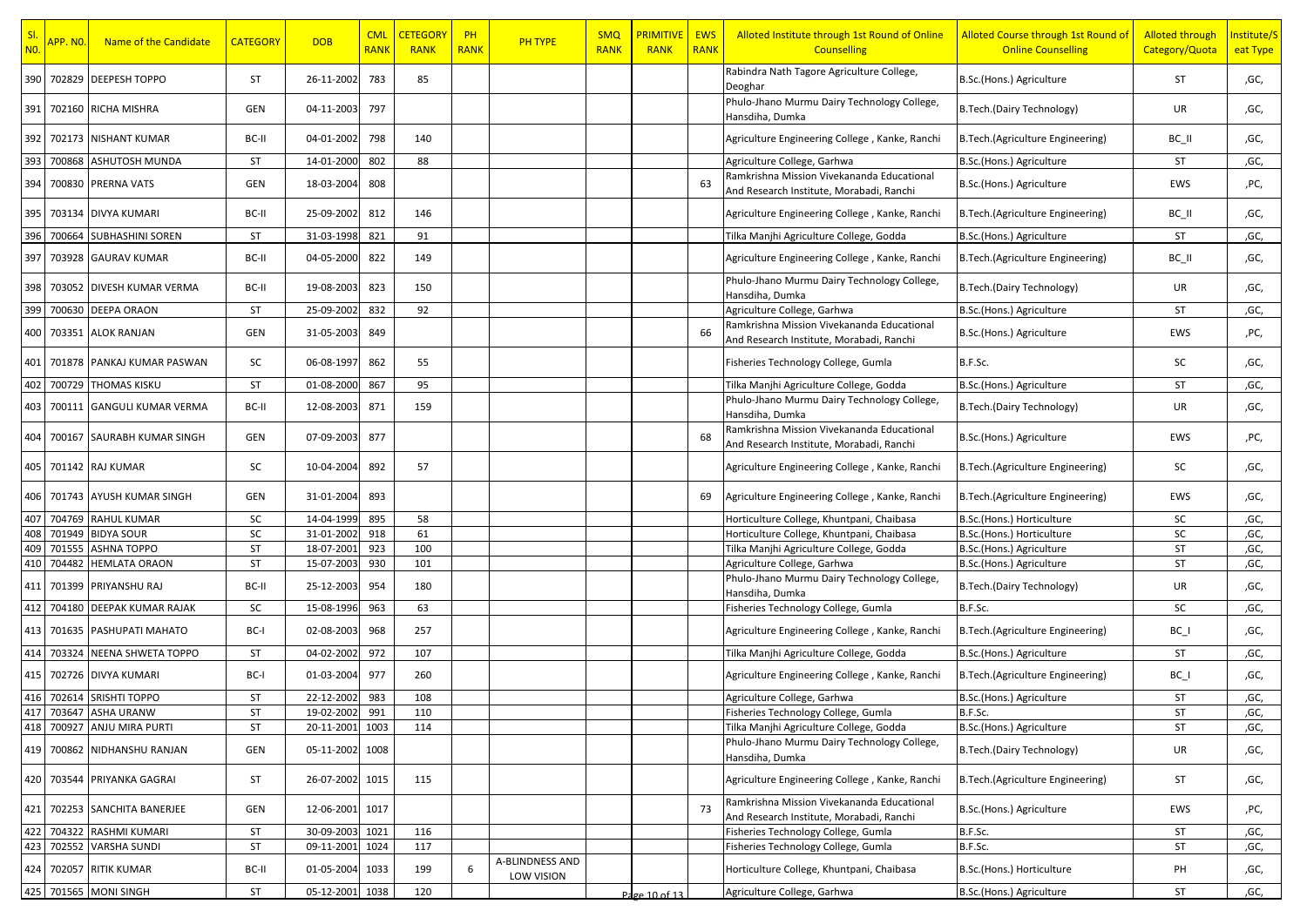| SI.<br>N <sub>0</sub> | <mark>APP. NO.</mark> | Name of the Candidate       | <b>CATEGORY</b> | <b>DOB</b> | <b>CML</b><br><b>RANK</b> | <b>CETEGORY</b><br><b>RANK</b> | $P$ H<br><b>RANK</b> | PH TYPE                       | <b>SMQ</b><br><b>RANK</b> | <b>PRIMITIVE   EWS</b><br><b>RANK</b> | <b>RANK</b> | Alloted Institute through 1st Round of Online<br><b>Counselling</b>                    | Alloted Course through 1st Round of<br><b>Online Counselling</b> | <b>Alloted through</b><br>Category/Quota | Institute/S<br>eat Type |
|-----------------------|-----------------------|-----------------------------|-----------------|------------|---------------------------|--------------------------------|----------------------|-------------------------------|---------------------------|---------------------------------------|-------------|----------------------------------------------------------------------------------------|------------------------------------------------------------------|------------------------------------------|-------------------------|
| 390                   |                       | 702829 DEEPESH TOPPO        | ST              | 26-11-2002 | 783                       | 85                             |                      |                               |                           |                                       |             | Rabindra Nath Tagore Agriculture College,<br>Deoghar                                   | B.Sc.(Hons.) Agriculture                                         | ST                                       | ,GC,                    |
| 391                   |                       | 702160 RICHA MISHRA         | GEN             | 04-11-2003 | 797                       |                                |                      |                               |                           |                                       |             | Phulo-Jhano Murmu Dairy Technology College,<br>Hansdiha, Dumka                         | B.Tech.(Dairy Technology)                                        | UR                                       | ,GC,                    |
| 392                   |                       | 702173 NISHANT KUMAR        | BC-II           | 04-01-2002 | 798                       | 140                            |                      |                               |                           |                                       |             | Agriculture Engineering College, Kanke, Ranchi                                         | B.Tech.(Agriculture Engineering)                                 | BC II                                    | ,GC,                    |
| 393                   | 700868                | ASHUTOSH MUNDA              | ST              | 14-01-2000 | 802                       | 88                             |                      |                               |                           |                                       |             | Agriculture College, Garhwa                                                            | B.Sc.(Hons.) Agriculture                                         | ST                                       | ,GC,                    |
| 394                   |                       | 700830 PRERNA VATS          | GEN             | 18-03-2004 | 808                       |                                |                      |                               |                           |                                       | 63          | Ramkrishna Mission Vivekananda Educational<br>And Research Institute, Morabadi, Ranchi | B.Sc.(Hons.) Agriculture                                         | EWS                                      | ,PC,                    |
| 395 I                 |                       | 703134 DIVYA KUMARI         | BC-II           | 25-09-2002 | 812                       | 146                            |                      |                               |                           |                                       |             | Agriculture Engineering College, Kanke, Ranchi                                         | B.Tech.(Agriculture Engineering)                                 | BC II                                    | ,GC,                    |
| 396                   | 700664                | <b>SUBHASHINI SOREN</b>     | ST              | 31-03-1998 | 821                       | 91                             |                      |                               |                           |                                       |             | Tilka Manjhi Agriculture College, Godda                                                | B.Sc.(Hons.) Agriculture                                         | ST                                       | ,GC,                    |
| 397                   |                       | 703928 GAURAV KUMAR         | BC-II           | 04-05-2000 | 822                       | 149                            |                      |                               |                           |                                       |             | Agriculture Engineering College, Kanke, Ranchi                                         | B.Tech.(Agriculture Engineering)                                 | BC_II                                    | ,GC,                    |
| 398                   |                       | 703052 DIVESH KUMAR VERMA   | BC-II           | 19-08-2003 | 823                       | 150                            |                      |                               |                           |                                       |             | Phulo-Jhano Murmu Dairy Technology College,<br>Hansdiha, Dumka                         | B.Tech.(Dairy Technology)                                        | UR                                       | ,GC,                    |
| 399                   | 700630                | <b>DEEPA ORAON</b>          | ST              | 25-09-2002 | 832                       | 92                             |                      |                               |                           |                                       |             | Agriculture College, Garhwa                                                            | B.Sc.(Hons.) Agriculture                                         | ST                                       | ,GC,                    |
| 400                   |                       | 703351 ALOK RANJAN          | <b>GEN</b>      | 31-05-2003 | 849                       |                                |                      |                               |                           |                                       |             | Ramkrishna Mission Vivekananda Educational<br>And Research Institute, Morabadi, Ranchi | B.Sc.(Hons.) Agriculture                                         | EWS                                      | ,PC,                    |
| 401                   |                       | 701878 PANKAJ KUMAR PASWAN  | SC              | 06-08-1997 | 862                       | 55                             |                      |                               |                           |                                       |             | Fisheries Technology College, Gumla                                                    | B.F.Sc.                                                          | SC                                       | ,GC,                    |
| 402                   |                       | 700729 THOMAS KISKU         | ST              | 01-08-2000 | 867                       | 95                             |                      |                               |                           |                                       |             | Tilka Manjhi Agriculture College, Godda                                                | B.Sc.(Hons.) Agriculture                                         | ST                                       | ,GC,                    |
| 403                   |                       | 700111 GANGULI KUMAR VERMA  | BC-II           | 12-08-2003 | 871                       | 159                            |                      |                               |                           |                                       |             | Phulo-Jhano Murmu Dairy Technology College,<br>Hansdiha, Dumka                         | B.Tech.(Dairy Technology)                                        | UR                                       | ,GC,                    |
| 404                   |                       | 700167 SAURABH KUMAR SINGH  | GEN             | 07-09-2003 | 877                       |                                |                      |                               |                           |                                       | 68          | Ramkrishna Mission Vivekananda Educational<br>And Research Institute, Morabadi, Ranchi | B.Sc.(Hons.) Agriculture                                         | EWS                                      | ,PC,                    |
| 405                   |                       | 701142 RAJ KUMAR            | SC              | 10-04-2004 | 892                       | 57                             |                      |                               |                           |                                       |             | Agriculture Engineering College, Kanke, Ranchi                                         | B.Tech.(Agriculture Engineering)                                 | SC                                       | ,GC,                    |
| 406                   |                       | 701743 AYUSH KUMAR SINGH    | <b>GEN</b>      | 31-01-2004 | 893                       |                                |                      |                               |                           |                                       | 69          | Agriculture Engineering College, Kanke, Ranchi                                         | B.Tech.(Agriculture Engineering)                                 | EWS                                      | ,GC,                    |
| 407                   |                       | 704769 RAHUL KUMAR          | SC              | 14-04-1999 | 895                       | 58                             |                      |                               |                           |                                       |             | Horticulture College, Khuntpani, Chaibasa                                              | B.Sc.(Hons.) Horticulture                                        | SC                                       | ,GC,                    |
| 408                   | 701949                | <b>BIDYA SOUR</b>           | SC              | 31-01-2002 | 918                       | 61                             |                      |                               |                           |                                       |             | Horticulture College, Khuntpani, Chaibasa                                              | B.Sc.(Hons.) Horticulture                                        | SC                                       | ,GC,                    |
| 409                   | 701555                | <b>ASHNA TOPPO</b>          | <b>ST</b>       | 18-07-2001 | 923                       | 100                            |                      |                               |                           |                                       |             | Tilka Manjhi Agriculture College, Godda                                                | B.Sc.(Hons.) Agriculture                                         | ST                                       | ,GC,                    |
| 410                   | 704482                | <b>HEMLATA ORAON</b>        | ST              | 15-07-2003 | 930                       | 101                            |                      |                               |                           |                                       |             | Agriculture College, Garhwa                                                            | B.Sc.(Hons.) Agriculture                                         | ST                                       | ,GC,                    |
| 411                   |                       | 701399 PRIYANSHU RAJ        | BC-II           | 25-12-2003 | 954                       | 180                            |                      |                               |                           |                                       |             | Phulo-Jhano Murmu Dairy Technology College,<br>Hansdiha, Dumka                         | B.Tech.(Dairy Technology)                                        | UR                                       | ,GC,                    |
| 412                   | 704180                | <b>DEEPAK KUMAR RAJAK</b>   | SC              | 15-08-1996 | 963                       | 63                             |                      |                               |                           |                                       |             | Fisheries Technology College, Gumla                                                    | B.F.Sc.                                                          | SC                                       | ,GC,                    |
| 413                   |                       | 701635 PASHUPATI MAHATO     | BC-I            | 02-08-2003 | 968                       | 257                            |                      |                               |                           |                                       |             | Agriculture Engineering College, Kanke, Ranchi                                         | B.Tech.(Agriculture Engineering)                                 | $BC_$                                    | ,GC,                    |
| 414                   |                       | 703324 NEENA SHWETA TOPPO   | ST              | 04-02-2002 | 972                       | 107                            |                      |                               |                           |                                       |             | Tilka Manjhi Agriculture College, Godda                                                | B.Sc.(Hons.) Agriculture                                         | ST                                       | ,GC,                    |
| 415                   |                       | 702726 DIVYA KUMARI         | BC-I            | 01-03-2004 | 977                       | 260                            |                      |                               |                           |                                       |             | Agriculture Engineering College, Kanke, Ranchi                                         | B.Tech.(Agriculture Engineering)                                 | $BC_$                                    | ,GC,                    |
|                       |                       | 416 702614 SRISHTI TOPPO    | ST              | 22-12-2002 | 983                       | 108                            |                      |                               |                           |                                       |             | Agriculture College, Garhwa                                                            | B.Sc.(Hons.) Agriculture                                         | ST                                       | ,GC,                    |
| 417                   |                       | 703647 ASHA URANW           | <b>ST</b>       | 19-02-2002 | 991                       | 110                            |                      |                               |                           |                                       |             | Fisheries Technology College, Gumla                                                    | B.F.Sc.                                                          | ST                                       | ,GC,                    |
|                       |                       | 418 700927 ANJU MIRA PURTI  | ST              | 20-11-2001 | 1003                      | 114                            |                      |                               |                           |                                       |             | Tilka Manjhi Agriculture College, Godda                                                | B.Sc.(Hons.) Agriculture                                         | ST                                       | ,GC,                    |
|                       |                       | 419 700862 NIDHANSHU RANJAN | GEN             | 05-11-2002 | 1008                      |                                |                      |                               |                           |                                       |             | Phulo-Jhano Murmu Dairy Technology College,<br>Hansdiha, Dumka                         | <b>B.Tech.(Dairy Technology)</b>                                 | UR                                       | ,GC,                    |
| 420                   |                       | 703544 PRIYANKA GAGRAI      | ST              | 26-07-2002 | 1015                      | 115                            |                      |                               |                           |                                       |             | Agriculture Engineering College, Kanke, Ranchi                                         | B.Tech.(Agriculture Engineering)                                 | ST                                       | ,GC,                    |
| 421                   |                       | 702253 SANCHITA BANERJEE    | GEN             | 12-06-2001 | 1017                      |                                |                      |                               |                           |                                       | 73          | Ramkrishna Mission Vivekananda Educational<br>And Research Institute, Morabadi, Ranchi | B.Sc.(Hons.) Agriculture                                         | EWS                                      | ,PC,                    |
| 422                   | 704322                | RASHMI KUMARI               | ST              | 30-09-2003 | 1021                      | 116                            |                      |                               |                           |                                       |             | Fisheries Technology College, Gumla                                                    | B.F.Sc.                                                          | ST                                       | ,GC,                    |
| 423                   |                       | 702552 VARSHA SUNDI         | ST              | 09-11-2001 | 1024                      | 117                            |                      |                               |                           |                                       |             | Fisheries Technology College, Gumla                                                    | B.F.Sc.                                                          | ST                                       | ,GC,                    |
| 424                   |                       | 702057 RITIK KUMAR          | BC-II           | 01-05-2004 | 1033                      | 199                            | 6                    | A-BLINDNESS AND<br>LOW VISION |                           |                                       |             | Horticulture College, Khuntpani, Chaibasa                                              | B.Sc.(Hons.) Horticulture                                        | PH                                       | ,GC,                    |
|                       |                       | 425 701565 MONI SINGH       | ST              | 05-12-2001 | 1038                      | 120                            |                      |                               |                           | Page 10 of 13                         |             | Agriculture College, Garhwa                                                            | B.Sc.(Hons.) Agriculture                                         | ST                                       | ,GC,                    |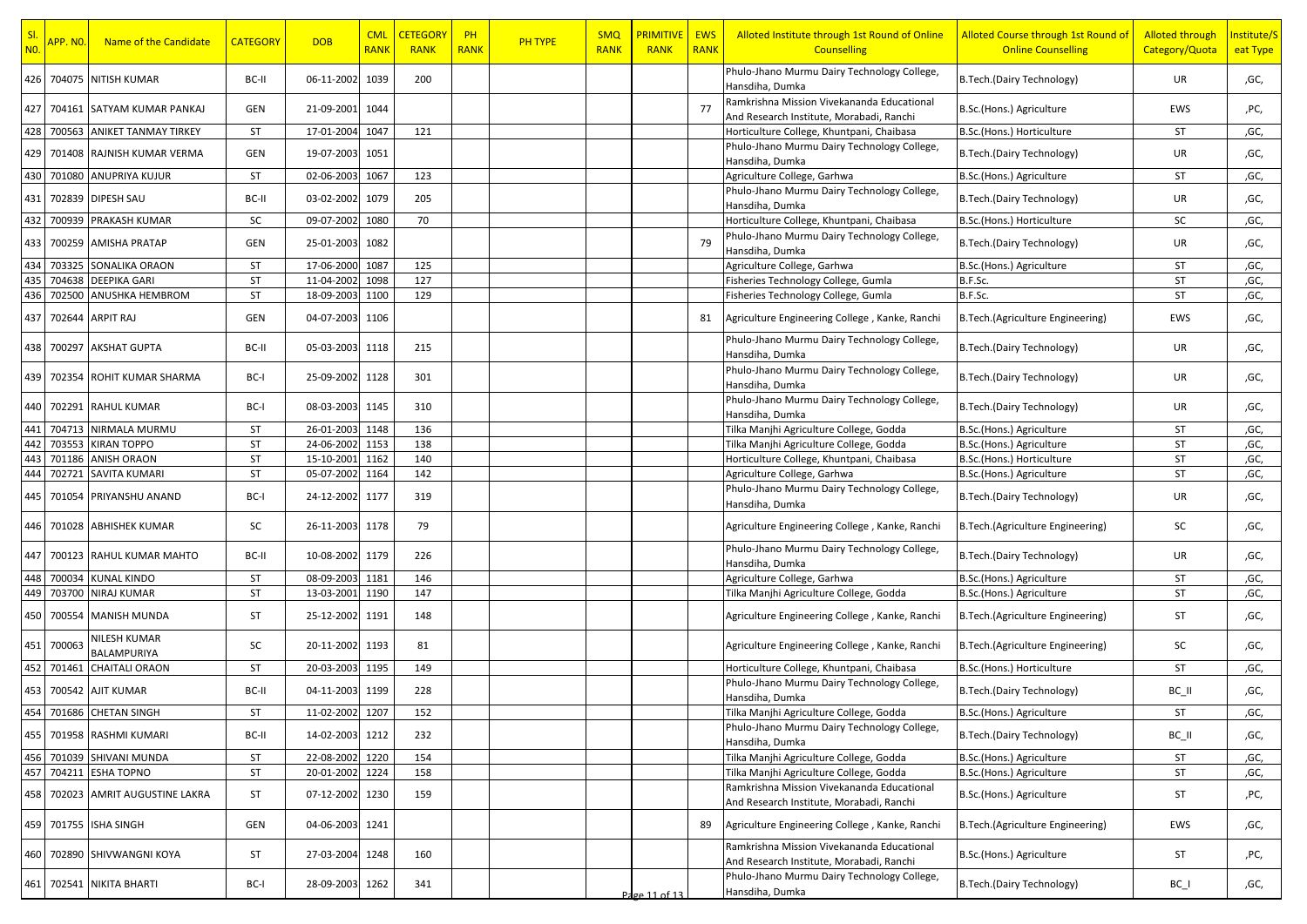| Phulo-Jhano Murmu Dairy Technology College,<br>426 704075 NITISH KUMAR<br>06-11-2002<br>B. Tech. (Dairy Technology)<br>BC-II<br>1039<br>200<br>UR<br>,GC,<br>Hansdiha, Dumka<br>Ramkrishna Mission Vivekananda Educational<br>427<br>77<br>704161 SATYAM KUMAR PANKAJ<br>21-09-2001<br>1044<br>B.Sc.(Hons.) Agriculture<br>GEN<br>EWS<br>,PC,<br>And Research Institute, Morabadi, Ranchi<br>428 700563 ANIKET TANMAY TIRKEY<br>ST<br>17-01-2004 1047<br>121<br>Horticulture College, Khuntpani, Chaibasa<br>ST<br>,GC,<br>B.Sc.(Hons.) Horticulture<br>Phulo-Jhano Murmu Dairy Technology College,<br>429   701408   RAJNISH KUMAR VERMA<br>GEN<br>19-07-2003<br>B.Tech.(Dairy Technology)<br>UR<br>1051<br>,GC,<br>Hansdiha, Dumka<br>430 701080 ANUPRIYA KUJUR<br>ST<br>02-06-2003<br>1067<br>123<br>ST<br>Agriculture College, Garhwa<br>,GC,<br>B.Sc.(Hons.) Agriculture<br>Phulo-Jhano Murmu Dairy Technology College,<br>431 702839 DIPESH SAU<br>03-02-2002 1079<br>205<br>UR<br>BC-II<br>B.Tech.(Dairy Technology)<br>,GC,<br>Hansdiha, Dumka<br>432<br>700939<br>PRAKASH KUMAR<br>09-07-2002<br>SC<br>1080<br>70<br>Horticulture College, Khuntpani, Chaibasa<br>B.Sc.(Hons.) Horticulture<br>SC<br>,GC,<br>Phulo-Jhano Murmu Dairy Technology College,<br>1082<br>433 700259 AMISHA PRATAP<br>GEN<br>25-01-2003<br>79<br>UR<br>,GC,<br>B.Tech.(Dairy Technology)<br>Hansdiha, Dumka<br>SONALIKA ORAON<br>434<br>703325<br><b>ST</b><br>17-06-2000<br>1087<br>125<br>Agriculture College, Garhwa<br>ST<br>B.Sc.(Hons.) Agriculture<br>,GC,<br>435<br><b>DEEPIKA GARI</b><br>ST<br>1098<br>127<br>ST<br>704638<br>11-04-2002<br>Fisheries Technology College, Gumla<br>B.F.Sc.<br>,GC,<br>436<br>702500<br>ANUSHKA HEMBROM<br>ST<br>1100<br>129<br>B.F.Sc.<br>ST<br>18-09-2003<br>Fisheries Technology College, Gumla<br>,GC,<br>437<br>702644<br>ARPIT RAJ<br>GEN<br>04-07-2003<br>1106<br>EWS<br>,GC,<br>Agriculture Engineering College, Kanke, Ranchi<br>B.Tech.(Agriculture Engineering)<br>Phulo-Jhano Murmu Dairy Technology College,<br>438 700297 AKSHAT GUPTA<br>BC-II<br>05-03-2003 1118<br>215<br>B.Tech.(Dairy Technology)<br>UR<br>,GC,<br>Hansdiha, Dumka<br>Phulo-Jhano Murmu Dairy Technology College,<br>439<br>702354 ROHIT KUMAR SHARMA<br>25-09-2002 1128<br>B. Tech. (Dairy Technology)<br>UR<br>BC-I<br>301<br>,GC,<br>Hansdiha, Dumka<br>Phulo-Jhano Murmu Dairy Technology College,<br>440 702291 RAHUL KUMAR<br>08-03-2003<br>1145<br>B.Tech.(Dairy Technology)<br>BC-I<br>310<br>UR<br>,GC,<br>Hansdiha, Dumka<br>704713 NIRMALA MURMU<br>ST<br>26-01-2003 1148<br>136<br>ST<br>Tilka Manjhi Agriculture College, Godda<br>,GC,<br>B.Sc.(Hons.) Agriculture<br>442<br>703553<br><b>KIRAN TOPPO</b><br>ST<br>24-06-2002<br>1153<br>138<br>ST<br>Tilka Manjhi Agriculture College, Godda<br>B.Sc.(Hons.) Agriculture<br>,GC,<br>701186 ANISH ORAON<br><b>ST</b><br>140<br>ST<br>15-10-2001<br>1162<br>Horticulture College, Khuntpani, Chaibasa<br>B.Sc.(Hons.) Horticulture<br>,GC,<br>444<br>702721<br><b>SAVITA KUMARI</b><br>ST<br>142<br>ST<br>05-07-2002 1164<br>Agriculture College, Garhwa<br>B.Sc.(Hons.) Agriculture<br>,GC,<br>Phulo-Jhano Murmu Dairy Technology College,<br>445 701054 PRIYANSHU ANAND<br>24-12-2002 1177<br>319<br>B.Tech.(Dairy Technology)<br>UR<br>,GC,<br>BC-I<br>Hansdiha, Dumka<br>446   701028   ABHISHEK KUMAR<br>SC<br>26-11-2003 1178<br>79<br>Agriculture Engineering College, Kanke, Ranchi<br>SC<br>B.Tech.(Agriculture Engineering)<br>,GC,<br>Phulo-Jhano Murmu Dairy Technology College,<br>447<br>700123 RAHUL KUMAR MAHTO<br>10-08-2002 1179<br>226<br>B. Tech. (Dairy Technology)<br>UR<br>BC-II<br>,GC,<br>Hansdiha, Dumka<br>448 700034<br><b>KUNAL KINDO</b><br>ST<br>08-09-2003 1181<br>146<br>ST<br>Agriculture College, Garhwa<br>,GC,<br>B.Sc.(Hons.) Agriculture<br>449<br>703700 NIRAJ KUMAR<br><b>ST</b><br>ST<br>13-03-2001<br>1190<br>147<br>Tilka Manjhi Agriculture College, Godda<br>B.Sc.(Hons.) Agriculture<br>,GC,<br>450<br>700554<br><b>MANISH MUNDA</b><br>ST<br>25-12-2002<br>1191<br>148<br>ST<br>Agriculture Engineering College, Kanke, Ranchi<br>B.Tech.(Agriculture Engineering)<br>,GC,<br>NILESH KUMAR<br>451<br>700063<br>SC<br>20-11-2002 1193<br>SC<br>81<br>Agriculture Engineering College, Kanke, Ranchi<br>B.Tech.(Agriculture Engineering)<br>,GC,<br>BALAMPURIYA<br>452<br>701461<br><b>CHAITALI ORAON</b><br><b>ST</b><br>20-03-2003<br>1195<br>149<br>Horticulture College, Khuntpani, Chaibasa<br>ST<br>B.Sc.(Hons.) Horticulture<br>,GC,<br>Phulo-Jhano Murmu Dairy Technology College,<br>453 700542 AJIT KUMAR<br>04-11-2003 1199<br>228<br>BC-II<br>B.Tech.(Dairy Technology)<br>BC_II<br>,GC,<br>Hansdiha, Dumka<br>454 701686 CHETAN SINGH<br>11-02-2002 1207<br><b>ST</b><br>152<br>Tilka Manjhi Agriculture College, Godda<br>B.Sc.(Hons.) Agriculture<br>ST<br>,GC,<br>Phulo-Jhano Murmu Dairy Technology College,<br>14-02-2003 1212<br>B.Tech.(Dairy Technology)<br>455 701958 RASHMI KUMARI<br>BC-II<br>232<br>BC_II<br>,GC,<br>Hansdiha, Dumka<br>ST<br>22-08-2002 1220<br>154<br>Tilka Manjhi Agriculture College, Godda<br>B.Sc.(Hons.) Agriculture<br>ST<br>,GC,<br>ST<br>704211 ESHA TOPNO<br>20-01-2002<br>1224<br>158<br>ST<br>Tilka Manjhi Agriculture College, Godda<br>B.Sc.(Hons.) Agriculture<br>,GC,<br>Ramkrishna Mission Vivekananda Educational<br>ST<br>07-12-2002 1230<br>159<br>ST<br>458   702023 AMRIT AUGUSTINE LAKRA<br>B.Sc.(Hons.) Agriculture<br>,PC,<br>And Research Institute, Morabadi, Ranchi<br>459<br>701755 ISHA SINGH<br>GEN<br>04-06-2003 1241<br>89<br>Agriculture Engineering College, Kanke, Ranchi<br>B.Tech.(Agriculture Engineering)<br>EWS<br>,GC,<br>Ramkrishna Mission Vivekananda Educational<br>1248<br>460<br>702890<br>SHIVWANGNI KOYA<br>ST<br>27-03-2004<br>160<br>B.Sc.(Hons.) Agriculture<br>ST<br>,PC,<br>And Research Institute, Morabadi, Ranchi<br>Phulo-Jhano Murmu Dairy Technology College,<br>702541 NIKITA BHARTI<br>BC-I<br>28-09-2003<br>1262<br>341<br>B.Tech.(Dairy Technology)<br>461<br>$BC_$<br>,GC,<br>Hansdiha, Dumka<br>Page 11 of 13 | SI.<br><b>NO.</b> | <mark>APP. NO.</mark> | Name of the Candidate | <b>CATEGORY</b> | <b>DOB</b> | <b>CML</b><br><b>RANK</b> | <b>CETEGORY</b><br><b>RANK</b> | PH<br><b>RANK</b> | <b>PH TYPE</b> | <b>SMQ</b><br><b>RANK</b> | <b>PRIMITIVE</b><br><b>RANK</b> | <b>EWS</b><br><b>RANK</b> | Alloted Institute through 1st Round of Online<br><b>Counselling</b> | Alloted Course through 1st Round of<br><b>Online Counselling</b> | <b>Alloted through</b><br>Category/Quota | Institute/S<br>eat Type |
|------------------------------------------------------------------------------------------------------------------------------------------------------------------------------------------------------------------------------------------------------------------------------------------------------------------------------------------------------------------------------------------------------------------------------------------------------------------------------------------------------------------------------------------------------------------------------------------------------------------------------------------------------------------------------------------------------------------------------------------------------------------------------------------------------------------------------------------------------------------------------------------------------------------------------------------------------------------------------------------------------------------------------------------------------------------------------------------------------------------------------------------------------------------------------------------------------------------------------------------------------------------------------------------------------------------------------------------------------------------------------------------------------------------------------------------------------------------------------------------------------------------------------------------------------------------------------------------------------------------------------------------------------------------------------------------------------------------------------------------------------------------------------------------------------------------------------------------------------------------------------------------------------------------------------------------------------------------------------------------------------------------------------------------------------------------------------------------------------------------------------------------------------------------------------------------------------------------------------------------------------------------------------------------------------------------------------------------------------------------------------------------------------------------------------------------------------------------------------------------------------------------------------------------------------------------------------------------------------------------------------------------------------------------------------------------------------------------------------------------------------------------------------------------------------------------------------------------------------------------------------------------------------------------------------------------------------------------------------------------------------------------------------------------------------------------------------------------------------------------------------------------------------------------------------------------------------------------------------------------------------------------------------------------------------------------------------------------------------------------------------------------------------------------------------------------------------------------------------------------------------------------------------------------------------------------------------------------------------------------------------------------------------------------------------------------------------------------------------------------------------------------------------------------------------------------------------------------------------------------------------------------------------------------------------------------------------------------------------------------------------------------------------------------------------------------------------------------------------------------------------------------------------------------------------------------------------------------------------------------------------------------------------------------------------------------------------------------------------------------------------------------------------------------------------------------------------------------------------------------------------------------------------------------------------------------------------------------------------------------------------------------------------------------------------------------------------------------------------------------------------------------------------------------------------------------------------------------------------------------------------------------------------------------------------------------------------------------------------------------------------------------------------------------------------------------------------------------------------------------------------------------------------------------------------------------------------------------------------------------------------------------------------------------------------------------------------------------------------------------------------------------------------------------------------------------------------------------------------------------------------------------------------------------------------------------------------------------------------------------------------------------------------------------------------------------------------------------------------------------------------------------------------------------------------------------------------------------------------------------------------------------------------------------------------------------------------------------------------------------------------------------------------------------------------------------------------------------------------------------------------------------------------|-------------------|-----------------------|-----------------------|-----------------|------------|---------------------------|--------------------------------|-------------------|----------------|---------------------------|---------------------------------|---------------------------|---------------------------------------------------------------------|------------------------------------------------------------------|------------------------------------------|-------------------------|
|                                                                                                                                                                                                                                                                                                                                                                                                                                                                                                                                                                                                                                                                                                                                                                                                                                                                                                                                                                                                                                                                                                                                                                                                                                                                                                                                                                                                                                                                                                                                                                                                                                                                                                                                                                                                                                                                                                                                                                                                                                                                                                                                                                                                                                                                                                                                                                                                                                                                                                                                                                                                                                                                                                                                                                                                                                                                                                                                                                                                                                                                                                                                                                                                                                                                                                                                                                                                                                                                                                                                                                                                                                                                                                                                                                                                                                                                                                                                                                                                                                                                                                                                                                                                                                                                                                                                                                                                                                                                                                                                                                                                                                                                                                                                                                                                                                                                                                                                                                                                                                                                                                                                                                                                                                                                                                                                                                                                                                                                                                                                                                                                                                                                                                                                                                                                                                                                                                                                                                                                                                                                                                                                                      |                   |                       |                       |                 |            |                           |                                |                   |                |                           |                                 |                           |                                                                     |                                                                  |                                          |                         |
|                                                                                                                                                                                                                                                                                                                                                                                                                                                                                                                                                                                                                                                                                                                                                                                                                                                                                                                                                                                                                                                                                                                                                                                                                                                                                                                                                                                                                                                                                                                                                                                                                                                                                                                                                                                                                                                                                                                                                                                                                                                                                                                                                                                                                                                                                                                                                                                                                                                                                                                                                                                                                                                                                                                                                                                                                                                                                                                                                                                                                                                                                                                                                                                                                                                                                                                                                                                                                                                                                                                                                                                                                                                                                                                                                                                                                                                                                                                                                                                                                                                                                                                                                                                                                                                                                                                                                                                                                                                                                                                                                                                                                                                                                                                                                                                                                                                                                                                                                                                                                                                                                                                                                                                                                                                                                                                                                                                                                                                                                                                                                                                                                                                                                                                                                                                                                                                                                                                                                                                                                                                                                                                                                      |                   |                       |                       |                 |            |                           |                                |                   |                |                           |                                 |                           |                                                                     |                                                                  |                                          |                         |
|                                                                                                                                                                                                                                                                                                                                                                                                                                                                                                                                                                                                                                                                                                                                                                                                                                                                                                                                                                                                                                                                                                                                                                                                                                                                                                                                                                                                                                                                                                                                                                                                                                                                                                                                                                                                                                                                                                                                                                                                                                                                                                                                                                                                                                                                                                                                                                                                                                                                                                                                                                                                                                                                                                                                                                                                                                                                                                                                                                                                                                                                                                                                                                                                                                                                                                                                                                                                                                                                                                                                                                                                                                                                                                                                                                                                                                                                                                                                                                                                                                                                                                                                                                                                                                                                                                                                                                                                                                                                                                                                                                                                                                                                                                                                                                                                                                                                                                                                                                                                                                                                                                                                                                                                                                                                                                                                                                                                                                                                                                                                                                                                                                                                                                                                                                                                                                                                                                                                                                                                                                                                                                                                                      |                   |                       |                       |                 |            |                           |                                |                   |                |                           |                                 |                           |                                                                     |                                                                  |                                          |                         |
|                                                                                                                                                                                                                                                                                                                                                                                                                                                                                                                                                                                                                                                                                                                                                                                                                                                                                                                                                                                                                                                                                                                                                                                                                                                                                                                                                                                                                                                                                                                                                                                                                                                                                                                                                                                                                                                                                                                                                                                                                                                                                                                                                                                                                                                                                                                                                                                                                                                                                                                                                                                                                                                                                                                                                                                                                                                                                                                                                                                                                                                                                                                                                                                                                                                                                                                                                                                                                                                                                                                                                                                                                                                                                                                                                                                                                                                                                                                                                                                                                                                                                                                                                                                                                                                                                                                                                                                                                                                                                                                                                                                                                                                                                                                                                                                                                                                                                                                                                                                                                                                                                                                                                                                                                                                                                                                                                                                                                                                                                                                                                                                                                                                                                                                                                                                                                                                                                                                                                                                                                                                                                                                                                      |                   |                       |                       |                 |            |                           |                                |                   |                |                           |                                 |                           |                                                                     |                                                                  |                                          |                         |
|                                                                                                                                                                                                                                                                                                                                                                                                                                                                                                                                                                                                                                                                                                                                                                                                                                                                                                                                                                                                                                                                                                                                                                                                                                                                                                                                                                                                                                                                                                                                                                                                                                                                                                                                                                                                                                                                                                                                                                                                                                                                                                                                                                                                                                                                                                                                                                                                                                                                                                                                                                                                                                                                                                                                                                                                                                                                                                                                                                                                                                                                                                                                                                                                                                                                                                                                                                                                                                                                                                                                                                                                                                                                                                                                                                                                                                                                                                                                                                                                                                                                                                                                                                                                                                                                                                                                                                                                                                                                                                                                                                                                                                                                                                                                                                                                                                                                                                                                                                                                                                                                                                                                                                                                                                                                                                                                                                                                                                                                                                                                                                                                                                                                                                                                                                                                                                                                                                                                                                                                                                                                                                                                                      |                   |                       |                       |                 |            |                           |                                |                   |                |                           |                                 |                           |                                                                     |                                                                  |                                          |                         |
| 441<br>443<br>456 701039 SHIVANI MUNDA<br>457                                                                                                                                                                                                                                                                                                                                                                                                                                                                                                                                                                                                                                                                                                                                                                                                                                                                                                                                                                                                                                                                                                                                                                                                                                                                                                                                                                                                                                                                                                                                                                                                                                                                                                                                                                                                                                                                                                                                                                                                                                                                                                                                                                                                                                                                                                                                                                                                                                                                                                                                                                                                                                                                                                                                                                                                                                                                                                                                                                                                                                                                                                                                                                                                                                                                                                                                                                                                                                                                                                                                                                                                                                                                                                                                                                                                                                                                                                                                                                                                                                                                                                                                                                                                                                                                                                                                                                                                                                                                                                                                                                                                                                                                                                                                                                                                                                                                                                                                                                                                                                                                                                                                                                                                                                                                                                                                                                                                                                                                                                                                                                                                                                                                                                                                                                                                                                                                                                                                                                                                                                                                                                        |                   |                       |                       |                 |            |                           |                                |                   |                |                           |                                 |                           |                                                                     |                                                                  |                                          |                         |
|                                                                                                                                                                                                                                                                                                                                                                                                                                                                                                                                                                                                                                                                                                                                                                                                                                                                                                                                                                                                                                                                                                                                                                                                                                                                                                                                                                                                                                                                                                                                                                                                                                                                                                                                                                                                                                                                                                                                                                                                                                                                                                                                                                                                                                                                                                                                                                                                                                                                                                                                                                                                                                                                                                                                                                                                                                                                                                                                                                                                                                                                                                                                                                                                                                                                                                                                                                                                                                                                                                                                                                                                                                                                                                                                                                                                                                                                                                                                                                                                                                                                                                                                                                                                                                                                                                                                                                                                                                                                                                                                                                                                                                                                                                                                                                                                                                                                                                                                                                                                                                                                                                                                                                                                                                                                                                                                                                                                                                                                                                                                                                                                                                                                                                                                                                                                                                                                                                                                                                                                                                                                                                                                                      |                   |                       |                       |                 |            |                           |                                |                   |                |                           |                                 |                           |                                                                     |                                                                  |                                          |                         |
|                                                                                                                                                                                                                                                                                                                                                                                                                                                                                                                                                                                                                                                                                                                                                                                                                                                                                                                                                                                                                                                                                                                                                                                                                                                                                                                                                                                                                                                                                                                                                                                                                                                                                                                                                                                                                                                                                                                                                                                                                                                                                                                                                                                                                                                                                                                                                                                                                                                                                                                                                                                                                                                                                                                                                                                                                                                                                                                                                                                                                                                                                                                                                                                                                                                                                                                                                                                                                                                                                                                                                                                                                                                                                                                                                                                                                                                                                                                                                                                                                                                                                                                                                                                                                                                                                                                                                                                                                                                                                                                                                                                                                                                                                                                                                                                                                                                                                                                                                                                                                                                                                                                                                                                                                                                                                                                                                                                                                                                                                                                                                                                                                                                                                                                                                                                                                                                                                                                                                                                                                                                                                                                                                      |                   |                       |                       |                 |            |                           |                                |                   |                |                           |                                 |                           |                                                                     |                                                                  |                                          |                         |
|                                                                                                                                                                                                                                                                                                                                                                                                                                                                                                                                                                                                                                                                                                                                                                                                                                                                                                                                                                                                                                                                                                                                                                                                                                                                                                                                                                                                                                                                                                                                                                                                                                                                                                                                                                                                                                                                                                                                                                                                                                                                                                                                                                                                                                                                                                                                                                                                                                                                                                                                                                                                                                                                                                                                                                                                                                                                                                                                                                                                                                                                                                                                                                                                                                                                                                                                                                                                                                                                                                                                                                                                                                                                                                                                                                                                                                                                                                                                                                                                                                                                                                                                                                                                                                                                                                                                                                                                                                                                                                                                                                                                                                                                                                                                                                                                                                                                                                                                                                                                                                                                                                                                                                                                                                                                                                                                                                                                                                                                                                                                                                                                                                                                                                                                                                                                                                                                                                                                                                                                                                                                                                                                                      |                   |                       |                       |                 |            |                           |                                |                   |                |                           |                                 |                           |                                                                     |                                                                  |                                          |                         |
|                                                                                                                                                                                                                                                                                                                                                                                                                                                                                                                                                                                                                                                                                                                                                                                                                                                                                                                                                                                                                                                                                                                                                                                                                                                                                                                                                                                                                                                                                                                                                                                                                                                                                                                                                                                                                                                                                                                                                                                                                                                                                                                                                                                                                                                                                                                                                                                                                                                                                                                                                                                                                                                                                                                                                                                                                                                                                                                                                                                                                                                                                                                                                                                                                                                                                                                                                                                                                                                                                                                                                                                                                                                                                                                                                                                                                                                                                                                                                                                                                                                                                                                                                                                                                                                                                                                                                                                                                                                                                                                                                                                                                                                                                                                                                                                                                                                                                                                                                                                                                                                                                                                                                                                                                                                                                                                                                                                                                                                                                                                                                                                                                                                                                                                                                                                                                                                                                                                                                                                                                                                                                                                                                      |                   |                       |                       |                 |            |                           |                                |                   |                |                           |                                 |                           |                                                                     |                                                                  |                                          |                         |
|                                                                                                                                                                                                                                                                                                                                                                                                                                                                                                                                                                                                                                                                                                                                                                                                                                                                                                                                                                                                                                                                                                                                                                                                                                                                                                                                                                                                                                                                                                                                                                                                                                                                                                                                                                                                                                                                                                                                                                                                                                                                                                                                                                                                                                                                                                                                                                                                                                                                                                                                                                                                                                                                                                                                                                                                                                                                                                                                                                                                                                                                                                                                                                                                                                                                                                                                                                                                                                                                                                                                                                                                                                                                                                                                                                                                                                                                                                                                                                                                                                                                                                                                                                                                                                                                                                                                                                                                                                                                                                                                                                                                                                                                                                                                                                                                                                                                                                                                                                                                                                                                                                                                                                                                                                                                                                                                                                                                                                                                                                                                                                                                                                                                                                                                                                                                                                                                                                                                                                                                                                                                                                                                                      |                   |                       |                       |                 |            |                           |                                |                   |                |                           |                                 |                           |                                                                     |                                                                  |                                          |                         |
|                                                                                                                                                                                                                                                                                                                                                                                                                                                                                                                                                                                                                                                                                                                                                                                                                                                                                                                                                                                                                                                                                                                                                                                                                                                                                                                                                                                                                                                                                                                                                                                                                                                                                                                                                                                                                                                                                                                                                                                                                                                                                                                                                                                                                                                                                                                                                                                                                                                                                                                                                                                                                                                                                                                                                                                                                                                                                                                                                                                                                                                                                                                                                                                                                                                                                                                                                                                                                                                                                                                                                                                                                                                                                                                                                                                                                                                                                                                                                                                                                                                                                                                                                                                                                                                                                                                                                                                                                                                                                                                                                                                                                                                                                                                                                                                                                                                                                                                                                                                                                                                                                                                                                                                                                                                                                                                                                                                                                                                                                                                                                                                                                                                                                                                                                                                                                                                                                                                                                                                                                                                                                                                                                      |                   |                       |                       |                 |            |                           |                                |                   |                |                           |                                 |                           |                                                                     |                                                                  |                                          |                         |
|                                                                                                                                                                                                                                                                                                                                                                                                                                                                                                                                                                                                                                                                                                                                                                                                                                                                                                                                                                                                                                                                                                                                                                                                                                                                                                                                                                                                                                                                                                                                                                                                                                                                                                                                                                                                                                                                                                                                                                                                                                                                                                                                                                                                                                                                                                                                                                                                                                                                                                                                                                                                                                                                                                                                                                                                                                                                                                                                                                                                                                                                                                                                                                                                                                                                                                                                                                                                                                                                                                                                                                                                                                                                                                                                                                                                                                                                                                                                                                                                                                                                                                                                                                                                                                                                                                                                                                                                                                                                                                                                                                                                                                                                                                                                                                                                                                                                                                                                                                                                                                                                                                                                                                                                                                                                                                                                                                                                                                                                                                                                                                                                                                                                                                                                                                                                                                                                                                                                                                                                                                                                                                                                                      |                   |                       |                       |                 |            |                           |                                |                   |                |                           |                                 |                           |                                                                     |                                                                  |                                          |                         |
|                                                                                                                                                                                                                                                                                                                                                                                                                                                                                                                                                                                                                                                                                                                                                                                                                                                                                                                                                                                                                                                                                                                                                                                                                                                                                                                                                                                                                                                                                                                                                                                                                                                                                                                                                                                                                                                                                                                                                                                                                                                                                                                                                                                                                                                                                                                                                                                                                                                                                                                                                                                                                                                                                                                                                                                                                                                                                                                                                                                                                                                                                                                                                                                                                                                                                                                                                                                                                                                                                                                                                                                                                                                                                                                                                                                                                                                                                                                                                                                                                                                                                                                                                                                                                                                                                                                                                                                                                                                                                                                                                                                                                                                                                                                                                                                                                                                                                                                                                                                                                                                                                                                                                                                                                                                                                                                                                                                                                                                                                                                                                                                                                                                                                                                                                                                                                                                                                                                                                                                                                                                                                                                                                      |                   |                       |                       |                 |            |                           |                                |                   |                |                           |                                 |                           |                                                                     |                                                                  |                                          |                         |
|                                                                                                                                                                                                                                                                                                                                                                                                                                                                                                                                                                                                                                                                                                                                                                                                                                                                                                                                                                                                                                                                                                                                                                                                                                                                                                                                                                                                                                                                                                                                                                                                                                                                                                                                                                                                                                                                                                                                                                                                                                                                                                                                                                                                                                                                                                                                                                                                                                                                                                                                                                                                                                                                                                                                                                                                                                                                                                                                                                                                                                                                                                                                                                                                                                                                                                                                                                                                                                                                                                                                                                                                                                                                                                                                                                                                                                                                                                                                                                                                                                                                                                                                                                                                                                                                                                                                                                                                                                                                                                                                                                                                                                                                                                                                                                                                                                                                                                                                                                                                                                                                                                                                                                                                                                                                                                                                                                                                                                                                                                                                                                                                                                                                                                                                                                                                                                                                                                                                                                                                                                                                                                                                                      |                   |                       |                       |                 |            |                           |                                |                   |                |                           |                                 |                           |                                                                     |                                                                  |                                          |                         |
|                                                                                                                                                                                                                                                                                                                                                                                                                                                                                                                                                                                                                                                                                                                                                                                                                                                                                                                                                                                                                                                                                                                                                                                                                                                                                                                                                                                                                                                                                                                                                                                                                                                                                                                                                                                                                                                                                                                                                                                                                                                                                                                                                                                                                                                                                                                                                                                                                                                                                                                                                                                                                                                                                                                                                                                                                                                                                                                                                                                                                                                                                                                                                                                                                                                                                                                                                                                                                                                                                                                                                                                                                                                                                                                                                                                                                                                                                                                                                                                                                                                                                                                                                                                                                                                                                                                                                                                                                                                                                                                                                                                                                                                                                                                                                                                                                                                                                                                                                                                                                                                                                                                                                                                                                                                                                                                                                                                                                                                                                                                                                                                                                                                                                                                                                                                                                                                                                                                                                                                                                                                                                                                                                      |                   |                       |                       |                 |            |                           |                                |                   |                |                           |                                 |                           |                                                                     |                                                                  |                                          |                         |
|                                                                                                                                                                                                                                                                                                                                                                                                                                                                                                                                                                                                                                                                                                                                                                                                                                                                                                                                                                                                                                                                                                                                                                                                                                                                                                                                                                                                                                                                                                                                                                                                                                                                                                                                                                                                                                                                                                                                                                                                                                                                                                                                                                                                                                                                                                                                                                                                                                                                                                                                                                                                                                                                                                                                                                                                                                                                                                                                                                                                                                                                                                                                                                                                                                                                                                                                                                                                                                                                                                                                                                                                                                                                                                                                                                                                                                                                                                                                                                                                                                                                                                                                                                                                                                                                                                                                                                                                                                                                                                                                                                                                                                                                                                                                                                                                                                                                                                                                                                                                                                                                                                                                                                                                                                                                                                                                                                                                                                                                                                                                                                                                                                                                                                                                                                                                                                                                                                                                                                                                                                                                                                                                                      |                   |                       |                       |                 |            |                           |                                |                   |                |                           |                                 |                           |                                                                     |                                                                  |                                          |                         |
|                                                                                                                                                                                                                                                                                                                                                                                                                                                                                                                                                                                                                                                                                                                                                                                                                                                                                                                                                                                                                                                                                                                                                                                                                                                                                                                                                                                                                                                                                                                                                                                                                                                                                                                                                                                                                                                                                                                                                                                                                                                                                                                                                                                                                                                                                                                                                                                                                                                                                                                                                                                                                                                                                                                                                                                                                                                                                                                                                                                                                                                                                                                                                                                                                                                                                                                                                                                                                                                                                                                                                                                                                                                                                                                                                                                                                                                                                                                                                                                                                                                                                                                                                                                                                                                                                                                                                                                                                                                                                                                                                                                                                                                                                                                                                                                                                                                                                                                                                                                                                                                                                                                                                                                                                                                                                                                                                                                                                                                                                                                                                                                                                                                                                                                                                                                                                                                                                                                                                                                                                                                                                                                                                      |                   |                       |                       |                 |            |                           |                                |                   |                |                           |                                 |                           |                                                                     |                                                                  |                                          |                         |
|                                                                                                                                                                                                                                                                                                                                                                                                                                                                                                                                                                                                                                                                                                                                                                                                                                                                                                                                                                                                                                                                                                                                                                                                                                                                                                                                                                                                                                                                                                                                                                                                                                                                                                                                                                                                                                                                                                                                                                                                                                                                                                                                                                                                                                                                                                                                                                                                                                                                                                                                                                                                                                                                                                                                                                                                                                                                                                                                                                                                                                                                                                                                                                                                                                                                                                                                                                                                                                                                                                                                                                                                                                                                                                                                                                                                                                                                                                                                                                                                                                                                                                                                                                                                                                                                                                                                                                                                                                                                                                                                                                                                                                                                                                                                                                                                                                                                                                                                                                                                                                                                                                                                                                                                                                                                                                                                                                                                                                                                                                                                                                                                                                                                                                                                                                                                                                                                                                                                                                                                                                                                                                                                                      |                   |                       |                       |                 |            |                           |                                |                   |                |                           |                                 |                           |                                                                     |                                                                  |                                          |                         |
|                                                                                                                                                                                                                                                                                                                                                                                                                                                                                                                                                                                                                                                                                                                                                                                                                                                                                                                                                                                                                                                                                                                                                                                                                                                                                                                                                                                                                                                                                                                                                                                                                                                                                                                                                                                                                                                                                                                                                                                                                                                                                                                                                                                                                                                                                                                                                                                                                                                                                                                                                                                                                                                                                                                                                                                                                                                                                                                                                                                                                                                                                                                                                                                                                                                                                                                                                                                                                                                                                                                                                                                                                                                                                                                                                                                                                                                                                                                                                                                                                                                                                                                                                                                                                                                                                                                                                                                                                                                                                                                                                                                                                                                                                                                                                                                                                                                                                                                                                                                                                                                                                                                                                                                                                                                                                                                                                                                                                                                                                                                                                                                                                                                                                                                                                                                                                                                                                                                                                                                                                                                                                                                                                      |                   |                       |                       |                 |            |                           |                                |                   |                |                           |                                 |                           |                                                                     |                                                                  |                                          |                         |
|                                                                                                                                                                                                                                                                                                                                                                                                                                                                                                                                                                                                                                                                                                                                                                                                                                                                                                                                                                                                                                                                                                                                                                                                                                                                                                                                                                                                                                                                                                                                                                                                                                                                                                                                                                                                                                                                                                                                                                                                                                                                                                                                                                                                                                                                                                                                                                                                                                                                                                                                                                                                                                                                                                                                                                                                                                                                                                                                                                                                                                                                                                                                                                                                                                                                                                                                                                                                                                                                                                                                                                                                                                                                                                                                                                                                                                                                                                                                                                                                                                                                                                                                                                                                                                                                                                                                                                                                                                                                                                                                                                                                                                                                                                                                                                                                                                                                                                                                                                                                                                                                                                                                                                                                                                                                                                                                                                                                                                                                                                                                                                                                                                                                                                                                                                                                                                                                                                                                                                                                                                                                                                                                                      |                   |                       |                       |                 |            |                           |                                |                   |                |                           |                                 |                           |                                                                     |                                                                  |                                          |                         |
|                                                                                                                                                                                                                                                                                                                                                                                                                                                                                                                                                                                                                                                                                                                                                                                                                                                                                                                                                                                                                                                                                                                                                                                                                                                                                                                                                                                                                                                                                                                                                                                                                                                                                                                                                                                                                                                                                                                                                                                                                                                                                                                                                                                                                                                                                                                                                                                                                                                                                                                                                                                                                                                                                                                                                                                                                                                                                                                                                                                                                                                                                                                                                                                                                                                                                                                                                                                                                                                                                                                                                                                                                                                                                                                                                                                                                                                                                                                                                                                                                                                                                                                                                                                                                                                                                                                                                                                                                                                                                                                                                                                                                                                                                                                                                                                                                                                                                                                                                                                                                                                                                                                                                                                                                                                                                                                                                                                                                                                                                                                                                                                                                                                                                                                                                                                                                                                                                                                                                                                                                                                                                                                                                      |                   |                       |                       |                 |            |                           |                                |                   |                |                           |                                 |                           |                                                                     |                                                                  |                                          |                         |
|                                                                                                                                                                                                                                                                                                                                                                                                                                                                                                                                                                                                                                                                                                                                                                                                                                                                                                                                                                                                                                                                                                                                                                                                                                                                                                                                                                                                                                                                                                                                                                                                                                                                                                                                                                                                                                                                                                                                                                                                                                                                                                                                                                                                                                                                                                                                                                                                                                                                                                                                                                                                                                                                                                                                                                                                                                                                                                                                                                                                                                                                                                                                                                                                                                                                                                                                                                                                                                                                                                                                                                                                                                                                                                                                                                                                                                                                                                                                                                                                                                                                                                                                                                                                                                                                                                                                                                                                                                                                                                                                                                                                                                                                                                                                                                                                                                                                                                                                                                                                                                                                                                                                                                                                                                                                                                                                                                                                                                                                                                                                                                                                                                                                                                                                                                                                                                                                                                                                                                                                                                                                                                                                                      |                   |                       |                       |                 |            |                           |                                |                   |                |                           |                                 |                           |                                                                     |                                                                  |                                          |                         |
|                                                                                                                                                                                                                                                                                                                                                                                                                                                                                                                                                                                                                                                                                                                                                                                                                                                                                                                                                                                                                                                                                                                                                                                                                                                                                                                                                                                                                                                                                                                                                                                                                                                                                                                                                                                                                                                                                                                                                                                                                                                                                                                                                                                                                                                                                                                                                                                                                                                                                                                                                                                                                                                                                                                                                                                                                                                                                                                                                                                                                                                                                                                                                                                                                                                                                                                                                                                                                                                                                                                                                                                                                                                                                                                                                                                                                                                                                                                                                                                                                                                                                                                                                                                                                                                                                                                                                                                                                                                                                                                                                                                                                                                                                                                                                                                                                                                                                                                                                                                                                                                                                                                                                                                                                                                                                                                                                                                                                                                                                                                                                                                                                                                                                                                                                                                                                                                                                                                                                                                                                                                                                                                                                      |                   |                       |                       |                 |            |                           |                                |                   |                |                           |                                 |                           |                                                                     |                                                                  |                                          |                         |
|                                                                                                                                                                                                                                                                                                                                                                                                                                                                                                                                                                                                                                                                                                                                                                                                                                                                                                                                                                                                                                                                                                                                                                                                                                                                                                                                                                                                                                                                                                                                                                                                                                                                                                                                                                                                                                                                                                                                                                                                                                                                                                                                                                                                                                                                                                                                                                                                                                                                                                                                                                                                                                                                                                                                                                                                                                                                                                                                                                                                                                                                                                                                                                                                                                                                                                                                                                                                                                                                                                                                                                                                                                                                                                                                                                                                                                                                                                                                                                                                                                                                                                                                                                                                                                                                                                                                                                                                                                                                                                                                                                                                                                                                                                                                                                                                                                                                                                                                                                                                                                                                                                                                                                                                                                                                                                                                                                                                                                                                                                                                                                                                                                                                                                                                                                                                                                                                                                                                                                                                                                                                                                                                                      |                   |                       |                       |                 |            |                           |                                |                   |                |                           |                                 |                           |                                                                     |                                                                  |                                          |                         |
|                                                                                                                                                                                                                                                                                                                                                                                                                                                                                                                                                                                                                                                                                                                                                                                                                                                                                                                                                                                                                                                                                                                                                                                                                                                                                                                                                                                                                                                                                                                                                                                                                                                                                                                                                                                                                                                                                                                                                                                                                                                                                                                                                                                                                                                                                                                                                                                                                                                                                                                                                                                                                                                                                                                                                                                                                                                                                                                                                                                                                                                                                                                                                                                                                                                                                                                                                                                                                                                                                                                                                                                                                                                                                                                                                                                                                                                                                                                                                                                                                                                                                                                                                                                                                                                                                                                                                                                                                                                                                                                                                                                                                                                                                                                                                                                                                                                                                                                                                                                                                                                                                                                                                                                                                                                                                                                                                                                                                                                                                                                                                                                                                                                                                                                                                                                                                                                                                                                                                                                                                                                                                                                                                      |                   |                       |                       |                 |            |                           |                                |                   |                |                           |                                 |                           |                                                                     |                                                                  |                                          |                         |
|                                                                                                                                                                                                                                                                                                                                                                                                                                                                                                                                                                                                                                                                                                                                                                                                                                                                                                                                                                                                                                                                                                                                                                                                                                                                                                                                                                                                                                                                                                                                                                                                                                                                                                                                                                                                                                                                                                                                                                                                                                                                                                                                                                                                                                                                                                                                                                                                                                                                                                                                                                                                                                                                                                                                                                                                                                                                                                                                                                                                                                                                                                                                                                                                                                                                                                                                                                                                                                                                                                                                                                                                                                                                                                                                                                                                                                                                                                                                                                                                                                                                                                                                                                                                                                                                                                                                                                                                                                                                                                                                                                                                                                                                                                                                                                                                                                                                                                                                                                                                                                                                                                                                                                                                                                                                                                                                                                                                                                                                                                                                                                                                                                                                                                                                                                                                                                                                                                                                                                                                                                                                                                                                                      |                   |                       |                       |                 |            |                           |                                |                   |                |                           |                                 |                           |                                                                     |                                                                  |                                          |                         |
|                                                                                                                                                                                                                                                                                                                                                                                                                                                                                                                                                                                                                                                                                                                                                                                                                                                                                                                                                                                                                                                                                                                                                                                                                                                                                                                                                                                                                                                                                                                                                                                                                                                                                                                                                                                                                                                                                                                                                                                                                                                                                                                                                                                                                                                                                                                                                                                                                                                                                                                                                                                                                                                                                                                                                                                                                                                                                                                                                                                                                                                                                                                                                                                                                                                                                                                                                                                                                                                                                                                                                                                                                                                                                                                                                                                                                                                                                                                                                                                                                                                                                                                                                                                                                                                                                                                                                                                                                                                                                                                                                                                                                                                                                                                                                                                                                                                                                                                                                                                                                                                                                                                                                                                                                                                                                                                                                                                                                                                                                                                                                                                                                                                                                                                                                                                                                                                                                                                                                                                                                                                                                                                                                      |                   |                       |                       |                 |            |                           |                                |                   |                |                           |                                 |                           |                                                                     |                                                                  |                                          |                         |
|                                                                                                                                                                                                                                                                                                                                                                                                                                                                                                                                                                                                                                                                                                                                                                                                                                                                                                                                                                                                                                                                                                                                                                                                                                                                                                                                                                                                                                                                                                                                                                                                                                                                                                                                                                                                                                                                                                                                                                                                                                                                                                                                                                                                                                                                                                                                                                                                                                                                                                                                                                                                                                                                                                                                                                                                                                                                                                                                                                                                                                                                                                                                                                                                                                                                                                                                                                                                                                                                                                                                                                                                                                                                                                                                                                                                                                                                                                                                                                                                                                                                                                                                                                                                                                                                                                                                                                                                                                                                                                                                                                                                                                                                                                                                                                                                                                                                                                                                                                                                                                                                                                                                                                                                                                                                                                                                                                                                                                                                                                                                                                                                                                                                                                                                                                                                                                                                                                                                                                                                                                                                                                                                                      |                   |                       |                       |                 |            |                           |                                |                   |                |                           |                                 |                           |                                                                     |                                                                  |                                          |                         |
|                                                                                                                                                                                                                                                                                                                                                                                                                                                                                                                                                                                                                                                                                                                                                                                                                                                                                                                                                                                                                                                                                                                                                                                                                                                                                                                                                                                                                                                                                                                                                                                                                                                                                                                                                                                                                                                                                                                                                                                                                                                                                                                                                                                                                                                                                                                                                                                                                                                                                                                                                                                                                                                                                                                                                                                                                                                                                                                                                                                                                                                                                                                                                                                                                                                                                                                                                                                                                                                                                                                                                                                                                                                                                                                                                                                                                                                                                                                                                                                                                                                                                                                                                                                                                                                                                                                                                                                                                                                                                                                                                                                                                                                                                                                                                                                                                                                                                                                                                                                                                                                                                                                                                                                                                                                                                                                                                                                                                                                                                                                                                                                                                                                                                                                                                                                                                                                                                                                                                                                                                                                                                                                                                      |                   |                       |                       |                 |            |                           |                                |                   |                |                           |                                 |                           |                                                                     |                                                                  |                                          |                         |
|                                                                                                                                                                                                                                                                                                                                                                                                                                                                                                                                                                                                                                                                                                                                                                                                                                                                                                                                                                                                                                                                                                                                                                                                                                                                                                                                                                                                                                                                                                                                                                                                                                                                                                                                                                                                                                                                                                                                                                                                                                                                                                                                                                                                                                                                                                                                                                                                                                                                                                                                                                                                                                                                                                                                                                                                                                                                                                                                                                                                                                                                                                                                                                                                                                                                                                                                                                                                                                                                                                                                                                                                                                                                                                                                                                                                                                                                                                                                                                                                                                                                                                                                                                                                                                                                                                                                                                                                                                                                                                                                                                                                                                                                                                                                                                                                                                                                                                                                                                                                                                                                                                                                                                                                                                                                                                                                                                                                                                                                                                                                                                                                                                                                                                                                                                                                                                                                                                                                                                                                                                                                                                                                                      |                   |                       |                       |                 |            |                           |                                |                   |                |                           |                                 |                           |                                                                     |                                                                  |                                          |                         |
|                                                                                                                                                                                                                                                                                                                                                                                                                                                                                                                                                                                                                                                                                                                                                                                                                                                                                                                                                                                                                                                                                                                                                                                                                                                                                                                                                                                                                                                                                                                                                                                                                                                                                                                                                                                                                                                                                                                                                                                                                                                                                                                                                                                                                                                                                                                                                                                                                                                                                                                                                                                                                                                                                                                                                                                                                                                                                                                                                                                                                                                                                                                                                                                                                                                                                                                                                                                                                                                                                                                                                                                                                                                                                                                                                                                                                                                                                                                                                                                                                                                                                                                                                                                                                                                                                                                                                                                                                                                                                                                                                                                                                                                                                                                                                                                                                                                                                                                                                                                                                                                                                                                                                                                                                                                                                                                                                                                                                                                                                                                                                                                                                                                                                                                                                                                                                                                                                                                                                                                                                                                                                                                                                      |                   |                       |                       |                 |            |                           |                                |                   |                |                           |                                 |                           |                                                                     |                                                                  |                                          |                         |
|                                                                                                                                                                                                                                                                                                                                                                                                                                                                                                                                                                                                                                                                                                                                                                                                                                                                                                                                                                                                                                                                                                                                                                                                                                                                                                                                                                                                                                                                                                                                                                                                                                                                                                                                                                                                                                                                                                                                                                                                                                                                                                                                                                                                                                                                                                                                                                                                                                                                                                                                                                                                                                                                                                                                                                                                                                                                                                                                                                                                                                                                                                                                                                                                                                                                                                                                                                                                                                                                                                                                                                                                                                                                                                                                                                                                                                                                                                                                                                                                                                                                                                                                                                                                                                                                                                                                                                                                                                                                                                                                                                                                                                                                                                                                                                                                                                                                                                                                                                                                                                                                                                                                                                                                                                                                                                                                                                                                                                                                                                                                                                                                                                                                                                                                                                                                                                                                                                                                                                                                                                                                                                                                                      |                   |                       |                       |                 |            |                           |                                |                   |                |                           |                                 |                           |                                                                     |                                                                  |                                          |                         |
|                                                                                                                                                                                                                                                                                                                                                                                                                                                                                                                                                                                                                                                                                                                                                                                                                                                                                                                                                                                                                                                                                                                                                                                                                                                                                                                                                                                                                                                                                                                                                                                                                                                                                                                                                                                                                                                                                                                                                                                                                                                                                                                                                                                                                                                                                                                                                                                                                                                                                                                                                                                                                                                                                                                                                                                                                                                                                                                                                                                                                                                                                                                                                                                                                                                                                                                                                                                                                                                                                                                                                                                                                                                                                                                                                                                                                                                                                                                                                                                                                                                                                                                                                                                                                                                                                                                                                                                                                                                                                                                                                                                                                                                                                                                                                                                                                                                                                                                                                                                                                                                                                                                                                                                                                                                                                                                                                                                                                                                                                                                                                                                                                                                                                                                                                                                                                                                                                                                                                                                                                                                                                                                                                      |                   |                       |                       |                 |            |                           |                                |                   |                |                           |                                 |                           |                                                                     |                                                                  |                                          |                         |
|                                                                                                                                                                                                                                                                                                                                                                                                                                                                                                                                                                                                                                                                                                                                                                                                                                                                                                                                                                                                                                                                                                                                                                                                                                                                                                                                                                                                                                                                                                                                                                                                                                                                                                                                                                                                                                                                                                                                                                                                                                                                                                                                                                                                                                                                                                                                                                                                                                                                                                                                                                                                                                                                                                                                                                                                                                                                                                                                                                                                                                                                                                                                                                                                                                                                                                                                                                                                                                                                                                                                                                                                                                                                                                                                                                                                                                                                                                                                                                                                                                                                                                                                                                                                                                                                                                                                                                                                                                                                                                                                                                                                                                                                                                                                                                                                                                                                                                                                                                                                                                                                                                                                                                                                                                                                                                                                                                                                                                                                                                                                                                                                                                                                                                                                                                                                                                                                                                                                                                                                                                                                                                                                                      |                   |                       |                       |                 |            |                           |                                |                   |                |                           |                                 |                           |                                                                     |                                                                  |                                          |                         |
|                                                                                                                                                                                                                                                                                                                                                                                                                                                                                                                                                                                                                                                                                                                                                                                                                                                                                                                                                                                                                                                                                                                                                                                                                                                                                                                                                                                                                                                                                                                                                                                                                                                                                                                                                                                                                                                                                                                                                                                                                                                                                                                                                                                                                                                                                                                                                                                                                                                                                                                                                                                                                                                                                                                                                                                                                                                                                                                                                                                                                                                                                                                                                                                                                                                                                                                                                                                                                                                                                                                                                                                                                                                                                                                                                                                                                                                                                                                                                                                                                                                                                                                                                                                                                                                                                                                                                                                                                                                                                                                                                                                                                                                                                                                                                                                                                                                                                                                                                                                                                                                                                                                                                                                                                                                                                                                                                                                                                                                                                                                                                                                                                                                                                                                                                                                                                                                                                                                                                                                                                                                                                                                                                      |                   |                       |                       |                 |            |                           |                                |                   |                |                           |                                 |                           |                                                                     |                                                                  |                                          |                         |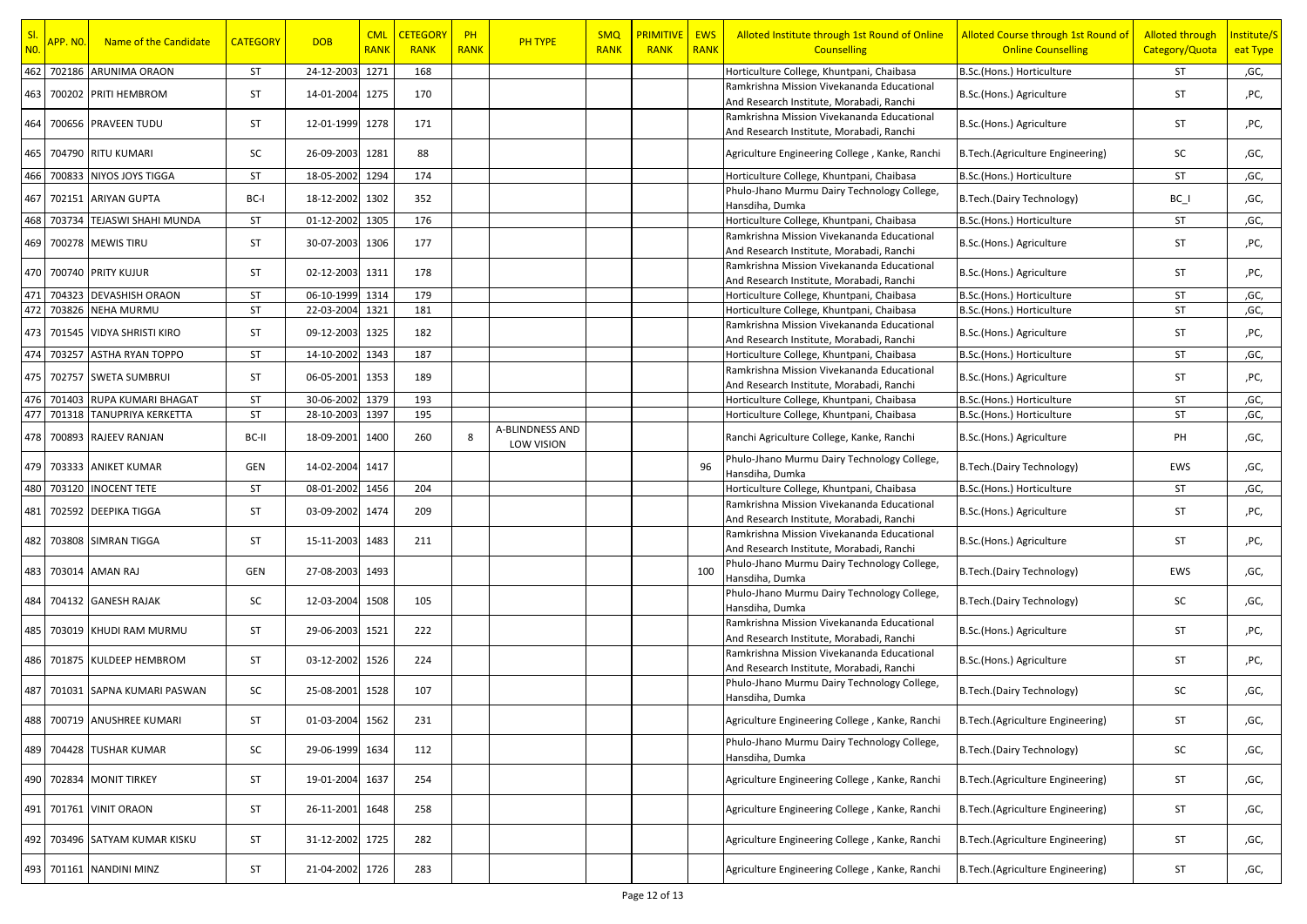| SI.<br><b>NO.</b> | <mark>APP. NO.</mark> | Name of the Candidate      | <b>CATEGORY</b> | <b>DOB</b>      | <b>CML</b><br><b>RANK</b> | <b>CETEGORY</b><br><b>RANK</b> | PH<br><b>RANK</b> | <b>PH TYPE</b>                       | <b>SMQ</b><br><b>RANK</b> | <b>PRIMITIVE</b><br><b>RANK</b> | <b>EWS</b><br><b>RANK</b> | Alloted Institute through 1st Round of Online<br><b>Counselling</b>                    | Alloted Course through 1st Round of<br><b>Online Counselling</b> | <b>Alloted through</b><br>Category/Quota | Institute/S<br>eat Type |
|-------------------|-----------------------|----------------------------|-----------------|-----------------|---------------------------|--------------------------------|-------------------|--------------------------------------|---------------------------|---------------------------------|---------------------------|----------------------------------------------------------------------------------------|------------------------------------------------------------------|------------------------------------------|-------------------------|
| 462               |                       | 702186 ARUNIMA ORAON       | ST              | 24-12-2003      | 1271                      | 168                            |                   |                                      |                           |                                 |                           | Horticulture College, Khuntpani, Chaibasa                                              | B.Sc.(Hons.) Horticulture                                        | ST                                       | ,GC,                    |
| 463               |                       | 700202 PRITI HEMBROM       | ST              | 14-01-2004      | 1275                      | 170                            |                   |                                      |                           |                                 |                           | Ramkrishna Mission Vivekananda Educational<br>And Research Institute, Morabadi, Ranchi | B.Sc.(Hons.) Agriculture                                         | ST                                       | ,PC,                    |
| 464               |                       | 700656 PRAVEEN TUDU        | ST              | 12-01-1999 1278 |                           | 171                            |                   |                                      |                           |                                 |                           | Ramkrishna Mission Vivekananda Educational<br>And Research Institute, Morabadi, Ranchi | B.Sc.(Hons.) Agriculture                                         | ST                                       | ,PC,                    |
| 465               |                       | 704790 RITU KUMARI         | SC              | 26-09-2003      | 1281                      | 88                             |                   |                                      |                           |                                 |                           | Agriculture Engineering College, Kanke, Ranchi                                         | B.Tech.(Agriculture Engineering)                                 | SC                                       | ,GC,                    |
| 466               | 700833                | <b>NIYOS JOYS TIGGA</b>    | ST              | 18-05-2002      | 1294                      | 174                            |                   |                                      |                           |                                 |                           | Horticulture College, Khuntpani, Chaibasa                                              | B.Sc.(Hons.) Horticulture                                        | <b>ST</b>                                | ,GC,                    |
| 467               |                       | 702151 ARIYAN GUPTA        | BC-I            | 18-12-2002 1302 |                           | 352                            |                   |                                      |                           |                                 |                           | Phulo-Jhano Murmu Dairy Technology College,<br>Hansdiha, Dumka                         | B.Tech.(Dairy Technology)                                        | $BC_$                                    | ,GC,                    |
| 468               | 703734                | <b>TEJASWI SHAHI MUNDA</b> | ST              | 01-12-2002 1305 |                           | 176                            |                   |                                      |                           |                                 |                           | Horticulture College, Khuntpani, Chaibasa                                              | B.Sc.(Hons.) Horticulture                                        | ST                                       | ,GC,                    |
| 469               |                       | 700278 MEWIS TIRU          | ST              | 30-07-2003      | 1306                      | 177                            |                   |                                      |                           |                                 |                           | Ramkrishna Mission Vivekananda Educational<br>And Research Institute, Morabadi, Ranchi | B.Sc.(Hons.) Agriculture                                         | ST                                       | ,PC,                    |
|                   |                       | 470 700740 PRITY KUJUR     | ST              | 02-12-2003 1311 |                           | 178                            |                   |                                      |                           |                                 |                           | Ramkrishna Mission Vivekananda Educational<br>And Research Institute, Morabadi, Ranchi | B.Sc.(Hons.) Agriculture                                         | ST                                       | ,PC,                    |
| 471               | 704323                | <b>DEVASHISH ORAON</b>     | <b>ST</b>       | 06-10-1999      | 1314                      | 179                            |                   |                                      |                           |                                 |                           | Horticulture College, Khuntpani, Chaibasa                                              | B.Sc.(Hons.) Horticulture                                        | ST                                       | ,GC,                    |
| 472               |                       | 703826 NEHA MURMU          | <b>ST</b>       | 22-03-2004      | 1321                      | 181                            |                   |                                      |                           |                                 |                           | Horticulture College, Khuntpani, Chaibasa                                              | B.Sc.(Hons.) Horticulture                                        | ST                                       | ,GC,                    |
| 473               |                       | 701545 VIDYA SHRISTI KIRO  | ST              | 09-12-2003      | 1325                      | 182                            |                   |                                      |                           |                                 |                           | Ramkrishna Mission Vivekananda Educational<br>And Research Institute, Morabadi, Ranchi | B.Sc.(Hons.) Agriculture                                         | ST                                       | ,PC,                    |
| 474               | 703257                | <b>ASTHA RYAN TOPPO</b>    | ST              | 14-10-2002 1343 |                           | 187                            |                   |                                      |                           |                                 |                           | Horticulture College, Khuntpani, Chaibasa                                              | B.Sc.(Hons.) Horticulture                                        | ST                                       | ,GC,                    |
|                   |                       | 475 702757 SWETA SUMBRUI   | ST              | 06-05-2001 1353 |                           | 189                            |                   |                                      |                           |                                 |                           | Ramkrishna Mission Vivekananda Educational<br>And Research Institute, Morabadi, Ranchi | B.Sc.(Hons.) Agriculture                                         | ST                                       | ,PC,                    |
|                   | 476 701403            | RUPA KUMARI BHAGAT         | ST              | 30-06-2002      | 1379                      | 193                            |                   |                                      |                           |                                 |                           | Horticulture College, Khuntpani, Chaibasa                                              | B.Sc.(Hons.) Horticulture                                        | ST                                       | ,GC,                    |
| 477               |                       | 701318 TANUPRIYA KERKETTA  | ST              | 28-10-2003      | 1397                      | 195                            |                   |                                      |                           |                                 |                           | Horticulture College, Khuntpani, Chaibasa                                              | B.Sc.(Hons.) Horticulture                                        | ST                                       | ,GC,                    |
|                   |                       | 478 700893 RAJEEV RANJAN   | BC-II           | 18-09-2001      | 1400                      | 260                            | 8                 | <b>A-BLINDNESS AND</b><br>LOW VISION |                           |                                 |                           | Ranchi Agriculture College, Kanke, Ranchi                                              | B.Sc.(Hons.) Agriculture                                         | PH                                       | ,GC,                    |
| 479               |                       | 703333 ANIKET KUMAR        | GEN             | 14-02-2004      | 1417                      |                                |                   |                                      |                           |                                 | 96                        | Phulo-Jhano Murmu Dairy Technology College,<br>Hansdiha, Dumka                         | B.Tech.(Dairy Technology)                                        | EWS                                      | ,GC,                    |
|                   |                       | 480 703120 INOCENT TETE    | ST              | 08-01-2002      | 1456                      | 204                            |                   |                                      |                           |                                 |                           | Horticulture College, Khuntpani, Chaibasa                                              | B.Sc.(Hons.) Horticulture                                        | ST                                       | ,GC,                    |
| 481               |                       | 702592 DEEPIKA TIGGA       | ST              | 03-09-2002      | 1474                      | 209                            |                   |                                      |                           |                                 |                           | Ramkrishna Mission Vivekananda Educational<br>And Research Institute, Morabadi, Ranchi | B.Sc.(Hons.) Agriculture                                         | ST                                       | ,PC,                    |
| 482               |                       | 703808 SIMRAN TIGGA        | ST              | 15-11-2003      | 1483                      | 211                            |                   |                                      |                           |                                 |                           | Ramkrishna Mission Vivekananda Educational<br>And Research Institute, Morabadi, Ranchi | B.Sc.(Hons.) Agriculture                                         | ST                                       | ,PC,                    |
| 483               |                       | 703014 AMAN RAJ            | GEN             | 27-08-2003 1493 |                           |                                |                   |                                      |                           |                                 | 100                       | Phulo-Jhano Murmu Dairy Technology College,<br>Hansdiha, Dumka                         | B.Tech.(Dairy Technology)                                        | EWS                                      | ,GC,                    |
| 484               |                       | 704132 GANESH RAJAK        | SC              | 12-03-2004      | 1508                      | 105                            |                   |                                      |                           |                                 |                           | Phulo-Jhano Murmu Dairy Technology College,<br>Hansdiha, Dumka                         | B.Tech.(Dairy Technology)                                        | SC                                       | ,GC,                    |
| 485               |                       | 703019 KHUDI RAM MURMU     | ST              | 29-06-2003      | 1521                      | 222                            |                   |                                      |                           |                                 |                           | Ramkrishna Mission Vivekananda Educational<br>And Research Institute, Morabadi, Ranchi | B.Sc.(Hons.) Agriculture                                         | ST                                       | ,PC,                    |
|                   |                       | 486 701875 KULDEEP HEMBROM | ST              | 03-12-2002      | 1526                      | 224                            |                   |                                      |                           |                                 |                           | Ramkrishna Mission Vivekananda Educational<br>And Research Institute, Morabadi, Ranchi | B.Sc.(Hons.) Agriculture                                         | ST                                       | ,PC,                    |
| 487               | 701031                | SAPNA KUMARI PASWAN        | SC              | 25-08-2001      | 1528                      | 107                            |                   |                                      |                           |                                 |                           | Phulo-Jhano Murmu Dairy Technology College,<br>Hansdiha, Dumka                         | B.Tech.(Dairy Technology)                                        | SC                                       | ,GC,                    |
|                   |                       | 488 700719 ANUSHREE KUMARI | ST              | 01-03-2004 1562 |                           | 231                            |                   |                                      |                           |                                 |                           | Agriculture Engineering College, Kanke, Ranchi                                         | B.Tech.(Agriculture Engineering)                                 | ST                                       | ,GC,                    |
|                   |                       | 489 704428 TUSHAR KUMAR    | SC              | 29-06-1999 1634 |                           | 112                            |                   |                                      |                           |                                 |                           | Phulo-Jhano Murmu Dairy Technology College,<br>Hansdiha, Dumka                         | B.Tech.(Dairy Technology)                                        | SC                                       | ,GC,                    |
|                   |                       | 490 702834 MONIT TIRKEY    | ST              | 19-01-2004      | 1637                      | 254                            |                   |                                      |                           |                                 |                           | Agriculture Engineering College, Kanke, Ranchi                                         | B.Tech.(Agriculture Engineering)                                 | ST                                       | ,GC,                    |
|                   |                       | 491 701761 VINIT ORAON     | ST              | 26-11-2001      | 1648                      | 258                            |                   |                                      |                           |                                 |                           | Agriculture Engineering College, Kanke, Ranchi                                         | B.Tech.(Agriculture Engineering)                                 | <b>ST</b>                                | ,GC,                    |
| 492               |                       | 703496 SATYAM KUMAR KISKU  | ST              | 31-12-2002 1725 |                           | 282                            |                   |                                      |                           |                                 |                           | Agriculture Engineering College, Kanke, Ranchi                                         | B.Tech.(Agriculture Engineering)                                 | ST                                       | ,GC,                    |
|                   |                       | 493 701161 NANDINI MINZ    | ST              | 21-04-2002 1726 |                           | 283                            |                   |                                      |                           |                                 |                           | Agriculture Engineering College, Kanke, Ranchi                                         | B. Tech. (Agriculture Engineering)                               | ST                                       | ,GC,                    |